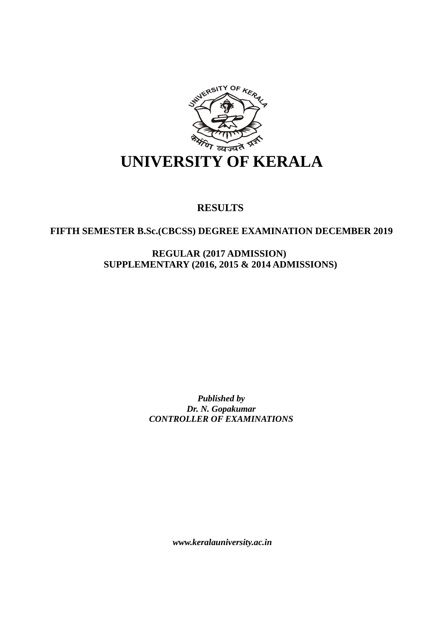

# **RESULTS**

## **FIFTH SEMESTER B.Sc.(CBCSS) DEGREE EXAMINATION DECEMBER 2019**

**REGULAR (2017 ADMISSION) SUPPLEMENTARY (2016, 2015 & 2014 ADMISSIONS)** 

> *Published by Dr. N. Gopakumar CONTROLLER OF EXAMINATIONS*

> > *www.keralauniversity.ac.in*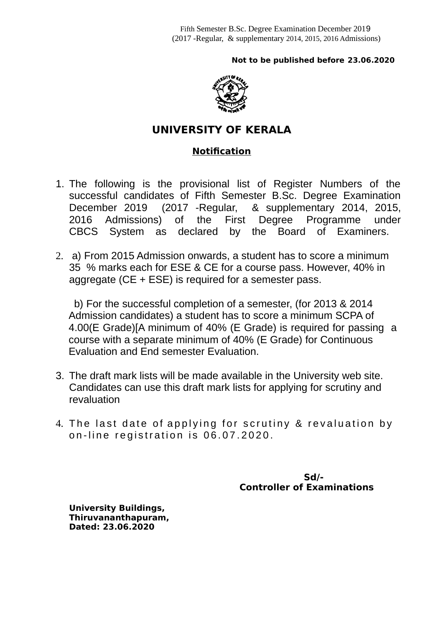## **Not to be published before 23.06.2020**



# **UNIVERSITY OF KERALA**

## **Notification**

- 1. The following is the provisional list of Register Numbers of the successful candidates of Fifth Semester B.Sc. Degree Examination December 2019 (2017 -Regular, & supplementary 2014, 2015, 2016 Admissions) of the First Degree Programme under CBCS System as declared by the Board of Examiners.
- 2. a) From 2015 Admission onwards, a student has to score a minimum 35 % marks each for ESE & CE for a course pass. However, 40% in aggregate (CE + ESE) is required for a semester pass.

 b) For the successful completion of a semester, (for 2013 & 2014 Admission candidates) a student has to score a minimum SCPA of 4.00(E Grade)[A minimum of 40% (E Grade) is required for passing a course with a separate minimum of 40% (E Grade) for Continuous Evaluation and End semester Evaluation.

- 3. The draft mark lists will be made available in the University web site. Candidates can use this draft mark lists for applying for scrutiny and revaluation
- 4. The last date of applying for scrutiny & revaluation by on-line registration is 06.07.2020.

 **Sd/- Controller of Examinations** 

**University Buildings, Thiruvananthapuram, Dated: 23.06.2020**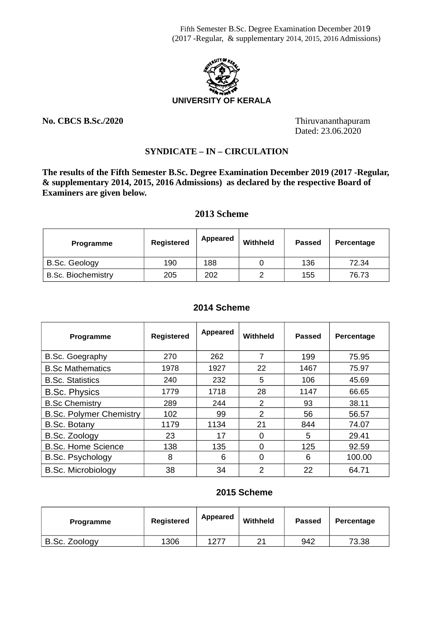

**No. CBCS B.Sc./2020** Thiruvananthapuram

Dated: 23.06.2020

## **SYNDICATE – IN – CIRCULATION**

**The results of the Fifth Semester B.Sc. Degree Examination December 2019 (2017 -Regular, & supplementary 2014, 2015, 2016 Admissions) as declared by the respective Board of Examiners are given below.**

### **2013 Scheme**

| <b>Programme</b>          | Registered | Appeared | Withheld | <b>Passed</b> | Percentage |
|---------------------------|------------|----------|----------|---------------|------------|
| <b>B.Sc. Geology</b>      | 190        | 188      |          | 136           | 72.34      |
| <b>B.Sc. Biochemistry</b> | 205        | 202      |          | 155           | 76.73      |

#### **2014 Scheme**

| Programme                      | Registered | Appeared | Withheld       | <b>Passed</b> | Percentage |
|--------------------------------|------------|----------|----------------|---------------|------------|
| B.Sc. Goegraphy                | 270        | 262      |                | 199           | 75.95      |
| <b>B.Sc Mathematics</b>        | 1978       | 1927     | 22             | 1467          | 75.97      |
| <b>B.Sc. Statistics</b>        | 240        | 232      | 5              | 106           | 45.69      |
| <b>B.Sc. Physics</b>           | 1779       | 1718     | 28             | 1147          | 66.65      |
| <b>B.Sc Chemistry</b>          | 289        | 244      | 2              | 93            | 38.11      |
| <b>B.Sc. Polymer Chemistry</b> | 102        | 99       | $\mathfrak{p}$ | 56            | 56.57      |
| <b>B.Sc. Botany</b>            | 1179       | 1134     | 21             | 844           | 74.07      |
| B.Sc. Zoology                  | 23         | 17       |                | 5             | 29.41      |
| <b>B.Sc. Home Science</b>      | 138        | 135      | n              | 125           | 92.59      |
| <b>B.Sc. Psychology</b>        | 8          | 6        | 0              | 6             | 100.00     |
| <b>B.Sc. Microbiology</b>      | 38         | 34       | 2              | 22            | 64.71      |

#### **2015 Scheme**

| <b>Programme</b> | Registered | Appeared | Withheld | <b>Passed</b> | Percentage |
|------------------|------------|----------|----------|---------------|------------|
| B.Sc. Zoology    | 1306       | 1277     | ົາ 1     | 942           | 73.38      |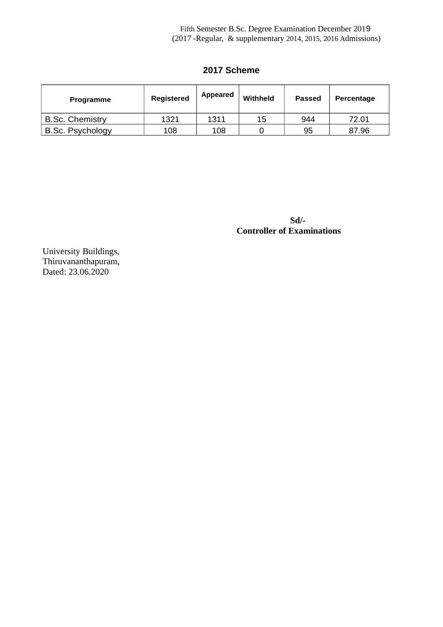## **2017 Scheme**

| <b>Programme</b>       | Registered | Appeared | Withheld | <b>Passed</b> | Percentage |
|------------------------|------------|----------|----------|---------------|------------|
| <b>B.Sc. Chemistry</b> | 1321       | 1311     | 15       | 944           | 72.01      |
| B.Sc. Psychology       | 108        | 108      |          | 95            | 87.96      |

 **Sd/- Controller of Examinations** 

 University Buildings, Thiruvananthapuram, Dated: 23.06.2020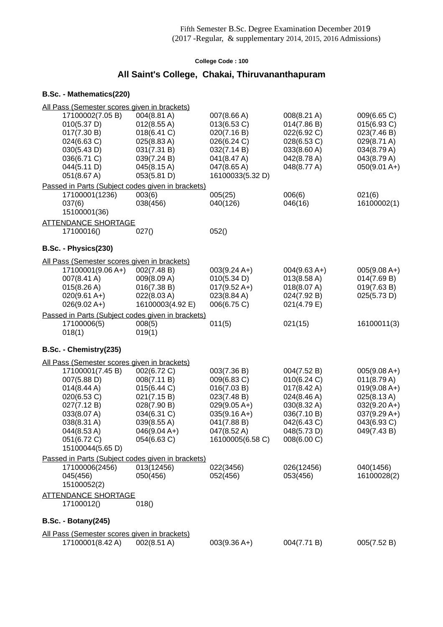## **All Saint's College, Chakai, Thiruvananthapuram**

| All Pass (Semester scores given in brackets)                        |                            |                                 |                       |                |
|---------------------------------------------------------------------|----------------------------|---------------------------------|-----------------------|----------------|
| 17100002(7.05 B)                                                    | 004(8.81 A)                | 007(8.66 A)                     | 008(8.21 A)           | 009(6.65 C)    |
| 010(5.37 D)                                                         | 012(8.55 A)                | 013(6.53 C)                     | 014(7.86 B)           | 015(6.93 C)    |
| 017(7.30 B)                                                         | 018(6.41 C)                | 020(7.16 B)                     | 022(6.92 C)           | 023(7.46 B)    |
| 024(6.63 C)                                                         | 025(8.83 A)                | 026(6.24 C)                     | 028(6.53 C)           | 029(8.71 A)    |
| 030(5.43 D)                                                         | 031(7.31 B)                | 032(7.14 B)                     | 033(8.60 A)           | 034(8.79 A)    |
| 036(6.71 C)                                                         | 039(7.24 B)                | 041(8.47 A)                     | 042(8.78 A)           | 043(8.79 A)    |
| 044(5.11 D)<br>051(8.67 A)                                          | 045(8.15 A)<br>053(5.81 D) | 047(8.65 A)<br>16100033(5.32 D) | 048(8.77 A)           | $050(9.01 A+)$ |
|                                                                     |                            |                                 |                       |                |
| Passed in Parts (Subject codes given in brackets)<br>17100001(1236) | 003(6)                     | 005(25)                         | 006(6)                | 021(6)         |
| 037(6)                                                              | 038(456)                   | 040(126)                        | 046(16)               | 16100002(1)    |
| 15100001(36)                                                        |                            |                                 |                       |                |
| <b>ATTENDANCE SHORTAGE</b>                                          |                            |                                 |                       |                |
| 17100016()                                                          | 027()                      | 052()                           |                       |                |
|                                                                     |                            |                                 |                       |                |
| B.Sc. - Physics(230)                                                |                            |                                 |                       |                |
| All Pass (Semester scores given in brackets)                        |                            |                                 |                       |                |
| 17100001(9.06 A+)                                                   | 002(7.48 B)                | $003(9.24 A+)$                  | $004(9.63 A+)$        | $005(9.08 A+)$ |
| 007(8.41 A)                                                         | 009(8.09 A)                | 010(5.34 D)                     | $013(8.58 \text{ A})$ | 014(7.69 B)    |
| 015(8.26 A)                                                         | 016(7.38 B)                | $017(9.52 \text{ A+})$          | 018(8.07 A)           | 019(7.63 B)    |
| $020(9.61 A+)$                                                      | 022(8.03 A)                | 023(8.84 A)                     | 024(7.92 B)           | 025(5.73 D)    |
| $026(9.02 A+)$                                                      | 16100003(4.92 E)           | 006(6.75 C)                     | 021(4.79 E)           |                |
| Passed in Parts (Subject codes given in brackets)                   |                            |                                 |                       |                |
| 17100006(5)                                                         | 008(5)                     | 011(5)                          | 021(15)               | 16100011(3)    |
| 018(1)                                                              | 019(1)                     |                                 |                       |                |
| B.Sc. - Chemistry(235)                                              |                            |                                 |                       |                |
| All Pass (Semester scores given in brackets)                        |                            |                                 |                       |                |
| 17100001(7.45 B)                                                    | 002(6.72 C)                | 003(7.36 B)                     | 004(7.52 B)           | $005(9.08 A+)$ |
| 007(5.88 D)                                                         | 008(7.11 B)                | 009(6.83 C)                     | 010(6.24 C)           | 011(8.79 A)    |
| 014(8.44 A)                                                         | 015(6.44 C)                | 016(7.03 B)                     | 017(8.42 A)           | $019(9.08 A+)$ |
| 020(6.53 C)                                                         | 021(7.15 B)                | 023(7.48 B)                     | 024(8.46 A)           | 025(8.13 A)    |
| 027(7.12 B)                                                         | 028(7.90 B)                | $029(9.05 A+)$                  | 030(8.32 A)           | $032(9.20 A+)$ |
| 033(8.07 A)                                                         | 034(6.31 C)                | $035(9.16 A+)$                  | 036(7.10 B)           | $037(9.29 A+)$ |
| 038(8.31 A)                                                         | 039(8.55 A)                | 041(7.88 B)                     | 042(6.43 C)           | 043(6.93 C)    |
| 044(8.53 A)                                                         | $046(9.04 A+)$             | 047(8.52 A)                     | 048(5.73 D)           | 049(7.43 B)    |
| 051(6.72 C)                                                         | 054(6.63 C)                | 16100005(6.58 C)                | 008(6.00 C)           |                |
| 15100044(5.65 D)                                                    |                            |                                 |                       |                |
| Passed in Parts (Subject codes given in brackets)                   |                            |                                 |                       |                |
| 17100006(2456)                                                      | 013(12456)                 | 022(3456)                       | 026(12456)            | 040(1456)      |
| 045(456)                                                            | 050(456)                   | 052(456)                        | 053(456)              | 16100028(2)    |
| 15100052(2)                                                         |                            |                                 |                       |                |
| <b>ATTENDANCE SHORTAGE</b>                                          |                            |                                 |                       |                |
| 17100012()                                                          | 018()                      |                                 |                       |                |
| <b>B.Sc. - Botany(245)</b>                                          |                            |                                 |                       |                |
| All Pass (Semester scores given in brackets)                        |                            |                                 |                       |                |
| 17100001(8.42 A)                                                    | 002(8.51 A)                | $003(9.36 A+)$                  | 004(7.71 B)           | 005(7.52 B)    |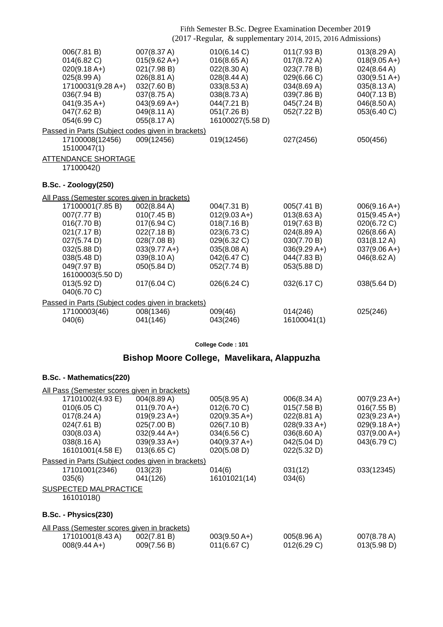| 006(7.81 B)<br>014(6.82)<br>$020(9.18 A+)$<br>025(8.99 A)<br>17100031(9.28 A+)<br>036(7.94 B)<br>$041(9.35 A+)$<br>047(7.62 B)<br>054(6.99 C) | 007(8.37 A)<br>$015(9.62 A+)$<br>021(7.98 B)<br>$026(8.81 \text{ A})$<br>032(7.60 B)<br>037(8.75 A)<br>$043(9.69 A+)$<br>049(8.11 A)<br>055(8.17 A) | 010(6.14 C)<br>016(8.65 A)<br>022(8.30 A)<br>028(8.44 A)<br>033(8.53 A)<br>038(8.73 A)<br>044(7.21 B)<br>051(7.26 B)<br>16100027(5.58 D) | 011(7.93 B)<br>$017(8.72 \text{ A})$<br>023(7.78 B)<br>029(6.66 C)<br>034(8.69 A)<br>039(7.86 B)<br>045(7.24 B)<br>052(7.22 B) | 013(8.29 A)<br>$018(9.05 A+)$<br>024(8.64 A)<br>$030(9.51 A+)$<br>035(8.13 A)<br>040(7.13 B)<br>046(8.50 A)<br>053(6.40 C) |
|-----------------------------------------------------------------------------------------------------------------------------------------------|-----------------------------------------------------------------------------------------------------------------------------------------------------|------------------------------------------------------------------------------------------------------------------------------------------|--------------------------------------------------------------------------------------------------------------------------------|----------------------------------------------------------------------------------------------------------------------------|
|                                                                                                                                               | Passed in Parts (Subject codes given in brackets)                                                                                                   |                                                                                                                                          |                                                                                                                                |                                                                                                                            |
| 17100008(12456)<br>15100047(1)                                                                                                                | 009(12456)                                                                                                                                          | 019(12456)                                                                                                                               | 027(2456)                                                                                                                      | 050(456)                                                                                                                   |
| <b>ATTENDANCE SHORTAGE</b>                                                                                                                    |                                                                                                                                                     |                                                                                                                                          |                                                                                                                                |                                                                                                                            |
| 17100042()                                                                                                                                    |                                                                                                                                                     |                                                                                                                                          |                                                                                                                                |                                                                                                                            |
|                                                                                                                                               |                                                                                                                                                     |                                                                                                                                          |                                                                                                                                |                                                                                                                            |
| <b>B.Sc. - Zoology(250)</b>                                                                                                                   |                                                                                                                                                     |                                                                                                                                          |                                                                                                                                |                                                                                                                            |
| All Pass (Semester scores given in brackets)                                                                                                  |                                                                                                                                                     |                                                                                                                                          |                                                                                                                                |                                                                                                                            |
| 17100001(7.85 B)                                                                                                                              | 002(8.84 A)                                                                                                                                         | 004(7.31 B)                                                                                                                              | 005(7.41 B)                                                                                                                    | $006(9.16 A+)$                                                                                                             |
| 007(7.77 B)                                                                                                                                   | 010(7.45 B)                                                                                                                                         | $012(9.03 A+)$                                                                                                                           | 013(8.63 A)                                                                                                                    | $015(9.45 A+)$                                                                                                             |
| 016(7.70 B)                                                                                                                                   | 017(6.94 C)                                                                                                                                         | 018(7.16 B)                                                                                                                              | 019(7.63 B)                                                                                                                    | 020(6.72 C)                                                                                                                |
| 021(7.17 B)                                                                                                                                   | 022(7.18 B)                                                                                                                                         | 023(6.73 C)                                                                                                                              | 024(8.89 A)                                                                                                                    | 026(8.66 A)                                                                                                                |
| 027(5.74 D)                                                                                                                                   | 028(7.08 B)                                                                                                                                         | 029(6.32 C)                                                                                                                              | 030(7.70 B)                                                                                                                    | 031(8.12 A)                                                                                                                |
| 032(5.88 D)                                                                                                                                   | $033(9.77 \text{ A+})$                                                                                                                              | 035(8.08 A)                                                                                                                              | $036(9.29 A+)$                                                                                                                 | $037(9.06 A+)$                                                                                                             |
| 038(5.48 D)                                                                                                                                   | 039(8.10 A)                                                                                                                                         | 042(6.47 C)                                                                                                                              | 044(7.83 B)                                                                                                                    | 046(8.62 A)                                                                                                                |
| 049(7.97 B)                                                                                                                                   | 050(5.84 D)                                                                                                                                         | 052(7.74 B)                                                                                                                              | 053(5.88 D)                                                                                                                    |                                                                                                                            |
| 16100003(5.50 D)                                                                                                                              |                                                                                                                                                     |                                                                                                                                          |                                                                                                                                |                                                                                                                            |
| 013(5.92 D)                                                                                                                                   | 017(6.04 C)                                                                                                                                         | 026(6.24 C)                                                                                                                              | 032(6.17 C)                                                                                                                    | 038(5.64 D)                                                                                                                |
| 040(6.70 C)                                                                                                                                   |                                                                                                                                                     |                                                                                                                                          |                                                                                                                                |                                                                                                                            |
|                                                                                                                                               | Passed in Parts (Subject codes given in brackets)                                                                                                   |                                                                                                                                          |                                                                                                                                |                                                                                                                            |
| 17100003(46)                                                                                                                                  | 008(1346)                                                                                                                                           | 009(46)                                                                                                                                  | 014(246)                                                                                                                       | 025(246)                                                                                                                   |
| 040(6)                                                                                                                                        | 041(146)                                                                                                                                            | 043(246)                                                                                                                                 | 16100041(1)                                                                                                                    |                                                                                                                            |
|                                                                                                                                               |                                                                                                                                                     |                                                                                                                                          |                                                                                                                                |                                                                                                                            |

**College Code : 101**

## **Bishop Moore College, Mavelikara, Alappuzha**

| All Pass (Semester scores given in brackets)      |                        |                        |                |                        |
|---------------------------------------------------|------------------------|------------------------|----------------|------------------------|
| 17101002(4.93 E)                                  | 004(8.89 A)            | 005(8.95 A)            | 006(8.34 A)    | $007(9.23 \text{ A+})$ |
| 010(6.05 C)                                       | $011(9.70 A+)$         | 012(6.70 C)            | 015(7.58 B)    | 016(7.55 B)            |
| $017(8.24 \text{ A})$                             | $019(9.23 \text{ A+})$ | $020(9.35 \text{ A+})$ | 022(8.81 A)    | $023(9.23 A+)$         |
| 024(7.61 B)                                       | 025(7.00 B)            | 026(7.10 B)            | $028(9.33 A+)$ | $029(9.18 A+)$         |
| 030(8.03 A)                                       | $032(9.44 A+)$         | 034(6.56 C)            | 036(8.60 A)    | $037(9.00 A+)$         |
| 038(8.16 A)                                       | $039(9.33 A+)$         | $040(9.37 A+)$         | 042(5.04 D)    | 043(6.79 C)            |
| 16101001(4.58 E)                                  | $013(6.65)$ C)         | 020(5.08 D)            | 022(5.32 D)    |                        |
| Passed in Parts (Subject codes given in brackets) |                        |                        |                |                        |
| 17101001(2346)                                    | 013(23)                | 014(6)                 | 031(12)        | 033(12345)             |
| 035(6)                                            | 041(126)               | 16101021(14)           | 034(6)         |                        |
| <b>SUSPECTED MALPRACTICE</b>                      |                        |                        |                |                        |
| 16101018()                                        |                        |                        |                |                        |
|                                                   |                        |                        |                |                        |
| B.Sc. - Physics(230)                              |                        |                        |                |                        |
| All Pass (Semester scores given in brackets)      |                        |                        |                |                        |
| 17101001(8.43 A)                                  | 002(7.81 B)            | $003(9.50 A+)$         | 005(8.96 A)    | 007(8.78 A)            |
| $008(9.44 A+)$                                    | 009(7.56 B)            | 011(6.67 C)            | 012(6.29 C)    | 013(5.98 D)            |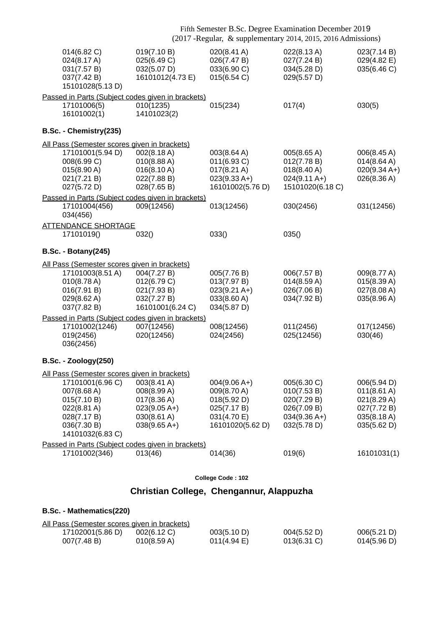|                                                                                                                                                                 | Fifth Semester B.Sc. Degree Examination December 2019<br>(2017 - Regular, & supplementary 2014, 2015, 2016 Admissions) |                                                                                                |                                                                                                   |                                                                                        |
|-----------------------------------------------------------------------------------------------------------------------------------------------------------------|------------------------------------------------------------------------------------------------------------------------|------------------------------------------------------------------------------------------------|---------------------------------------------------------------------------------------------------|----------------------------------------------------------------------------------------|
| 014(6.82 C)<br>024(8.17 A)<br>031(7.57 B)<br>037(7.42 B)<br>15101028(5.13 D)                                                                                    | 019(7.10 B)<br>025(6.49 C)<br>032(5.07 D)<br>16101012(4.73 E)                                                          | 020(8.41 A)<br>026(7.47 B)<br>033(6.90 C)<br>015(6.54 C)                                       | 022(8.13 A)<br>027(7.24 B)<br>034(5.28 D)<br>029(5.57 D)                                          | 023(7.14 B)<br>029(4.82 E)<br>035(6.46 C)                                              |
| Passed in Parts (Subject codes given in brackets)<br>17101006(5)<br>16101002(1)                                                                                 | 010(1235)<br>14101023(2)                                                                                               | 015(234)                                                                                       | 017(4)                                                                                            | 030(5)                                                                                 |
| B.Sc. - Chemistry(235)                                                                                                                                          |                                                                                                                        |                                                                                                |                                                                                                   |                                                                                        |
| All Pass (Semester scores given in brackets)<br>17101001(5.94 D)<br>008(6.99 C)<br>015(8.90 A)<br>021(7.21 B)<br>027(5.72 D)                                    | 002(8.18 A)<br>010(8.88 A)<br>016(8.10 A)<br>022(7.88 B)<br>028(7.65 B)                                                | 003(8.64 A)<br>011(6.93 C)<br>$017(8.21 \text{ A})$<br>$023(9.33 A+)$<br>16101002(5.76 D)      | 005(8.65 A)<br>012(7.78 B)<br>$018(8.40 \text{ A})$<br>$024(9.11 \text{ A+})$<br>15101020(6.18 C) | 006(8.45 A)<br>014(8.64 A)<br>$020(9.34 A+)$<br>026(8.36 A)                            |
| Passed in Parts (Subject codes given in brackets)<br>17101004(456)<br>034(456)                                                                                  | 009(12456)                                                                                                             | 013(12456)                                                                                     | 030(2456)                                                                                         | 031(12456)                                                                             |
| <b>ATTENDANCE SHORTAGE</b><br>17101019()                                                                                                                        | 032()                                                                                                                  | 033()                                                                                          | 035()                                                                                             |                                                                                        |
| <b>B.Sc. - Botany(245)</b>                                                                                                                                      |                                                                                                                        |                                                                                                |                                                                                                   |                                                                                        |
| All Pass (Semester scores given in brackets)<br>17101003(8.51 A)<br>010(8.78 A)<br>016(7.91 B)<br>029(8.62 A)<br>037(7.82 B)                                    | 004(7.27 B)<br>012(6.79 C)<br>021(7.93 B)<br>032(7.27 B)<br>16101001(6.24 C)                                           | 005(7.76 B)<br>013(7.97 B)<br>$023(9.21 \text{ A+})$<br>033(8.60 A)<br>034(5.87 D)             | 006(7.57 B)<br>014(8.59 A)<br>026(7.06 B)<br>034(7.92 B)                                          | 009(8.77 A)<br>015(8.39 A)<br>027(8.08 A)<br>035(8.96 A)                               |
| Passed in Parts (Subject codes given in brackets)<br>17101002(1246)<br>019(2456)<br>036(2456)                                                                   | 007(12456)<br>020(12456)                                                                                               | 008(12456)<br>024(2456)                                                                        | 011(2456)<br>025(12456)                                                                           | 017(12456)<br>030(46)                                                                  |
| <b>B.Sc. - Zoology(250)</b>                                                                                                                                     |                                                                                                                        |                                                                                                |                                                                                                   |                                                                                        |
| All Pass (Semester scores given in brackets)<br>17101001(6.96 C)<br>007(8.68 A)<br>015(7.10 B)<br>022(8.81 A)<br>028(7.17 B)<br>036(7.30 B)<br>14101032(6.83 C) | 003(8.41 A)<br>008(8.99 A)<br>017(8.36 A)<br>$023(9.05 A+)$<br>030(8.61 A)<br>$038(9.65 A+)$                           | $004(9.06 A+)$<br>009(8.70 A)<br>018(5.92 D)<br>025(7.17 B)<br>031(4.70 E)<br>16101020(5.62 D) | 005(6.30 C)<br>010(7.53 B)<br>020(7.29 B)<br>026(7.09 B)<br>$034(9.36 A+)$<br>032(5.78 D)         | 006(5.94 D)<br>011(8.61 A)<br>021(8.29 A)<br>027(7.72 B)<br>035(8.18 A)<br>035(5.62 D) |
| Passed in Parts (Subject codes given in brackets)<br>17101002(346)                                                                                              | 013(46)                                                                                                                | 014(36)                                                                                        | 019(6)                                                                                            | 16101031(1)                                                                            |
|                                                                                                                                                                 |                                                                                                                        |                                                                                                |                                                                                                   |                                                                                        |
|                                                                                                                                                                 |                                                                                                                        |                                                                                                |                                                                                                   |                                                                                        |

# **Christian College, Chengannur, Alappuzha**

| All Pass (Semester scores given in brackets) |                |                |                |             |
|----------------------------------------------|----------------|----------------|----------------|-------------|
| 17102001(5.86 D)                             | $002(6.12)$ C) | 003(5.10 D)    | 004(5.52 D)    | 006(5.21 D) |
| 007(7.48 B)                                  | 010(8.59 A)    | $011(4.94)$ E) | $013(6.31)$ C) | 014(5.96 D) |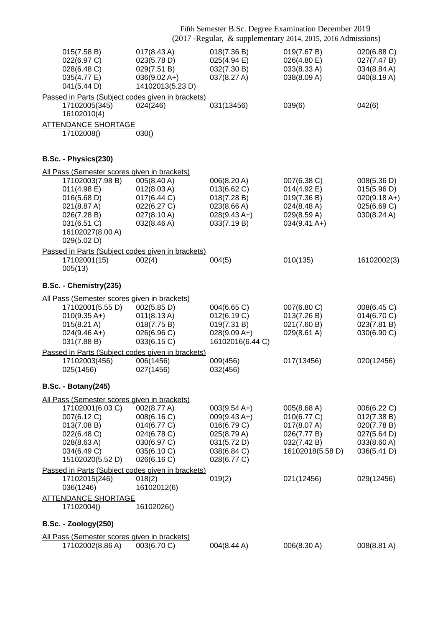|                                                                                                                                                                                                   |                                                                                                       |                                                                                                                     | Fifth Semester B.Sc. Degree Examination December 2019<br>(2017 - Regular, & supplementary 2014, 2015, 2016 Admissions) |                                                                                        |
|---------------------------------------------------------------------------------------------------------------------------------------------------------------------------------------------------|-------------------------------------------------------------------------------------------------------|---------------------------------------------------------------------------------------------------------------------|------------------------------------------------------------------------------------------------------------------------|----------------------------------------------------------------------------------------|
| 015(7.58 B)<br>022(6.97 C)<br>028(6.48 C)<br>035(4.77 E)<br>041(5.44 D)                                                                                                                           | $017(8.43 \text{ A})$<br>023(5.78 D)<br>029(7.51 B)<br>$036(9.02 A+)$<br>14102013(5.23 D)             | 018(7.36 B)<br>025(4.94)<br>032(7.30 B)<br>037(8.27 A)                                                              | 019(7.67 B)<br>026(4.80 E)<br>033(8.33 A)<br>038(8.09 A)                                                               | 020(6.88 C)<br>027(7.47 B)<br>034(8.84 A)<br>040(8.19 A)                               |
| Passed in Parts (Subject codes given in brackets)<br>17102005(345)<br>16102010(4)                                                                                                                 | 024(246)                                                                                              | 031(13456)                                                                                                          | 039(6)                                                                                                                 | 042(6)                                                                                 |
| <b>ATTENDANCE SHORTAGE</b><br>17102008()                                                                                                                                                          | 030()                                                                                                 |                                                                                                                     |                                                                                                                        |                                                                                        |
| B.Sc. - Physics(230)                                                                                                                                                                              |                                                                                                       |                                                                                                                     |                                                                                                                        |                                                                                        |
| All Pass (Semester scores given in brackets)<br>17102003(7.98 B)<br>011(4.98 E)<br>016(5.68 D)<br>021(8.87 A)<br>026(7.28 B)<br>031(6.51 C)<br>16102027(8.00 A)<br>029(5.02 D)                    | 005(8.40 A)<br>012(8.03 A)<br>017(6.44 C)<br>022(6.27 C)<br>$027(8.10 \text{ A})$<br>032(8.46 A)      | 006(8.20 A)<br>013(6.62 C)<br>018(7.28 B)<br>023(8.66 A)<br>$028(9.43 A+)$<br>033(7.19 B)                           | 007(6.38 C)<br>014(4.92 E)<br>019(7.36 B)<br>024(8.48 A)<br>029(8.59 A)<br>$034(9.41 \text{ A+})$                      | 008(5.36 D)<br>015(5.96 D)<br>$020(9.18 A+)$<br>025(6.69 C)<br>030(8.24 A)             |
| Passed in Parts (Subject codes given in brackets)<br>17102001(15)<br>005(13)                                                                                                                      | 002(4)                                                                                                | 004(5)                                                                                                              | 010(135)                                                                                                               | 16102002(3)                                                                            |
| B.Sc. - Chemistry(235)                                                                                                                                                                            |                                                                                                       |                                                                                                                     |                                                                                                                        |                                                                                        |
| All Pass (Semester scores given in brackets)<br>17102001(5.55 D)<br>$010(9.35 A+)$<br>$015(8.21 \text{ A})$<br>$024(9.46 A+)$<br>031(7.88 B)<br>Passed in Parts (Subject codes given in brackets) | 002(5.85 D)<br>$011(8.13 \text{ A})$<br>018(7.75 B)<br>026(6.96 C)<br>033(6.15 C)                     | 004(6.65 C)<br>012(6.19 C)<br>019(7.31 B)<br>$028(9.09 A+)$<br>16102016(6.44 C)                                     | 007(6.80 C)<br>013(7.26 B)<br>021(7.60 B)<br>029(8.61 A)                                                               | 008(6.45 C)<br>014(6.70 C)<br>023(7.81 B)<br>030(6.90 C)                               |
| 17102003(456)<br>025(1456)                                                                                                                                                                        | 006(1456)<br>027(1456)                                                                                | 009(456)<br>032(456)                                                                                                | 017(13456)                                                                                                             | 020(12456)                                                                             |
| <b>B.Sc. - Botany(245)</b>                                                                                                                                                                        |                                                                                                       |                                                                                                                     |                                                                                                                        |                                                                                        |
| All Pass (Semester scores given in brackets)<br>17102001(6.03 C)<br>007(6.12 C)<br>013(7.08 B)<br>022(6.48 C)<br>028(8.63 A)<br>034(6.49 C)<br>15102020(5.52 D)                                   | 002(8.77 A)<br>008(6.16 C)<br>014(6.77 C)<br>024(6.78 C)<br>030(6.97 C)<br>035(6.10 C)<br>026(6.16 C) | $003(9.54 \text{ A+})$<br>$009(9.43 A+)$<br>016(6.79 C)<br>025(8.79 A)<br>031(5.72 D)<br>038(6.84 C)<br>028(6.77 C) | 005(8.68 A)<br>010(6.77 C)<br>017(8.07 A)<br>026(7.77 B)<br>032(7.42 B)<br>16102018(5.58 D)                            | 006(6.22 C)<br>012(7.38 B)<br>020(7.78 B)<br>027(5.64 D)<br>033(8.60 A)<br>036(5.41 D) |
| Passed in Parts (Subject codes given in brackets)<br>17102015(246)<br>036(1246)                                                                                                                   | 018(2)<br>16102012(6)                                                                                 | 019(2)                                                                                                              | 021(12456)                                                                                                             | 029(12456)                                                                             |
| <b>ATTENDANCE SHORTAGE</b><br>17102004()                                                                                                                                                          | 16102026()                                                                                            |                                                                                                                     |                                                                                                                        |                                                                                        |
| <b>B.Sc. - Zoology(250)</b>                                                                                                                                                                       |                                                                                                       |                                                                                                                     |                                                                                                                        |                                                                                        |
| All Pass (Semester scores given in brackets)<br>17102002(8.86 A)                                                                                                                                  | 003(6.70 C)                                                                                           | 004(8.44 A)                                                                                                         | 006(8.30 A)                                                                                                            | 008(8.81 A)                                                                            |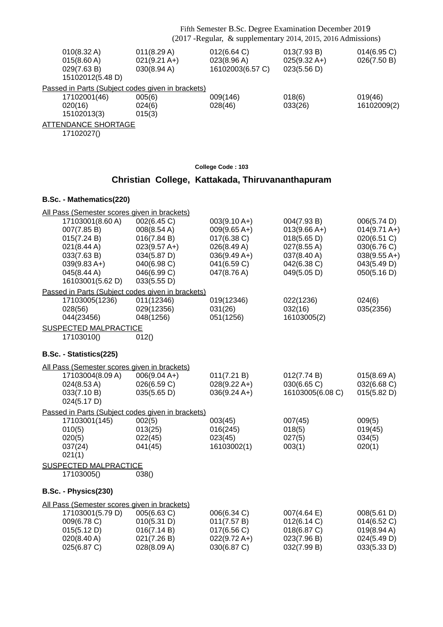|                                                                         | Fifth Semester B.Sc. Degree Examination December 2019<br>(2017 - Regular, & supplementary 2014, 2015, 2016 Admissions) |                                                |                                                      |                               |  |
|-------------------------------------------------------------------------|------------------------------------------------------------------------------------------------------------------------|------------------------------------------------|------------------------------------------------------|-------------------------------|--|
| $010(8.32 \text{ A})$<br>015(8.60 A)<br>029(7.63 B)<br>15102012(5.48 D) | 011(8.29 A)<br>$021(9.21 \text{ A+})$<br>030(8.94 A)                                                                   | 012(6.64 C)<br>023(8.96 A)<br>16102003(6.57 C) | 013(7.93 B)<br>$025(9.32 \text{ A+})$<br>023(5.56 D) | $014(6.95)$ C)<br>026(7.50 B) |  |
| Passed in Parts (Subject codes given in brackets)                       |                                                                                                                        |                                                |                                                      |                               |  |
| 17102001(46)                                                            | 005(6)                                                                                                                 | 009(146)                                       | 018(6)                                               | 019(46)                       |  |
| 020(16)                                                                 | 024(6)                                                                                                                 | 028(46)                                        | 033(26)                                              | 16102009(2)                   |  |
| 15102013(3)                                                             | 015(3)                                                                                                                 |                                                |                                                      |                               |  |
| <b>ATTENDANCE SHORTAGE</b>                                              |                                                                                                                        |                                                |                                                      |                               |  |
|                                                                         |                                                                                                                        |                                                |                                                      |                               |  |

17102027()

### **College Code : 103**

# **Christian College, Kattakada, Thiruvananthapuram**

| All Pass (Semester scores given in brackets) |                                                             |                                  |                               |                                       |
|----------------------------------------------|-------------------------------------------------------------|----------------------------------|-------------------------------|---------------------------------------|
| 17103001(8.60 A)<br>007(7.85 B)              | 002(6.45 C)<br>008(8.54 A)                                  | $003(9.10 A+)$<br>$009(9.65 A+)$ | 004(7.93 B)<br>$013(9.66 A+)$ | 006(5.74 D)<br>$014(9.71 \text{ A+})$ |
| 015(7.24 B)                                  | 016(7.84 B)                                                 | 017(6.38 C)                      | 018(5.65 D)                   | 020(6.51 C)                           |
| 021(8.44 A)                                  | $023(9.57 A+)$                                              | 026(8.49 A)                      | 027(8.55 A)                   | 030(6.76 C)                           |
| 033(7.63 B)<br>$039(9.83 A+)$                | 034(5.87 D)<br>040(6.98 C)                                  | $036(9.49 A+)$<br>041(6.59 C)    | 037(8.40 A)<br>042(6.38 C)    | $038(9.55 A+)$<br>043(5.49 D)         |
| 045(8.44 A)                                  | 046(6.99 C)                                                 | 047(8.76 A)                      | 049(5.05 D)                   | 050(5.16 D)                           |
| 16103001(5.62 D)                             | 033(5.55 D)                                                 |                                  |                               |                                       |
|                                              | Passed in Parts (Subject codes given in brackets)           |                                  |                               |                                       |
| 17103005(1236)                               | 011(12346)                                                  | 019(12346)                       | 022(1236)                     | 024(6)                                |
| 028(56)                                      | 029(12356)                                                  | 031(26)                          | 032(16)                       | 035(2356)                             |
| 044(23456)                                   | 048(1256)                                                   | 051(1256)                        | 16103005(2)                   |                                       |
| SUSPECTED MALPRACTICE                        |                                                             |                                  |                               |                                       |
| 17103010()                                   | 012()                                                       |                                  |                               |                                       |
| B.Sc. - Statistics(225)                      |                                                             |                                  |                               |                                       |
| All Pass (Semester scores given in brackets) |                                                             |                                  |                               |                                       |
| 17103004(8.09 A)                             | $006(9.04 A+)$                                              | 011(7.21 B)                      | 012(7.74 B)                   | 015(8.69 A)                           |
| 024(8.53 A)                                  | 026(6.59 C)                                                 | $028(9.22 A+)$                   | 030(6.65 C)                   | 032(6.68 C)                           |
| 033(7.10 B)                                  | 035(5.65 D)                                                 | $036(9.24 A+)$                   | 16103005(6.08 C)              | 015(5.82 D)                           |
| 024(5.17 D)                                  |                                                             |                                  |                               |                                       |
| 17103001(145)                                | Passed in Parts (Subject codes given in brackets)<br>002(5) | 003(45)                          | 007(45)                       | 009(5)                                |
| 010(5)                                       | 013(25)                                                     | 016(245)                         | 018(5)                        | 019(45)                               |
| 020(5)                                       | 022(45)                                                     | 023(45)                          | 027(5)                        | 034(5)                                |
| 037(24)                                      | 041(45)                                                     | 16103002(1)                      | 003(1)                        | 020(1)                                |
| 021(1)                                       |                                                             |                                  |                               |                                       |
| <b>SUSPECTED MALPRACTICE</b>                 |                                                             |                                  |                               |                                       |
| 17103005()                                   | 038()                                                       |                                  |                               |                                       |
| B.Sc. - Physics(230)                         |                                                             |                                  |                               |                                       |
| All Pass (Semester scores given in brackets) |                                                             |                                  |                               |                                       |
| 17103001(5.79 D)                             | 005(6.63 C)                                                 | 006(6.34 C)                      | $007(4.64 \text{ E})$         | 008(5.61 D)                           |
| 009(6.78 C)                                  | 010(5.31 D)                                                 | 011(7.57 B)                      | 012(6.14 C)                   | 014(6.52 C)                           |
| 015(5.12 D)                                  | 016(7.14 B)                                                 | 017(6.56 C)                      | 018(6.87 C)                   | 019(8.94 A)                           |
| 020(8.40 A)                                  | 021(7.26 B)                                                 | $022(9.72 \text{ A+})$           | 023(7.96 B)                   | 024(5.49 D)                           |
| 025(6.87 C)                                  | 028(8.09 A)                                                 | 030(6.87 C)                      | 032(7.99 B)                   | 033(5.33 D)                           |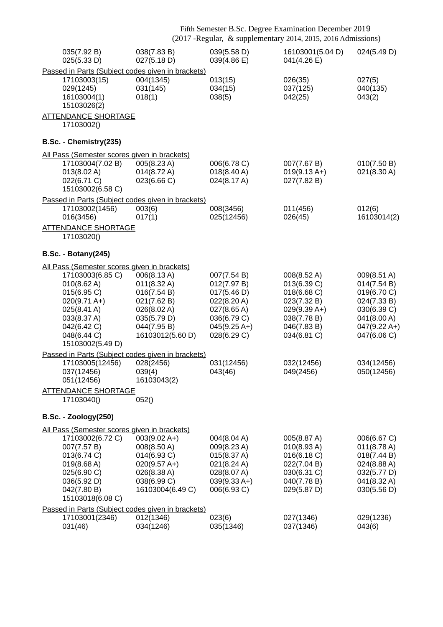|                                                                                                                                                          | Fifth Semester B.Sc. Degree Examination December 2019<br>(2017 - Regular, & supplementary 2014, 2015, 2016 Admissions)   |                                                                                                                         |                                                                                                                         |                                                                                                                         |
|----------------------------------------------------------------------------------------------------------------------------------------------------------|--------------------------------------------------------------------------------------------------------------------------|-------------------------------------------------------------------------------------------------------------------------|-------------------------------------------------------------------------------------------------------------------------|-------------------------------------------------------------------------------------------------------------------------|
| 035(7.92 B)<br>025(5.33 D)                                                                                                                               | 038(7.83 B)<br>027(5.18 D)                                                                                               | 039(5.58 D)<br>039(4.86 E)                                                                                              | 16103001(5.04 D)<br>041(4.26 E)                                                                                         | 024(5.49 D)                                                                                                             |
| Passed in Parts (Subject codes given in brackets)                                                                                                        |                                                                                                                          |                                                                                                                         |                                                                                                                         |                                                                                                                         |
| 17103003(15)<br>029(1245)<br>16103004(1)<br>15103026(2)                                                                                                  | 004(1345)<br>031(145)<br>018(1)                                                                                          | 013(15)<br>034(15)<br>038(5)                                                                                            | 026(35)<br>037(125)<br>042(25)                                                                                          | 027(5)<br>040(135)<br>043(2)                                                                                            |
| <b>ATTENDANCE SHORTAGE</b><br>17103002()                                                                                                                 |                                                                                                                          |                                                                                                                         |                                                                                                                         |                                                                                                                         |
| B.Sc. - Chemistry(235)                                                                                                                                   |                                                                                                                          |                                                                                                                         |                                                                                                                         |                                                                                                                         |
| All Pass (Semester scores given in brackets)                                                                                                             |                                                                                                                          |                                                                                                                         |                                                                                                                         |                                                                                                                         |
| 17103004(7.02 B)<br>013(8.02 A)<br>022(6.71 C)<br>15103002(6.58 C)                                                                                       | 005(8.23 A)<br>014(8.72 A)<br>023(6.66 C)                                                                                | 006(6.78 C)<br>018(8.40 A)<br>024(8.17 A)                                                                               | 007(7.67 B)<br>$019(9.13 A+)$<br>027(7.82 B)                                                                            | 010(7.50 B)<br>021(8.30 A)                                                                                              |
| Passed in Parts (Subject codes given in brackets)                                                                                                        |                                                                                                                          |                                                                                                                         |                                                                                                                         |                                                                                                                         |
| 17103002(1456)<br>016(3456)                                                                                                                              | 003(6)<br>017(1)                                                                                                         | 008(3456)<br>025(12456)                                                                                                 | 011(456)<br>026(45)                                                                                                     | 012(6)<br>16103014(2)                                                                                                   |
| <b>ATTENDANCE SHORTAGE</b><br>17103020()                                                                                                                 |                                                                                                                          |                                                                                                                         |                                                                                                                         |                                                                                                                         |
| <b>B.Sc. - Botany(245)</b>                                                                                                                               |                                                                                                                          |                                                                                                                         |                                                                                                                         |                                                                                                                         |
| All Pass (Semester scores given in brackets)                                                                                                             |                                                                                                                          |                                                                                                                         |                                                                                                                         |                                                                                                                         |
| 17103003(6.85 C)<br>010(8.62 A)<br>015(6.95 C)<br>$020(9.71 \text{ A+})$<br>025(8.41 A)<br>033(8.37 A)<br>042(6.42 C)<br>048(6.44 C)<br>15103002(5.49 D) | 006(8.13A)<br>011(8.32 A)<br>016(7.54 B)<br>021(7.62 B)<br>026(8.02 A)<br>035(5.79 D)<br>044(7.95 B)<br>16103012(5.60 D) | 007(7.54 B)<br>012(7.97 B)<br>017(5.46 D)<br>022(8.20 A)<br>027(8.65 A)<br>036(6.79 C)<br>$045(9.25 A+)$<br>028(6.29 C) | 008(8.52 A)<br>013(6.39 C)<br>018(6.68 C)<br>023(7.32 B)<br>$029(9.39 A+)$<br>038(7.78 B)<br>046(7.83 B)<br>034(6.81 C) | 009(8.51 A)<br>014(7.54 B)<br>019(6.70 C)<br>024(7.33 B)<br>030(6.39 C)<br>041(8.00 A)<br>$047(9.22 A+)$<br>047(6.06 C) |
| Passed in Parts (Subject codes given in brackets)                                                                                                        |                                                                                                                          |                                                                                                                         |                                                                                                                         |                                                                                                                         |
| 17103005(12456)<br>037(12456)<br>051(12456)                                                                                                              | 028(2456)<br>039(4)<br>16103043(2)                                                                                       | 031(12456)<br>043(46)                                                                                                   | 032(12456)<br>049(2456)                                                                                                 | 034(12456)<br>050(12456)                                                                                                |
| <b>ATTENDANCE SHORTAGE</b><br>17103040()                                                                                                                 | 052()                                                                                                                    |                                                                                                                         |                                                                                                                         |                                                                                                                         |
| <b>B.Sc. - Zoology(250)</b>                                                                                                                              |                                                                                                                          |                                                                                                                         |                                                                                                                         |                                                                                                                         |
| All Pass (Semester scores given in brackets)                                                                                                             |                                                                                                                          |                                                                                                                         |                                                                                                                         |                                                                                                                         |
| 17103002(6.72 C)<br>007(7.57 B)<br>013(6.74 C)<br>019(8.68 A)<br>025(6.90 C)<br>036(5.92 D)<br>042(7.80 B)<br>15103018(6.08 C)                           | $003(9.02 A+)$<br>008(8.50 A)<br>014(6.93 C)<br>$020(9.57 A+)$<br>026(8.38 A)<br>038(6.99 C)<br>16103004(6.49 C)         | 004(8.04 A)<br>009(8.23 A)<br>015(8.37 A)<br>021(8.24 A)<br>028(8.07 A)<br>$039(9.33 A+)$<br>006(6.93 C)                | 005(8.87 A)<br>010(8.93 A)<br>016(6.18 C)<br>022(7.04 B)<br>030(6.31 C)<br>040(7.78 B)<br>029(5.87 D)                   | 006(6.67 C)<br>$011(8.78 \text{ A})$<br>018(7.44 B)<br>024(8.88 A)<br>032(5.77 D)<br>041(8.32 A)<br>030(5.56 D)         |
| Passed in Parts (Subject codes given in brackets)                                                                                                        |                                                                                                                          |                                                                                                                         |                                                                                                                         |                                                                                                                         |
| 17103001(2346)<br>031(46)                                                                                                                                | 012(1346)<br>034(1246)                                                                                                   | 023(6)<br>035(1346)                                                                                                     | 027(1346)<br>037(1346)                                                                                                  | 029(1236)<br>043(6)                                                                                                     |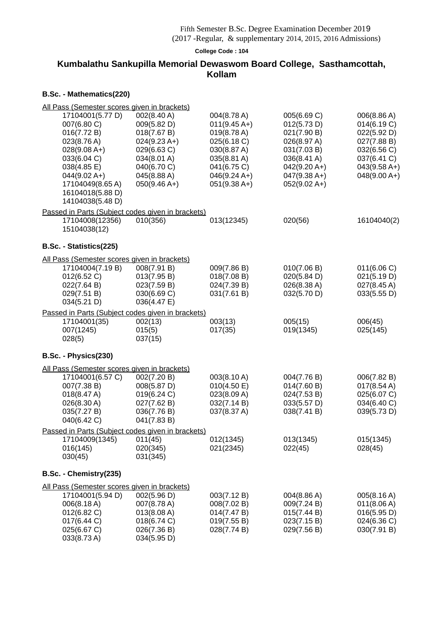### (2017 -Regular, & supplementary 2014, 2015, 2016 Admissions)

**College Code : 104**

## **Kumbalathu Sankupilla Memorial Dewaswom Board College, Sasthamcottah, Kollam**

| All Pass (Semester scores given in brackets)                                                                                                                                                |                                                                                                                                           |                                                                                                                                              |                                                                                                                                              |                                                                                                                            |
|---------------------------------------------------------------------------------------------------------------------------------------------------------------------------------------------|-------------------------------------------------------------------------------------------------------------------------------------------|----------------------------------------------------------------------------------------------------------------------------------------------|----------------------------------------------------------------------------------------------------------------------------------------------|----------------------------------------------------------------------------------------------------------------------------|
| 17104001(5.77 D)<br>007(6.80 C)<br>016(7.72 B)<br>023(8.76 A)<br>$028(9.08 A+)$<br>033(6.04 C)<br>038(4.85 E)<br>$044(9.02 A+)$<br>17104049(8.65 A)<br>16104018(5.88 D)<br>14104038(5.48 D) | 002(8.40 A)<br>009(5.82 D)<br>018(7.67 B)<br>$024(9.23 A+)$<br>029(6.63 C)<br>034(8.01 A)<br>040(6.70 C)<br>045(8.88 A)<br>$050(9.46 A+)$ | 004(8.78 A)<br>$011(9.45 A+)$<br>019(8.78 A)<br>025(6.18 C)<br>030(8.87 A)<br>035(8.81 A)<br>041(6.75 C)<br>$046(9.24 A+)$<br>$051(9.38 A+)$ | 005(6.69 C)<br>012(5.73 D)<br>021(7.90 B)<br>026(8.97 A)<br>031(7.03 B)<br>036(8.41 A)<br>$042(9.20 A+)$<br>$047(9.38 A+)$<br>$052(9.02 A+)$ | 006(8.86 A)<br>014(6.19 C)<br>022(5.92 D)<br>027(7.88 B)<br>032(6.56 C)<br>037(6.41 C)<br>$043(9.58 A+)$<br>$048(9.00 A+)$ |
| Passed in Parts (Subject codes given in brackets)<br>17104008(12356)<br>15104038(12)                                                                                                        | 010(356)                                                                                                                                  | 013(12345)                                                                                                                                   | 020(56)                                                                                                                                      | 16104040(2)                                                                                                                |
| B.Sc. - Statistics(225)                                                                                                                                                                     |                                                                                                                                           |                                                                                                                                              |                                                                                                                                              |                                                                                                                            |
| All Pass (Semester scores given in brackets)<br>17104004(7.19 B)<br>012(6.52 C)<br>022(7.64 B)<br>029(7.51 B)<br>034(5.21 D)                                                                | 008(7.91 B)<br>013(7.95 B)<br>023(7.59 B)<br>030(6.69 C)<br>036(4.47 E)                                                                   | 009(7.86 B)<br>018(7.08 B)<br>024(7.39 B)<br>031(7.61 B)                                                                                     | 010(7.06 B)<br>020(5.84 D)<br>026(8.38 A)<br>032(5.70 D)                                                                                     | 011(6.06 C)<br>021(5.19 D)<br>027(8.45 A)<br>033(5.55 D)                                                                   |
| Passed in Parts (Subject codes given in brackets)<br>17104001(35)<br>007(1245)<br>028(5)                                                                                                    | 002(13)<br>015(5)<br>037(15)                                                                                                              | 003(13)<br>017(35)                                                                                                                           | 005(15)<br>019(1345)                                                                                                                         | 006(45)<br>025(145)                                                                                                        |
| B.Sc. - Physics(230)                                                                                                                                                                        |                                                                                                                                           |                                                                                                                                              |                                                                                                                                              |                                                                                                                            |
| All Pass (Semester scores given in brackets)<br>17104001(6.57 C)<br>007(7.38 B)<br>018(8.47 A)<br>026(8.30 A)<br>035(7.27 B)<br>040(6.42 C)                                                 | 002(7.20 B)<br>008(5.87 D)<br>019(6.24 C)<br>027(7.62 B)<br>036(7.76 B)<br>041(7.83 B)                                                    | 003(8.10 A)<br>010(4.50 E)<br>023(8.09 A)<br>032(7.14 B)<br>037(8.37 A)                                                                      | 004(7.76 B)<br>014(7.60 B)<br>024(7.53 B)<br>033(5.57 D)<br>038(7.41 B)                                                                      | 006(7.82 B)<br>017(8.54 A)<br>025(6.07 C)<br>034(6.40 C)<br>039(5.73 D)                                                    |
| Passed in Parts (Subject codes given in brackets)                                                                                                                                           |                                                                                                                                           |                                                                                                                                              |                                                                                                                                              |                                                                                                                            |
| 17104009(1345)<br>016(145)<br>030(45)                                                                                                                                                       | 011(45)<br>020(345)<br>031(345)                                                                                                           | 012(1345)<br>021(2345)                                                                                                                       | 013(1345)<br>022(45)                                                                                                                         | 015(1345)<br>028(45)                                                                                                       |
| B.Sc. - Chemistry(235)                                                                                                                                                                      |                                                                                                                                           |                                                                                                                                              |                                                                                                                                              |                                                                                                                            |
| All Pass (Semester scores given in brackets)<br>17104001(5.94 D)<br>006(8.18 A)<br>012(6.82 C)<br>017(6.44 C)<br>025(6.67 C)<br>033(8.73 A)                                                 | 002(5.96 D)<br>007(8.78 A)<br>013(8.08 A)<br>018(6.74 C)<br>026(7.36 B)<br>034(5.95 D)                                                    | 003(7.12 B)<br>008(7.02 B)<br>014(7.47 B)<br>019(7.55 B)<br>028(7.74 B)                                                                      | 004(8.86 A)<br>009(7.24 B)<br>015(7.44 B)<br>023(7.15 B)<br>029(7.56 B)                                                                      | 005(8.16 A)<br>011(8.06 A)<br>016(5.95 D)<br>024(6.36 C)<br>030(7.91 B)                                                    |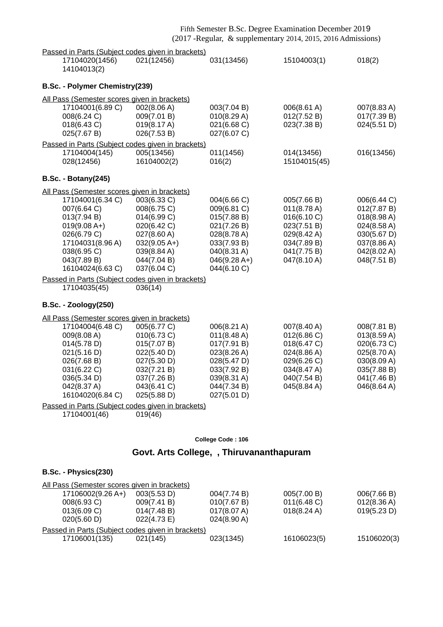|  | Fifth Semester B.Sc. Degree Examination December 2019 |                                                               |
|--|-------------------------------------------------------|---------------------------------------------------------------|
|  |                                                       | (2017 - Regular, & supplementary 2014, 2015, 2016 Admissions) |

|                                                   |            |            | $(2017, 1025, 0000, 0000, 0000, 0000, 0000, 0000, 0000, 0000, 0000, 0000, 0000, 0000, 0000, 0000, 0000, 0000, 0000, 0000, 0000, 0000, 0000, 0000, 0000, 0000, 0000, 0000, 0000, 0000, 0000, 0000, 0000, 0000, 0000, 0000, 000$ |        |
|---------------------------------------------------|------------|------------|--------------------------------------------------------------------------------------------------------------------------------------------------------------------------------------------------------------------------------|--------|
| Passed in Parts (Subject codes given in brackets) |            |            |                                                                                                                                                                                                                                |        |
| 17104020(1456)<br>14104013(2)                     | 021(12456) | 031(13456) | 15104003(1)                                                                                                                                                                                                                    | 018(2) |

#### **B.Sc. - Polymer Chemistry(239)**

| B.SC. - FULYTING CHEMISH Y(259)                     |                |                |                       |             |
|-----------------------------------------------------|----------------|----------------|-----------------------|-------------|
| <u>All Pass (Semester scores given in brackets)</u> |                |                |                       |             |
| 17104001(6.89 C)                                    | 002(8.06 A)    | 003(7.04 B)    | 006(8.61 A)           | 007(8.83 A) |
| 008(6.24 C)                                         | 009(7.01 B)    | 010(8.29 A)    | 012(7.52 B)           | 017(7.39 B) |
| 018(6.43 C)                                         | 019(8.17 A)    | 021(6.68 C)    | 023(7.38 B)           | 024(5.51 D) |
| 025(7.67 B)                                         | 026(7.53 B)    | 027(6.07 C)    |                       |             |
| Passed in Parts (Subject codes given in brackets)   |                |                |                       |             |
| 17104004(145)                                       | 005(13456)     | 011(1456)      | 014(13456)            | 016(13456)  |
| 028(12456)                                          | 16104002(2)    | 016(2)         | 15104015(45)          |             |
| <b>B.Sc. - Botany(245)</b>                          |                |                |                       |             |
| All Pass (Semester scores given in brackets)        |                |                |                       |             |
| 17104001(6.34 C)                                    | 003(6.33 C)    | 004(6.66 C)    | 005(7.66 B)           | 006(6.44 C) |
| 007(6.64 C)                                         | 008(6.75 C)    | 009(6.81 C)    | $011(8.78 \text{ A})$ | 012(7.87 B) |
| 013(7.94 B)                                         | 014(6.99 C)    | 015(7.88 B)    | 016(6.10 C)           | 018(8.98 A) |
| $019(9.08 A+)$                                      | 020(6.42 C)    | 021(7.26 B)    | 023(7.51 B)           | 024(8.58 A) |
| 026(6.79 C)                                         | 027(8.60 A)    | 028(8.78 A)    | 029(8.42 A)           | 030(5.67 D) |
| 17104031(8.96 A)                                    | $032(9.05 A+)$ | 033(7.93 B)    | 034(7.89 B)           | 037(8.86 A) |
| 038(6.95 C)                                         | 039(8.84 A)    | 040(8.31 A)    | 041(7.75 B)           | 042(8.02 A) |
| 043(7.89 B)                                         | 044(7.04 B)    | $046(9.28 A+)$ | 047(8.10 A)           | 048(7.51 B) |
| 16104024(6.63 C)                                    | 037(6.04 C)    | 044(6.10 C)    |                       |             |

Passed in Parts (Subject codes given in brackets)

17104035(45) 036(14)

### **B.Sc. - Zoology(250)**

#### All Pass (Semester scores given in brackets)

| 17104004(6.48 C)                | 005(6.77 C)                | $006(8.21 \text{ A})$                | 007(8.40 A)              | 008(7.81 B)                |
|---------------------------------|----------------------------|--------------------------------------|--------------------------|----------------------------|
| 009(8.08 A)<br>014(5.78 D)      | 010(6.73 C)<br>015(7.07 B) | $011(8.48 \text{ A})$<br>017(7.91 B) | 012(6.86)<br>018(6.47 C) | 013(8.59 A)<br>020(6.73 C) |
| 021(5.16 D)                     | 022(5.40 D)                | $023(8.26 \text{ A})$                | $024(8.86 \text{ A})$    | $025(8.70 \text{ A})$      |
| 026(7.68 B)                     | 027(5.30 D)                | 028(5.47 D)                          | 029(6.26 C)              | 030(8.09 A)                |
| 031(6.22 C)                     | 032(7.21 B)                | 033(7.92 B)                          | 034(8.47 A)              | 035(7.88 B)                |
| 036(5.34 D)                     | 037(7.26 B)                | $039(8.31 \text{ A})$                | 040(7.54 B)              | 041(7.46 B)                |
| 042(8.37 A)<br>16104020(6.84 C) | 043(6.41 C)<br>025(5.88 D) | 044(7.34 B)<br>027(5.01 D)           | $045(8.84 \text{ A})$    | 046(8.64 A)                |
|                                 |                            |                                      |                          |                            |

Passed in Parts (Subject codes given in brackets)

17104001(46) 019(46)

#### **College Code : 106**

### **Govt. Arts College, , Thiruvananthapuram**

## **B.Sc. - Physics(230)**

| All Pass (Semester scores given in brackets) |                                                   |                       |                       |                       |
|----------------------------------------------|---------------------------------------------------|-----------------------|-----------------------|-----------------------|
| 17106002(9.26 A+)                            | 003(5.53 D)                                       | 004(7.74 B)           | 005(7.00 B)           | 006(7.66 B)           |
| 008(6.93 C)                                  | 009(7.41 B)                                       | 010(7.67 B)           | $011(6.48)$ C)        | $012(8.36 \text{ A})$ |
| 013(6.09 C)                                  | 014(7.48 B)                                       | 017(8.07 A)           | $018(8.24 \text{ A})$ | 019(5.23 D)           |
| 020(5.60 D)                                  | 022(4.73 E)                                       | $024(8.90 \text{ A})$ |                       |                       |
|                                              | Passed in Parts (Subject codes given in brackets) |                       |                       |                       |
| 17106001(135)                                | 021(145)                                          | 023(1345)             | 16106023(5)           | 15106020(3)           |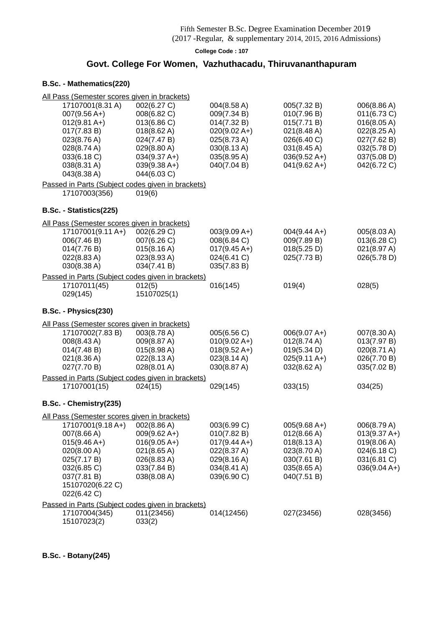(2017 -Regular, & supplementary 2014, 2015, 2016 Admissions)

**College Code : 107**

## **Govt. College For Women, Vazhuthacadu, Thiruvananthapuram**

### **B.Sc. - Mathematics(220)**

| All Pass (Semester scores given in brackets)                                                                                                      |                                                                                                             |                                                                                                          |                                                                                                                    |                                                                                              |
|---------------------------------------------------------------------------------------------------------------------------------------------------|-------------------------------------------------------------------------------------------------------------|----------------------------------------------------------------------------------------------------------|--------------------------------------------------------------------------------------------------------------------|----------------------------------------------------------------------------------------------|
| 17107001(8.31 A)<br>$007(9.56 A+)$<br>$012(9.81 A+)$<br>017(7.83 B)                                                                               | 002(6.27 C)<br>008(6.82 C)<br>013(6.86 C)<br>$018(8.62 \text{ A})$                                          | 004(8.58 A)<br>009(7.34 B)<br>014(7.32 B)<br>$020(9.02 A+)$                                              | 005(7.32 B)<br>010(7.96 B)<br>015(7.71 B)<br>$021(8.48 \text{ A})$                                                 | 006(8.86 A)<br>011(6.73 C)<br>016(8.05 A)<br>022(8.25 A)                                     |
| 023(8.76 A)<br>028(8.74 A)<br>033(6.18 C)<br>038(8.31 A)<br>043(8.38 A)                                                                           | 024(7.47 B)<br>029(8.80 A)<br>$034(9.37 A+)$<br>$039(9.38 A+)$<br>044(6.03 C)                               | 025(8.73 A)<br>030(8.13 A)<br>035(8.95 A)<br>040(7.04 B)                                                 | 026(6.40 C)<br>$031(8.45 \text{ A})$<br>$036(9.52 \text{ A+})$<br>$041(9.62 A+)$                                   | 027(7.62 B)<br>032(5.78 D)<br>037(5.08 D)<br>042(6.72 C)                                     |
| Passed in Parts (Subject codes given in brackets)<br>17107003(356)                                                                                | 019(6)                                                                                                      |                                                                                                          |                                                                                                                    |                                                                                              |
| B.Sc. - Statistics(225)                                                                                                                           |                                                                                                             |                                                                                                          |                                                                                                                    |                                                                                              |
| All Pass (Semester scores given in brackets)                                                                                                      |                                                                                                             |                                                                                                          |                                                                                                                    |                                                                                              |
| 17107001(9.11 A+)<br>006(7.46 B)<br>014(7.76 B)<br>022(8.83 A)<br>030(8.38 A)<br>Passed in Parts (Subject codes given in brackets)                | 002(6.29 C)<br>007(6.26 C)<br>$015(8.16 \text{ A})$<br>023(8.93 A)<br>034(7.41 B)                           | $003(9.09 A+)$<br>008(6.84 C)<br>$017(9.45 A+)$<br>024(6.41 C)<br>035(7.83 B)                            | $004(9.44 A+)$<br>009(7.89 B)<br>018(5.25 D)<br>025(7.73 B)                                                        | 005(8.03 A)<br>013(6.28 C)<br>021(8.97 A)<br>026(5.78 D)                                     |
| 17107011(45)<br>029(145)                                                                                                                          | 012(5)<br>15107025(1)                                                                                       | 016(145)                                                                                                 | 019(4)                                                                                                             | 028(5)                                                                                       |
| B.Sc. - Physics(230)                                                                                                                              |                                                                                                             |                                                                                                          |                                                                                                                    |                                                                                              |
| All Pass (Semester scores given in brackets)                                                                                                      |                                                                                                             |                                                                                                          |                                                                                                                    |                                                                                              |
| 17107002(7.83 B)<br>008(8.43 A)<br>014(7.48 B)<br>021(8.36 A)<br>027(7.70 B)                                                                      | 003(8.78 A)<br>009(8.87 A)<br>015(8.98 A)<br>022(8.13 A)<br>028(8.01 A)                                     | 005(6.56 C)<br>$010(9.02 A+)$<br>$018(9.52 \text{ A+})$<br>023(8.14 A)<br>030(8.87 A)                    | $006(9.07 A+)$<br>$012(8.74 \text{ A})$<br>019(5.34 D)<br>$025(9.11 \text{ A+})$<br>032(8.62 A)                    | 007(8.30 A)<br>013(7.97 B)<br>020(8.71 A)<br>026(7.70 B)<br>035(7.02 B)                      |
| Passed in Parts (Subject codes given in brackets)                                                                                                 |                                                                                                             |                                                                                                          |                                                                                                                    |                                                                                              |
| 17107001(15)                                                                                                                                      | 024(15)                                                                                                     | 029(145)                                                                                                 | 033(15)                                                                                                            | 034(25)                                                                                      |
| B.Sc. - Chemistry(235)                                                                                                                            |                                                                                                             |                                                                                                          |                                                                                                                    |                                                                                              |
| All Pass (Semester scores given in brackets)                                                                                                      |                                                                                                             |                                                                                                          |                                                                                                                    |                                                                                              |
| 17107001(9.18 A+)<br>007(8.66 A)<br>$015(9.46 A+)$<br>020(8.00 A)<br>025(7.17 B)<br>032(6.85 C)<br>037(7.81 B)<br>15107020(6.22 C)<br>022(6.42 C) | 002(8.86 A)<br>$009(9.62 A+)$<br>$016(9.05 A+)$<br>021(8.65 A)<br>026(8.83 A)<br>033(7.84 B)<br>038(8.08 A) | 003(6.99 C)<br>010(7.82 B)<br>$017(9.44 A+)$<br>022(8.37 A)<br>029(8.16 A)<br>034(8.41 A)<br>039(6.90 C) | $005(9.68 A+)$<br>012(8.66 A)<br>$018(8.13 \text{ A})$<br>023(8.70 A)<br>030(7.61 B)<br>035(8.65 A)<br>040(7.51 B) | 006(8.79 A)<br>$013(9.37 A+)$<br>019(8.06 A)<br>024(6.18 C)<br>031(6.81 C)<br>$036(9.04 A+)$ |
| Passed in Parts (Subject codes given in brackets)                                                                                                 |                                                                                                             |                                                                                                          |                                                                                                                    |                                                                                              |
| 17107004(345)<br>15107023(2)                                                                                                                      | 011(23456)<br>033(2)                                                                                        | 014(12456)                                                                                               | 027(23456)                                                                                                         | 028(3456)                                                                                    |

**B.Sc. - Botany(245)**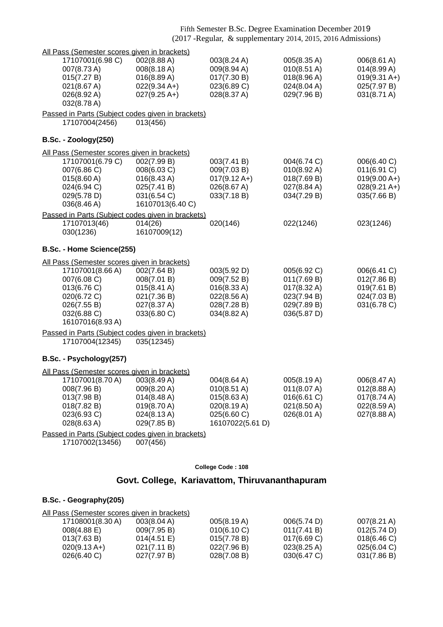| All Pass (Semester scores given in brackets)                                                                                                                                                                                    |                                                                                                       |                                                                                             |                                                                                                  |                                                                                       |
|---------------------------------------------------------------------------------------------------------------------------------------------------------------------------------------------------------------------------------|-------------------------------------------------------------------------------------------------------|---------------------------------------------------------------------------------------------|--------------------------------------------------------------------------------------------------|---------------------------------------------------------------------------------------|
| 17107001(6.98 C)<br>007(8.73A)<br>015(7.27 B)<br>021(8.67 A)<br>026(8.92 A)                                                                                                                                                     | 002(8.88 A)<br>008(8.18 A)<br>016(8.89 A)<br>$022(9.34 A+)$<br>$027(9.25 A+)$                         | 003(8.24 A)<br>009(8.94 A)<br>017(7.30 B)<br>023(6.89 C)<br>028(8.37 A)                     | 005(8.35 A)<br>010(8.51 A)<br>018(8.96 A)<br>024(8.04 A)<br>029(7.96 B)                          | 006(8.61 A)<br>014(8.99 A)<br>$019(9.31 A+)$<br>025(7.97 B)<br>031(8.71 A)            |
| 032(8.78 A)<br>Passed in Parts (Subject codes given in brackets)                                                                                                                                                                |                                                                                                       |                                                                                             |                                                                                                  |                                                                                       |
| 17107004(2456)                                                                                                                                                                                                                  | 013(456)                                                                                              |                                                                                             |                                                                                                  |                                                                                       |
| <b>B.Sc. - Zoology(250)</b>                                                                                                                                                                                                     |                                                                                                       |                                                                                             |                                                                                                  |                                                                                       |
| All Pass (Semester scores given in brackets)<br>17107001(6.79 C)<br>007(6.86 C)<br>015(8.60 A)<br>024(6.94 C)<br>029(5.78 D)<br>036(8.46 A)                                                                                     | 002(7.99 B)<br>008(6.03 C)<br>$016(8.43 \text{ A})$<br>025(7.41 B)<br>031(6.54 C)<br>16107013(6.40 C) | 003(7.41 B)<br>009(7.03 B)<br>$017(9.12 \text{ A+})$<br>026(8.67 A)<br>033(7.18 B)          | 004(6.74 C)<br>$010(8.92 \text{ A})$<br>018(7.69 B)<br>027(8.84 A)<br>034(7.29 B)                | 006(6.40 C)<br>011(6.91 C)<br>$019(9.00 A+)$<br>$028(9.21 \text{ A+})$<br>035(7.66 B) |
| Passed in Parts (Subject codes given in brackets)                                                                                                                                                                               |                                                                                                       |                                                                                             |                                                                                                  |                                                                                       |
| 17107013(46)<br>030(1236)                                                                                                                                                                                                       | 014(26)<br>16107009(12)                                                                               | 020(146)                                                                                    | 022(1246)                                                                                        | 023(1246)                                                                             |
| B.Sc. - Home Science(255)                                                                                                                                                                                                       |                                                                                                       |                                                                                             |                                                                                                  |                                                                                       |
| All Pass (Semester scores given in brackets)<br>17107001(8.66 A)<br>007(6.08 C)<br>013(6.76 C)<br>020(6.72 C)<br>026(7.55 B)<br>032(6.88 C)<br>16107016(8.93 A)                                                                 | 002(7.64 B)<br>008(7.01 B)<br>$015(8.41 \text{ A})$<br>021(7.36 B)<br>027(8.37 A)<br>033(6.80 C)      | 003(5.92 D)<br>009(7.52 B)<br>016(8.33 A)<br>022(8.56 A)<br>028(7.28 B)<br>034(8.82 A)      | 005(6.92 C)<br>011(7.69 B)<br>$017(8.32 \text{ A})$<br>023(7.94 B)<br>029(7.89 B)<br>036(5.87 D) | 006(6.41 C)<br>012(7.86 B)<br>019(7.61 B)<br>024(7.03 B)<br>031(6.78 C)               |
| Passed in Parts (Subject codes given in brackets)<br>17107004(12345)                                                                                                                                                            | 035(12345)                                                                                            |                                                                                             |                                                                                                  |                                                                                       |
| B.Sc. - Psychology(257)                                                                                                                                                                                                         |                                                                                                       |                                                                                             |                                                                                                  |                                                                                       |
| All Pass (Semester scores given in brackets)<br>17107001(8.70 A) 003(8.49 A)<br>008(7.96 B)<br>013(7.98 B)<br>018(7.82 B)<br>023(6.93 C)<br>028(8.63 A)<br>Passed in Parts (Subject codes given in brackets)<br>17107002(13456) | 009(8.20 A)<br>$014(8.48 \text{ A})$<br>019(8.70 A)<br>024(8.13 A)<br>029(7.85 B)<br>007(456)         | 004(8.64 A)<br>010(8.51 A)<br>015(8.63 A)<br>020(8.19 A)<br>025(6.60 C)<br>16107022(5.61 D) | 005(8.19 A)<br>011(8.07 A)<br>016(6.61 C)<br>021(8.50 A)<br>026(8.01 A)                          | 006(8.47 A)<br>012(8.88 A)<br>$017(8.74 \text{ A})$<br>022(8.59 A)<br>027(8.88 A)     |

# **Govt. College, Kariavattom, Thiruvananthapuram**

### **B.Sc. - Geography(205)**

| All Pass (Semester scores given in brackets) |                       |             |                       |                |
|----------------------------------------------|-----------------------|-------------|-----------------------|----------------|
| 17108001(8.30 A)                             | $003(8.04 \text{ A})$ | 005(8.19 A) | 006(5.74 D)           | 007(8.21 A)    |
| $008(4.88)$ E)                               | 009(7.95 B)           | 010(6.10 C) | 011(7.41 B)           | 012(5.74 D)    |
| 013(7.63 B)                                  | $014(4.51 \text{ E})$ | 015(7.78 B) | $017(6.69)$ C)        | 018(6.46)      |
| $020(9.13 A+)$                               | 021(7.11 B)           | 022(7.96 B) | $023(8.25 \text{ A})$ | $025(6.04)$ C) |
| 026(6.40)                                    | 027(7.97 B)           | 028(7.08 B) | 030(6.47 C)           | 031(7.86 B)    |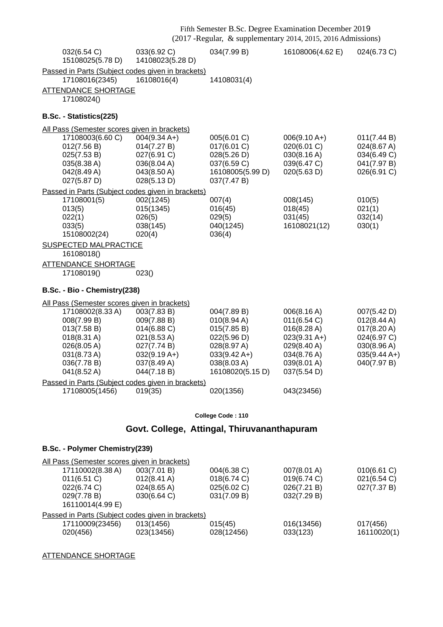| 032(6.54 C)<br>15108025(5.78 D)                   | 033(6.92 C)<br>14108023(5.28 D)             | 034(7.99 B)                | 16108006(4.62 E)              | 024(6.73 C)                |  |  |
|---------------------------------------------------|---------------------------------------------|----------------------------|-------------------------------|----------------------------|--|--|
| Passed in Parts (Subject codes given in brackets) |                                             |                            |                               |                            |  |  |
| 17108016(2345)                                    | 16108016(4)                                 | 14108031(4)                |                               |                            |  |  |
| <b>ATTENDANCE SHORTAGE</b>                        |                                             |                            |                               |                            |  |  |
| 17108024()                                        |                                             |                            |                               |                            |  |  |
| B.Sc. - Statistics(225)                           |                                             |                            |                               |                            |  |  |
| All Pass (Semester scores given in brackets)      |                                             |                            |                               |                            |  |  |
| 17108003(6.60 C)<br>012(7.56 B)                   | $004(9.34 \text{ A+})$<br>014(7.27 B)       | 005(6.01 C)<br>017(6.01 C) | $006(9.10 A+)$<br>020(6.01 C) | 011(7.44 B)                |  |  |
| 025(7.53 B)                                       | 027(6.91 C)                                 | 028(5.26 D)                | 030(8.16 A)                   | 024(8.67 A)<br>034(6.49 C) |  |  |
| 035(8.38 A)                                       | 036(8.04 A)                                 | 037(6.59 C)                | 039(6.47 C)                   | 041(7.97 B)                |  |  |
| 042(8.49 A)                                       | 043(8.50 A)                                 | 16108005(5.99 D)           | 020(5.63 D)                   | 026(6.91 C)                |  |  |
| 027(5.87 D)                                       | 028(5.13 D)                                 | 037(7.47 B)                |                               |                            |  |  |
| Passed in Parts (Subject codes given in brackets) |                                             |                            |                               |                            |  |  |
| 17108001(5)                                       | 002(1245)                                   | 007(4)                     | 008(145)                      | 010(5)                     |  |  |
| 013(5)<br>022(1)                                  | 015(1345)<br>026(5)                         | 016(45)<br>029(5)          | 018(45)<br>031(45)            | 021(1)<br>032(14)          |  |  |
| 033(5)                                            | 038(145)                                    | 040(1245)                  | 16108021(12)                  | 030(1)                     |  |  |
| 15108002(24)                                      | 020(4)                                      | 036(4)                     |                               |                            |  |  |
| <b>SUSPECTED MALPRACTICE</b><br>16108018()        |                                             |                            |                               |                            |  |  |
| <b>ATTENDANCE SHORTAGE</b>                        |                                             |                            |                               |                            |  |  |
| 17108019()                                        | 023()                                       |                            |                               |                            |  |  |
| B.Sc. - Bio - Chemistry(238)                      |                                             |                            |                               |                            |  |  |
| All Pass (Semester scores given in brackets)      |                                             |                            |                               |                            |  |  |
| 17108002(8.33 A)                                  | 003(7.83 B)                                 | 004(7.89 B)                | 006(8.16 A)                   | 007(5.42 D)                |  |  |
| 008(7.99 B)<br>013(7.58 B)                        | 009(7.88 B)<br>014(6.88 C)                  | 010(8.94 A)<br>015(7.85 B) | 011(6.54 C)<br>016(8.28 A)    | 012(8.44 A)<br>017(8.20 A) |  |  |
| $018(8.31 \text{ A})$                             | 021(8.53 A)                                 | 022(5.96 D)                | $023(9.31 \text{ A+})$        | 024(6.97 C)                |  |  |
| 026(8.05 A)                                       | 027(7.74 B)                                 | 028(8.97 A)                | 029(8.40 A)                   | 030(8.96 A)                |  |  |
| 031(8.73 A)                                       | $032(9.19 A+)$                              | $033(9.42 \text{ A+})$     | 034(8.76 A)                   | $035(9.44 A+)$             |  |  |
| 036(7.78 B)                                       | 037(8.49 A)                                 | 038(8.03 A)                | 039(8.01 A)                   | 040(7.97 B)                |  |  |
| 041(8.52 A)                                       | 044(7.18 B)                                 | 16108020(5.15 D)           | 037(5.54 D)                   |                            |  |  |
| Passed in Parts (Subject codes given in brackets) |                                             |                            |                               |                            |  |  |
| 17108005(1456)                                    | 019(35)                                     | 020(1356)                  | 043(23456)                    |                            |  |  |
|                                                   |                                             | College Code: 110          |                               |                            |  |  |
|                                                   |                                             |                            |                               |                            |  |  |
|                                                   | Govt. College, Attingal, Thiruvananthapuram |                            |                               |                            |  |  |

## **B.Sc. - Polymer Chemistry(239)**

| All Pass (Semester scores given in brackets)      |                         |                       |                        |                         |  |
|---------------------------------------------------|-------------------------|-----------------------|------------------------|-------------------------|--|
| 17110002(8.38 A)                                  | 003(7.01 B)             | 004(6.38 C)           | 007(8.01 A)            | $010(6.61)$ C)          |  |
| $011(6.51)$ C)                                    | $012(8.41 \text{ A})$   | 018(6.74 C)           | 019(6.74 C)            | 021(6.54)               |  |
| 022(6.74 C)                                       | $024(8.65 \text{ A})$   | 025(6.02 C)           | 026(7.21 B)            | 027(7.37 B)             |  |
| 029(7.78 B)<br>16110014(4.99 E)                   | 030(6.64 C)             | 031(7.09 B)           | 032(7.29 B)            |                         |  |
| Passed in Parts (Subject codes given in brackets) |                         |                       |                        |                         |  |
| 17110009(23456)<br>020(456)                       | 013(1456)<br>023(13456) | 015(45)<br>028(12456) | 016(13456)<br>033(123) | 017(456)<br>16110020(1) |  |

ATTENDANCE SHORTAGE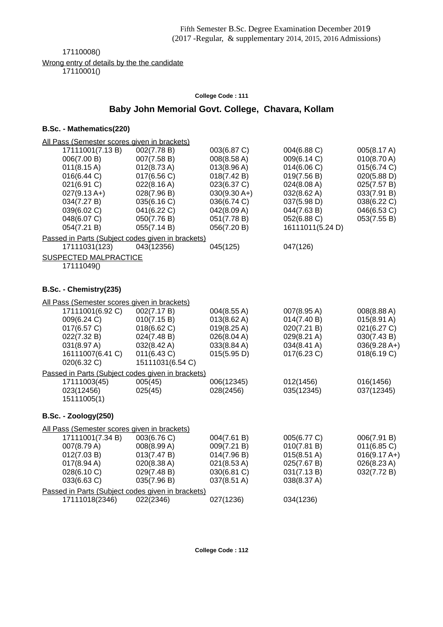17110008()

Wrong entry of details by the the candidate

17110001()

#### **College Code : 111**

## **Baby John Memorial Govt. College, Chavara, Kollam**

| All Pass (Semester scores given in brackets)      |                  |                |                       |                |
|---------------------------------------------------|------------------|----------------|-----------------------|----------------|
| 17111001(7.13B)                                   | 002(7.78 B)      | 003(6.87 C)    | 004(6.88 C)           | 005(8.17 A)    |
| 006(7.00 B)                                       | 007(7.58 B)      | 008(8.58 A)    | 009(6.14 C)           | 010(8.70 A)    |
| 011(8.15 A)                                       | 012(8.73 A)      | 013(8.96 A)    | 014(6.06 C)           | 015(6.74 C)    |
| 016(6.44 C)                                       | 017(6.56 C)      | 018(7.42 B)    | 019(7.56 B)           | 020(5.88 D)    |
| 021(6.91 C)                                       | 022(8.16 A)      | 023(6.37 C)    | 024(8.08 A)           | 025(7.57 B)    |
| $027(9.13 A+)$                                    | 028(7.96 B)      | $030(9.30 A+)$ | 032(8.62 A)           | 033(7.91 B)    |
| 034(7.27 B)                                       | 035(6.16 C)      | 036(6.74 C)    | 037(5.98 D)           | 038(6.22 C)    |
| 039(6.02 C)                                       | 041(6.22 C)      | 042(8.09 A)    | 044(7.63 B)           | 046(6.53 C)    |
| 048(6.07 C)                                       | 050(7.76 B)      | 051(7.78 B)    | 052(6.88 C)           | 053(7.55 B)    |
| 054(7.21 B)                                       | 055(7.14 B)      | 056(7.20 B)    | 16111011(5.24 D)      |                |
| Passed in Parts (Subject codes given in brackets) |                  |                |                       |                |
| 17111031(123)                                     | 043(12356)       | 045(125)       | 047(126)              |                |
| <b>SUSPECTED MALPRACTICE</b>                      |                  |                |                       |                |
| 17111049()                                        |                  |                |                       |                |
|                                                   |                  |                |                       |                |
| B.Sc. - Chemistry(235)                            |                  |                |                       |                |
| All Pass (Semester scores given in brackets)      |                  |                |                       |                |
| 17111001(6.92 C)                                  | 002(7.17 B)      | 004(8.55 A)    | 007(8.95 A)           | 008(8.88 A)    |
| 009(6.24 C)                                       | 010(7.15 B)      | 013(8.62 A)    | 014(7.40 B)           | 015(8.91 A)    |
| 017(6.57 C)                                       | 018(6.62 C)      | 019(8.25 A)    | 020(7.21 B)           | 021(6.27 C)    |
| 022(7.32 B)                                       | 024(7.48 B)      | 026(8.04 A)    | 029(8.21 A)           | 030(7.43 B)    |
| 031(8.97 A)                                       | 032(8.42 A)      | 033(8.84 A)    | 034(8.41 A)           | $036(9.28 A+)$ |
| 16111007(6.41 C)                                  | 011(6.43 C)      | 015(5.95 D)    | 017(6.23 C)           | 018(6.19 C)    |
| 020(6.32 C)                                       | 15111031(6.54 C) |                |                       |                |
| Passed in Parts (Subject codes given in brackets) |                  |                |                       |                |
| 17111003(45)                                      | 005(45)          | 006(12345)     | 012(1456)             | 016(1456)      |
| 023(12456)                                        | 025(45)          | 028(2456)      | 035(12345)            | 037(12345)     |
| 15111005(1)                                       |                  |                |                       |                |
| <b>B.Sc. - Zoology(250)</b>                       |                  |                |                       |                |
| All Pass (Semester scores given in brackets)      |                  |                |                       |                |
| 17111001(7.34 B)                                  | 003(6.76 C)      | 004(7.61 B)    | 005(6.77 C)           | 006(7.91 B)    |
| 007(8.79 A)                                       | 008(8.99 A)      | 009(7.21 B)    | 010(7.81 B)           | 011(6.85)      |
| 012(7.03 B)                                       | 013(7.47 B)      | 014(7.96 B)    | $015(8.51 \text{ A})$ | $016(9.17 A+)$ |
| 017(8.94 A)                                       | 020(8.38 A)      | 021(8.53 A)    | 025(7.67 B)           | 026(8.23 A)    |
| 028(6.10 C)                                       | 029(7.48 B)      | 030(6.81 C)    | 031(7.13 B)           | 032(7.72 B)    |
| 033(6.63 C)                                       | 035(7.96 B)      | 037(8.51 A)    | 038(8.37 A)           |                |
| Passed in Parts (Subject codes given in brackets) |                  |                |                       |                |
| 17111018(2346)                                    | 022(2346)        | 027(1236)      | 034(1236)             |                |
|                                                   |                  |                |                       |                |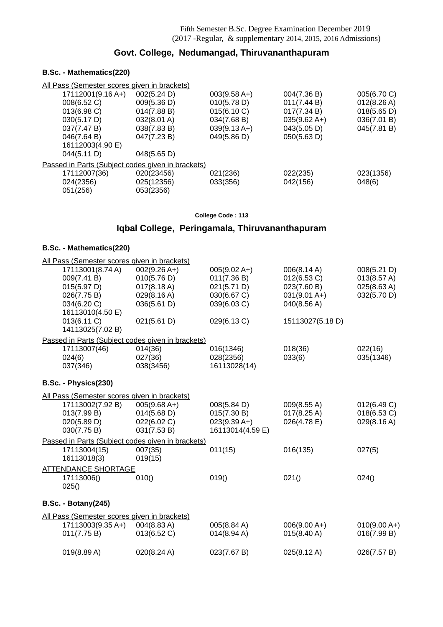## **Govt. College, Nedumangad, Thiruvananthapuram**

### **B.Sc. - Mathematics(220)**

| All Pass (Semester scores given in brackets)      |             |                |                |                       |
|---------------------------------------------------|-------------|----------------|----------------|-----------------------|
| 17112001(9.16 A+)                                 | 002(5.24 D) | $003(9.58 A+)$ | 004(7.36 B)    | 005(6.70 C)           |
| 008(6.52 C)                                       | 009(5.36 D) | 010(5.78 D)    | 011(7.44 B)    | $012(8.26 \text{ A})$ |
| 013(6.98 C)                                       | 014(7.88 B) | 015(6.10 C)    | 017(7.34 B)    | 018(5.65 D)           |
| 030(5.17 D)                                       | 032(8.01 A) | 034(7.68 B)    | $035(9.62 A+)$ | 036(7.01 B)           |
| 037(7.47 B)                                       | 038(7.83 B) | $039(9.13 A+)$ | 043(5.05 D)    | 045(7.81 B)           |
| 046(7.64 B)                                       | 047(7.23 B) | 049(5.86 D)    | 050(5.63 D)    |                       |
| 16112003(4.90 E)                                  |             |                |                |                       |
| 044(5.11 D)                                       | 048(5.65 D) |                |                |                       |
| Passed in Parts (Subject codes given in brackets) |             |                |                |                       |
| 17112007(36)                                      | 020(23456)  | 021(236)       | 022(235)       | 023(1356)             |
| 024(2356)                                         | 025(12356)  | 033(356)       | 042(156)       | 048(6)                |
| 051(256)                                          | 053(2356)   |                |                |                       |
|                                                   |             |                |                |                       |

#### **College Code : 113**

## **Iqbal College, Peringamala, Thiruvananthapuram**

| All Pass (Semester scores given in brackets) |                                                   |                  |                       |                |
|----------------------------------------------|---------------------------------------------------|------------------|-----------------------|----------------|
| 17113001(8.74 A)                             | $002(9.26 A+)$                                    | $005(9.02 A+)$   | 006(8.14 A)           | 008(5.21 D)    |
| 009(7.41 B)                                  | 010(5.76 D)                                       | 011(7.36 B)      | 012(6.53 C)           | 013(8.57 A)    |
| 015(5.97 D)                                  | $017(8.18 \text{ A})$                             | 021(5.71 D)      | 023(7.60 B)           | 025(8.63 A)    |
| 026(7.75 B)                                  | 029(8.16 A)                                       | 030(6.67 C)      | $031(9.01 A+)$        | 032(5.70 D)    |
| 034(6.20 C)                                  | 036(5.61 D)                                       | 039(6.03 C)      | 040(8.56 A)           |                |
| 16113010(4.50 E)                             |                                                   |                  |                       |                |
| 013(6.11 C)                                  | 021(5.61 D)                                       | 029(6.13 C)      | 15113027(5.18 D)      |                |
| 14113025(7.02 B)                             |                                                   |                  |                       |                |
|                                              | Passed in Parts (Subject codes given in brackets) |                  |                       |                |
| 17113007(46)                                 | 014(36)                                           | 016(1346)        | 018(36)               | 022(16)        |
| 024(6)                                       | 027(36)                                           | 028(2356)        | 033(6)                | 035(1346)      |
| 037(346)                                     | 038(3456)                                         | 16113028(14)     |                       |                |
| B.Sc. - Physics(230)                         |                                                   |                  |                       |                |
| All Pass (Semester scores given in brackets) |                                                   |                  |                       |                |
| 17113002(7.92 B)                             | $005(9.68 A+)$                                    | 008(5.84 D)      | 009(8.55 A)           | 012(6.49 C)    |
| 013(7.99 B)                                  | 014(5.68 D)                                       | 015(7.30 B)      | $017(8.25 \text{ A})$ | 018(6.53 C)    |
| 020(5.89 D)                                  | 022(6.02 C)                                       | $023(9.39 A+)$   | 026(4.78 E)           | 029(8.16 A)    |
| 030(7.75 B)                                  | 031(7.53 B)                                       | 16113014(4.59 E) |                       |                |
|                                              | Passed in Parts (Subject codes given in brackets) |                  |                       |                |
| 17113004(15)                                 | 007(35)                                           | 011(15)          | 016(135)              | 027(5)         |
| 16113018(3)                                  | 019(15)                                           |                  |                       |                |
| <b>ATTENDANCE SHORTAGE</b>                   |                                                   |                  |                       |                |
| 17113006()                                   | 010()                                             | 019()            | 021()                 | 024()          |
| 025()                                        |                                                   |                  |                       |                |
| <b>B.Sc. - Botany(245)</b>                   |                                                   |                  |                       |                |
| All Pass (Semester scores given in brackets) |                                                   |                  |                       |                |
| 17113003(9.35 A+)                            | 004(8.83 A)                                       | 005(8.84 A)      | $006(9.00 A+)$        | $010(9.00 A+)$ |
| 011(7.75 B)                                  | 013(6.52 C)                                       | 014(8.94 A)      | $015(8.40 \text{ A})$ | 016(7.99 B)    |
|                                              |                                                   |                  |                       |                |
| 019(8.89 A)                                  | 020(8.24 A)                                       | 023(7.67 B)      | 025(8.12 A)           | 026(7.57 B)    |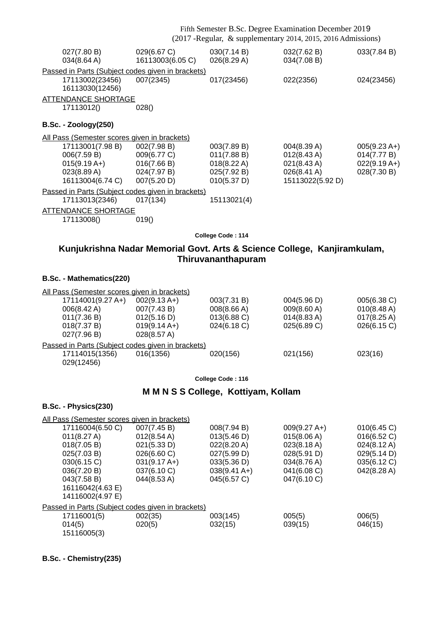|                                                                                                                                                                                                                                           |                                                                                     |                                                                                        | Fifth Semester B.Sc. Degree Examination December 2019<br>(2017 - Regular, & supplementary 2014, 2015, 2016 Admissions) |                                                                        |
|-------------------------------------------------------------------------------------------------------------------------------------------------------------------------------------------------------------------------------------------|-------------------------------------------------------------------------------------|----------------------------------------------------------------------------------------|------------------------------------------------------------------------------------------------------------------------|------------------------------------------------------------------------|
| 027(7.80 B)<br>034(8.64 A)                                                                                                                                                                                                                | 029(6.67 C)<br>16113003(6.05 C)                                                     | 030(7.14 B)<br>026(8.29 A)                                                             | 032(7.62 B)<br>034(7.08 B)                                                                                             | 033(7.84 B)                                                            |
| Passed in Parts (Subject codes given in brackets)<br>17113002(23456)<br>16113030(12456)                                                                                                                                                   | 007(2345)                                                                           | 017(23456)                                                                             | 022(2356)                                                                                                              | 024(23456)                                                             |
| <b>ATTENDANCE SHORTAGE</b><br>17113012()                                                                                                                                                                                                  | 028()                                                                               |                                                                                        |                                                                                                                        |                                                                        |
| <b>B.Sc. - Zoology(250)</b>                                                                                                                                                                                                               |                                                                                     |                                                                                        |                                                                                                                        |                                                                        |
| All Pass (Semester scores given in brackets)<br>17113001(7.98 B)<br>006(7.59 B)<br>$015(9.19 A+)$<br>023(8.89 A)<br>16113004(6.74 C)<br>Passed in Parts (Subject codes given in brackets)<br>17113013(2346)<br><b>ATTENDANCE SHORTAGE</b> | 002(7.98 B)<br>009(6.77 C)<br>016(7.66 B)<br>024(7.97 B)<br>007(5.20 D)<br>017(134) | 003(7.89 B)<br>011(7.88 B)<br>018(8.22 A)<br>025(7.92 B)<br>010(5.37 D)<br>15113021(4) | 004(8.39 A)<br>$012(8.43 \text{ A})$<br>021(8.43 A)<br>026(8.41 A)<br>15113022(5.92 D)                                 | $005(9.23 \text{ A+})$<br>014(7.77 B)<br>$022(9.19 A+)$<br>028(7.30 B) |
| 17113008()                                                                                                                                                                                                                                | 019()                                                                               |                                                                                        |                                                                                                                        |                                                                        |
|                                                                                                                                                                                                                                           |                                                                                     | College Code: 114<br>Thiruvananthapuram                                                | Kunjukrishna Nadar Memorial Govt. Arts & Science College, Kanjiramkulam,                                               |                                                                        |
| B.Sc. - Mathematics(220)                                                                                                                                                                                                                  |                                                                                     |                                                                                        |                                                                                                                        |                                                                        |
| All Pass (Semester scores given in brackets)<br>17114001(9.27 A+)<br>006(8.42 A)<br>011(7.36 B)<br>018(7.37 B)<br>027(7.96 B)                                                                                                             | $002(9.13 A+)$<br>007(7.43 B)<br>012(5.16 D)<br>$019(9.14 A+)$<br>028(8.57 A)       | 003(7.31 B)<br>008(8.66 A)<br>013(6.88 C)<br>024(6.18 C)                               | 004(5.96 D)<br>009(8.60 A)<br>014(8.83 A)<br>025(6.89 C)                                                               | 005(6.38 C)<br>010(8.48 A)<br>$017(8.25 \text{ A})$<br>026(6.15 C)     |
| Passed in Parts (Subject codes given in brackets)<br>17114015(1356)<br>029(12456)                                                                                                                                                         | 016(1356)                                                                           | 020(156)                                                                               | 021(156)                                                                                                               | 023(16)                                                                |
|                                                                                                                                                                                                                                           |                                                                                     | College Code: 116                                                                      |                                                                                                                        |                                                                        |
|                                                                                                                                                                                                                                           |                                                                                     | M M N S S College, Kottiyam, Kollam                                                    |                                                                                                                        |                                                                        |
| B.Sc. - Physics(230)                                                                                                                                                                                                                      |                                                                                     |                                                                                        |                                                                                                                        |                                                                        |
| All Pass (Semester scores given in brackets)<br>17116004(6.50 C)<br>011(8.27 A)                                                                                                                                                           | 007(7.45 B)<br>012(8.54 A)                                                          | 008(7.94 B)<br>013(5.46 D)                                                             | $009(9.27 A+)$<br>015(8.06 A)                                                                                          | 010(6.45)<br>016(6.52 C)                                               |

| 011(8.27 A)                                       | $012(8.54 \text{ A})$  | 013(5.46 D)           | 015(8.06 A) | 016(6.52 C) |
|---------------------------------------------------|------------------------|-----------------------|-------------|-------------|
| 018(7.05 B)                                       | 021(5.33 D)            | 022(8.20 A)           | 023(8.18 A) | 024(8.12 A) |
| 025(7.03 B)                                       | 026(6.60 C)            | 027(5.99 D)           | 028(5.91 D) | 029(5.14 D) |
| 030(6.15 C)                                       | $031(9.17 \text{ A+})$ | 033(5.36 D)           | 034(8.76 A) | 035(6.12 C) |
| 036(7.20 B)                                       | 037(6.10 C)            | $038(9.41 \text{ A})$ | 041(6.08 C) | 042(8.28 A) |
| 043(7.58 B)                                       | 044(8.53 A)            | 045(6.57 C)           | 047(6.10 C) |             |
| 16116042(4.63 E)                                  |                        |                       |             |             |
| 14116002(4.97 E)                                  |                        |                       |             |             |
| Passed in Parts (Subject codes given in brackets) |                        |                       |             |             |
| 17116001(5)                                       | 002(35)                | 003(145)              | 005(5)      | 006(5)      |
| 014(5)                                            | 020(5)                 | 032(15)               | 039(15)     | 046(15)     |
| 15116005(3)                                       |                        |                       |             |             |
|                                                   |                        |                       |             |             |

**B.Sc. - Chemistry(235)**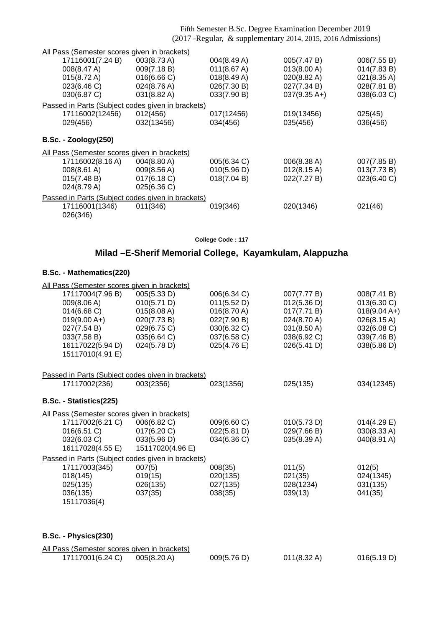| All Pass (Semester scores given in brackets)      |                       |             |                        |             |
|---------------------------------------------------|-----------------------|-------------|------------------------|-------------|
| 17116001(7.24 B)                                  | 003(8.73 A)           | 004(8.49 A) | 005(7.47 B)            | 006(7.55 B) |
| 008(8.47 A)                                       | 009(7.18 B)           | 011(8.67 A) | 013(8.00 A)            | 014(7.83 B) |
| 015(8.72 A)                                       | 016(6.66 C)           | 018(8.49 A) | $020(8.82 \text{ A})$  | 021(8.35 A) |
| 023(6.46 C)                                       | 024(8.76 A)           | 026(7.30 B) | 027(7.34 B)            | 028(7.81 B) |
| 030(6.87 C)                                       | 031(8.82 A)           | 033(7.90 B) | $037(9.35 \text{ A+})$ | 038(6.03 C) |
| Passed in Parts (Subject codes given in brackets) |                       |             |                        |             |
| 17116002(12456)                                   | 012(456)              | 017(12456)  | 019(13456)             | 025(45)     |
| 029(456)                                          | 032(13456)            | 034(456)    | 035(456)               | 036(456)    |
| <b>B.Sc. - Zoology(250)</b>                       |                       |             |                        |             |
| All Pass (Semester scores given in brackets)      |                       |             |                        |             |
| 17116002(8.16 A)                                  | $004(8.80 \text{ A})$ | 005(6.34 C) | 006(8.38 A)            | 007(7.85 B) |
| 008(8.61 A)                                       | 009(8.56 A)           | 010(5.96 D) | $012(8.15 \text{ A})$  | 013(7.73 B) |
| 015(7.48 B)                                       | 017(6.18 C)           | 018(7.04 B) | 022(7.27 B)            | 023(6.40 C) |
| 024(8.79 A)                                       | 025(6.36)             |             |                        |             |
| Passed in Parts (Subject codes given in brackets) |                       |             |                        |             |
| 17116001(1346)                                    | 011(346)              | 019(346)    | 020(1346)              | 021(46)     |
| 026(346)                                          |                       |             |                        |             |
|                                                   |                       |             |                        |             |

**College Code : 117**

## **Milad –E-Sherif Memorial College, Kayamkulam, Alappuzha**

#### **B.Sc. - Mathematics(220)**

| All Pass (Semester scores given in brackets)      |                  |             |             |                |
|---------------------------------------------------|------------------|-------------|-------------|----------------|
| 17117004(7.96 B)                                  | 005(5.33 D)      | 006(6.34 C) | 007(7.77 B) | 008(7.41 B)    |
| 009(8.06 A)                                       | 010(5.71 D)      | 011(5.52 D) | 012(5.36 D) | 013(6.30 C)    |
| 014(6.68)                                         | 015(8.08 A)      | 016(8.70 A) | 017(7.71 B) | $018(9.04 A+)$ |
| $019(9.00 A+)$                                    | 020(7.73 B)      | 022(7.90 B) | 024(8.70 A) | 026(8.15 A)    |
| 027(7.54 B)                                       | 029(6.75 C)      | 030(6.32 C) | 031(8.50 A) | 032(6.08 C)    |
| 033(7.58 B)                                       | 035(6.64 C)      | 037(6.58 C) | 038(6.92 C) | 039(7.46 B)    |
| 16117022(5.94 D)                                  | 024(5.78 D)      | 025(4.76 E) | 026(5.41 D) | 038(5.86 D)    |
| 15117010(4.91 E)                                  |                  |             |             |                |
|                                                   |                  |             |             |                |
| Passed in Parts (Subject codes given in brackets) |                  |             |             |                |
| 17117002(236)                                     | 003(2356)        | 023(1356)   | 025(135)    | 034(12345)     |
|                                                   |                  |             |             |                |
| B.Sc. - Statistics(225)                           |                  |             |             |                |
| All Pass (Semester scores given in brackets)      |                  |             |             |                |
| 17117002(6.21 C)                                  | 006(6.82 C)      | 009(6.60 C) | 010(5.73 D) | 014(4.29 E)    |
| 016(6.51 C)                                       | 017(6.20 C)      | 022(5.81 D) | 029(7.66 B) | 030(8.33 A)    |
| 032(6.03 C)                                       | 033(5.96 D)      | 034(6.36 C) | 035(8.39 A) | 040(8.91 A)    |
| 16117028(4.55 E)                                  | 15117020(4.96 E) |             |             |                |
| Passed in Parts (Subject codes given in brackets) |                  |             |             |                |
| 17117003(345)                                     | 007(5)           | 008(35)     | 011(5)      | 012(5)         |
| 018(145)                                          | 019(15)          | 020(135)    | 021(35)     | 024(1345)      |
| 025(135)                                          | 026(135)         | 027(135)    | 028(1234)   | 031(135)       |
| 036(135)                                          | 037(35)          | 038(35)     | 039(13)     | 041(35)        |
| 15117036(4)                                       |                  |             |             |                |
|                                                   |                  |             |             |                |
|                                                   |                  |             |             |                |

**B.Sc. - Physics(230)**

| All Pass (Semester scores given in brackets) |             |             |             |             |
|----------------------------------------------|-------------|-------------|-------------|-------------|
| 17117001(6.24 C)                             | 005(8.20 A) | 009(5.76 D) | 011(8.32 A) | 016(5.19 D) |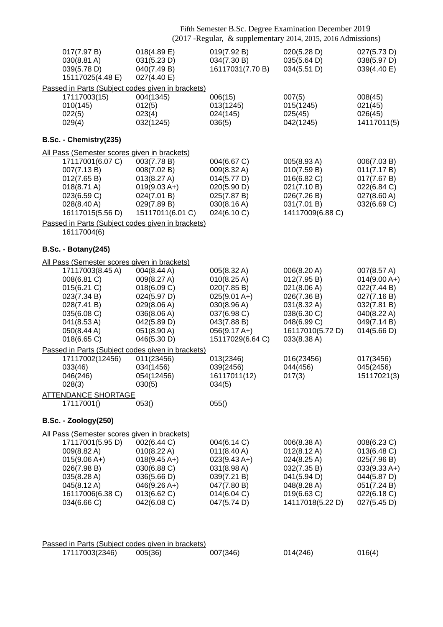|                                                                                                                                                                                          | Fifth Semester B.Sc. Degree Examination December 2019<br>(2017 - Regular, & supplementary 2014, 2015, 2016 Admissions)              |                                                                                                                                                |                                                                                                                                          |                                                                                                                         |
|------------------------------------------------------------------------------------------------------------------------------------------------------------------------------------------|-------------------------------------------------------------------------------------------------------------------------------------|------------------------------------------------------------------------------------------------------------------------------------------------|------------------------------------------------------------------------------------------------------------------------------------------|-------------------------------------------------------------------------------------------------------------------------|
| 017(7.97 B)<br>030(8.81 A)<br>039(5.78 D)<br>15117025(4.48 E)                                                                                                                            | 018(4.89 E)<br>031(5.23 D)<br>040(7.49 B)<br>027(4.40 E)                                                                            | 019(7.92 B)<br>034(7.30 B)<br>16117031(7.70 B)                                                                                                 | 020(5.28 D)<br>035(5.64 D)<br>034(5.51 D)                                                                                                | 027(5.73 D)<br>038(5.97 D)<br>039(4.40 E)                                                                               |
| 17117003(15)<br>010(145)<br>022(5)<br>029(4)                                                                                                                                             | Passed in Parts (Subject codes given in brackets)<br>004(1345)<br>012(5)<br>023(4)<br>032(1245)                                     | 006(15)<br>013(1245)<br>024(145)<br>036(5)                                                                                                     | 007(5)<br>015(1245)<br>025(45)<br>042(1245)                                                                                              | 008(45)<br>021(45)<br>026(45)<br>14117011(5)                                                                            |
| B.Sc. - Chemistry(235)                                                                                                                                                                   |                                                                                                                                     |                                                                                                                                                |                                                                                                                                          |                                                                                                                         |
| All Pass (Semester scores given in brackets)<br>17117001(6.07 C)<br>007(7.13 B)<br>012(7.65 B)<br>018(8.71 A)<br>023(6.59 C)<br>$028(8.40 \text{ A})$<br>16117015(5.56 D)                | 003(7.78 B)<br>008(7.02 B)<br>013(8.27 A)<br>$019(9.03 A+)$<br>024(7.01 B)<br>029(7.89 B)<br>15117011(6.01 C)                       | 004(6.67 C)<br>009(8.32 A)<br>014(5.77 D)<br>020(5.90 D)<br>025(7.87 B)<br>030(8.16 A)<br>024(6.10 C)                                          | 005(8.93 A)<br>010(7.59 B)<br>016(6.82 C)<br>021(7.10 B)<br>026(7.26 B)<br>031(7.01 B)<br>14117009(6.88 C)                               | 006(7.03 B)<br>011(7.17 B)<br>017(7.67 B)<br>022(6.84 C)<br>027(8.60 A)<br>032(6.69 C)                                  |
| 16117004(6)                                                                                                                                                                              | Passed in Parts (Subject codes given in brackets)                                                                                   |                                                                                                                                                |                                                                                                                                          |                                                                                                                         |
|                                                                                                                                                                                          |                                                                                                                                     |                                                                                                                                                |                                                                                                                                          |                                                                                                                         |
| <b>B.Sc. - Botany(245)</b>                                                                                                                                                               |                                                                                                                                     |                                                                                                                                                |                                                                                                                                          |                                                                                                                         |
| All Pass (Semester scores given in brackets)<br>17117003(8.45 A)<br>008(6.81 C)<br>015(6.21 C)<br>023(7.34 B)<br>028(7.41 B)<br>035(6.08 C)<br>041(8.53 A)<br>050(8.44 A)<br>018(6.65 C) | 004(8.44 A)<br>009(8.27 A)<br>018(6.09 C)<br>024(5.97 D)<br>029(8.06 A)<br>036(8.06 A)<br>042(5.89 D)<br>051(8.90 A)<br>046(5.30 D) | 005(8.32 A)<br>010(8.25 A)<br>020(7.85 B)<br>$025(9.01 A+)$<br>030(8.96 A)<br>037(6.98 C)<br>043(7.88 B)<br>$056(9.17 A+)$<br>15117029(6.64 C) | 006(8.20 A)<br>012(7.95 B)<br>021(8.06 A)<br>026(7.36 B)<br>031(8.32 A)<br>038(6.30 C)<br>048(6.99 C)<br>16117010(5.72 D)<br>033(8.38 A) | 007(8.57 A)<br>$014(9.00 A+)$<br>022(7.44 B)<br>027(7.16 B)<br>032(7.81 B)<br>040(8.22 A)<br>049(7.14 B)<br>014(5.66 D) |
|                                                                                                                                                                                          | Passed in Parts (Subject codes given in brackets)                                                                                   |                                                                                                                                                |                                                                                                                                          |                                                                                                                         |
| 17117002(12456) 011(23456)<br>033(46)<br>046(246)<br>028(3)                                                                                                                              | 034(1456)<br>054(12456)<br>030(5)                                                                                                   | 013(2346)<br>039(2456)<br>16117011(12)<br>034(5)                                                                                               | 016(23456)<br>044(456)<br>017(3)                                                                                                         | 017(3456)<br>045(2456)<br>15117021(3)                                                                                   |
| <b>ATTENDANCE SHORTAGE</b><br>17117001()                                                                                                                                                 | 053()                                                                                                                               | 055()                                                                                                                                          |                                                                                                                                          |                                                                                                                         |
| <b>B.Sc. - Zoology(250)</b>                                                                                                                                                              |                                                                                                                                     |                                                                                                                                                |                                                                                                                                          |                                                                                                                         |
| All Pass (Semester scores given in brackets)                                                                                                                                             |                                                                                                                                     |                                                                                                                                                |                                                                                                                                          |                                                                                                                         |
| 17117001(5.95 D)<br>009(8.82 A)<br>$015(9.06 A+)$<br>026(7.98 B)<br>035(8.28 A)<br>045(8.12 A)<br>16117006(6.38 C)<br>034(6.66 C)                                                        | 002(6.44 C)<br>010(8.22 A)<br>$018(9.45 A+)$<br>030(6.88 C)<br>036(5.66 D)<br>$046(9.26 A+)$<br>013(6.62 C)<br>042(6.08 C)          | 004(6.14 C)<br>$011(8.40 \text{ A})$<br>$023(9.43 A+)$<br>031(8.98 A)<br>039(7.21 B)<br>047(7.80 B)<br>014(6.04 C)<br>047(5.74 D)              | 006(8.38 A)<br>$012(8.12 \text{ A})$<br>024(8.25 A)<br>032(7.35 B)<br>041(5.94 D)<br>048(8.28 A)<br>019(6.63 C)<br>14117018(5.22 D)      | 008(6.23 C)<br>013(6.48 C)<br>025(7.96 B)<br>$033(9.33 A+)$<br>044(5.87 D)<br>051(7.24 B)<br>022(6.18 C)<br>027(5.45 D) |
|                                                                                                                                                                                          |                                                                                                                                     |                                                                                                                                                |                                                                                                                                          |                                                                                                                         |

| Passed in Parts (Subject codes given in brackets) |         |          |          |        |
|---------------------------------------------------|---------|----------|----------|--------|
| 17117003(2346)                                    | 005(36) | 007(346) | 014(246) | 016(4) |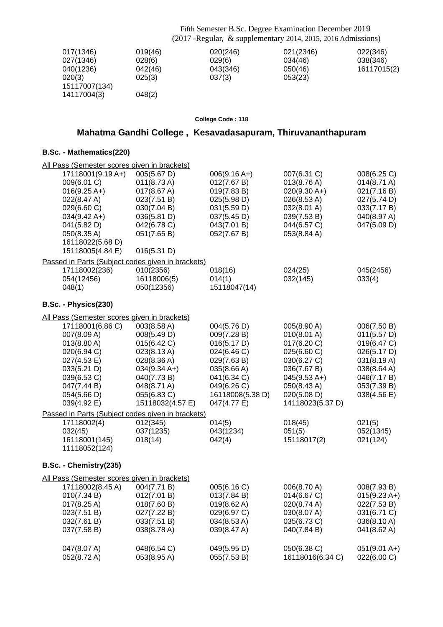| 017(1346)     | 019(46) | 020(246) | 021(2346) | 022(346)    |
|---------------|---------|----------|-----------|-------------|
| 027(1346)     | 028(6)  | 029(6)   | 034(46)   | 038(346)    |
| 040(1236)     | 042(46) | 043(346) | 050(46)   | 16117015(2) |
| 020(3)        | 025(3)  | 037(3)   | 053(23)   |             |
| 15117007(134) |         |          |           |             |
| 14117004(3)   | 048(2)  |          |           |             |

#### **College Code : 118**

## **Mahatma Gandhi College , Kesavadasapuram, Thiruvananthapuram**

| All Pass (Semester scores given in brackets)                                                                                                                                     |                                                                                                                                                                    |                                                                                                                                                         |                                                                                                                                                            |                                                                                                                                     |
|----------------------------------------------------------------------------------------------------------------------------------------------------------------------------------|--------------------------------------------------------------------------------------------------------------------------------------------------------------------|---------------------------------------------------------------------------------------------------------------------------------------------------------|------------------------------------------------------------------------------------------------------------------------------------------------------------|-------------------------------------------------------------------------------------------------------------------------------------|
| 17118001(9.19 A+)<br>009(6.01 C)<br>$016(9.25 A+)$<br>022(8.47 A)<br>029(6.60 C)<br>$034(9.42 \text{ A+})$<br>041(5.82 D)<br>050(8.35 A)<br>16118022(5.68 D)<br>15118005(4.84 E) | 005(5.67 D)<br>011(8.73 A)<br>017(8.67 A)<br>023(7.51 B)<br>030(7.04 B)<br>036(5.81 D)<br>042(6.78 C)<br>051(7.65 B)<br>016(5.31 D)                                | $006(9.16 A+)$<br>012(7.67 B)<br>019(7.83 B)<br>025(5.98 D)<br>031(5.59 D)<br>037(5.45 D)<br>043(7.01 B)<br>052(7.67 B)                                 | 007(6.31 C)<br>013(8.76 A)<br>$020(9.30 A+)$<br>026(8.53 A)<br>032(8.01 A)<br>039(7.53 B)<br>044(6.57 C)<br>053(8.84 A)                                    | 008(6.25 C)<br>014(8.71 A)<br>021(7.16 B)<br>027(5.74 D)<br>033(7.17 B)<br>040(8.97 A)<br>047(5.09 D)                               |
| Passed in Parts (Subject codes given in brackets)                                                                                                                                |                                                                                                                                                                    |                                                                                                                                                         |                                                                                                                                                            |                                                                                                                                     |
| 17118002(236)<br>054(12456)<br>048(1)                                                                                                                                            | 010(2356)<br>16118006(5)<br>050(12356)                                                                                                                             | 018(16)<br>014(1)<br>15118047(14)                                                                                                                       | 024(25)<br>032(145)                                                                                                                                        | 045(2456)<br>033(4)                                                                                                                 |
| B.Sc. - Physics(230)                                                                                                                                                             |                                                                                                                                                                    |                                                                                                                                                         |                                                                                                                                                            |                                                                                                                                     |
| All Pass (Semester scores given in brackets)                                                                                                                                     |                                                                                                                                                                    |                                                                                                                                                         |                                                                                                                                                            |                                                                                                                                     |
| 17118001(6.86 C)<br>007(8.09 A)<br>013(8.80 A)<br>020(6.94 C)<br>027(4.53 E)<br>033(5.21 D)<br>039(6.53 C)<br>047(7.44 B)<br>054(5.66 D)<br>039(4.92 E)                          | 003(8.58 A)<br>008(5.49 D)<br>015(6.42 C)<br>023(8.13 A)<br>028(8.36 A)<br>$034(9.34 \text{ A+})$<br>040(7.73 B)<br>048(8.71 A)<br>055(6.83 C)<br>15118032(4.57 E) | 004(5.76 D)<br>009(7.28 B)<br>016(5.17 D)<br>024(6.46 C)<br>029(7.63 B)<br>035(8.66 A)<br>041(6.34 C)<br>049(6.26 C)<br>16118008(5.38 D)<br>047(4.77 E) | 005(8.90 A)<br>010(8.01 A)<br>017(6.20 C)<br>025(6.60 C)<br>030(6.27 C)<br>036(7.67 B)<br>$045(9.53 A+)$<br>050(8.43 A)<br>020(5.08 D)<br>14118023(5.37 D) | 006(7.50 B)<br>011(5.57 D)<br>019(6.47 C)<br>026(5.17 D)<br>031(8.19 A)<br>038(8.64 A)<br>046(7.17 B)<br>053(7.39 B)<br>038(4.56 E) |
| Passed in Parts (Subject codes given in brackets)                                                                                                                                |                                                                                                                                                                    |                                                                                                                                                         |                                                                                                                                                            |                                                                                                                                     |
| 17118002(4)<br>032(45)<br>16118001(145)<br>11118052(124)                                                                                                                         | 012(345)<br>037(1235)<br>018(14)                                                                                                                                   | 014(5)<br>043(1234)<br>042(4)                                                                                                                           | 018(45)<br>051(5)<br>15118017(2)                                                                                                                           | 021(5)<br>052(1345)<br>021(124)                                                                                                     |
| B.Sc. - Chemistry(235)                                                                                                                                                           |                                                                                                                                                                    |                                                                                                                                                         |                                                                                                                                                            |                                                                                                                                     |
| All Pass (Semester scores given in brackets)                                                                                                                                     |                                                                                                                                                                    |                                                                                                                                                         |                                                                                                                                                            |                                                                                                                                     |
| 17118002(8.45 A)<br>010(7.34 B)<br>$017(8.25 \text{ A})$<br>023(7.51 B)<br>032(7.61 B)<br>037(7.58 B)                                                                            | 004(7.71 B)<br>012(7.01 B)<br>018(7.60 B)<br>027(7.22 B)<br>033(7.51 B)<br>038(8.78 A)                                                                             | 005(6.16 C)<br>013(7.84 B)<br>$019(8.62 \text{ A})$<br>029(6.97 C)<br>034(8.53 A)<br>039(8.47 A)                                                        | 006(8.70 A)<br>014(6.67 C)<br>020(8.74 A)<br>030(8.07 A)<br>035(6.73 C)<br>040(7.84 B)                                                                     | 008(7.93 B)<br>$015(9.23 \text{ A+})$<br>022(7.53 B)<br>031(6.71 C)<br>036(8.10 A)<br>041(8.62 A)                                   |
| 047(8.07 A)<br>052(8.72 A)                                                                                                                                                       | 048(6.54 C)<br>053(8.95 A)                                                                                                                                         | 049(5.95 D)<br>055(7.53 B)                                                                                                                              | 050(6.38 C)<br>16118016(6.34 C)                                                                                                                            | $051(9.01 A+)$<br>022(6.00 C)                                                                                                       |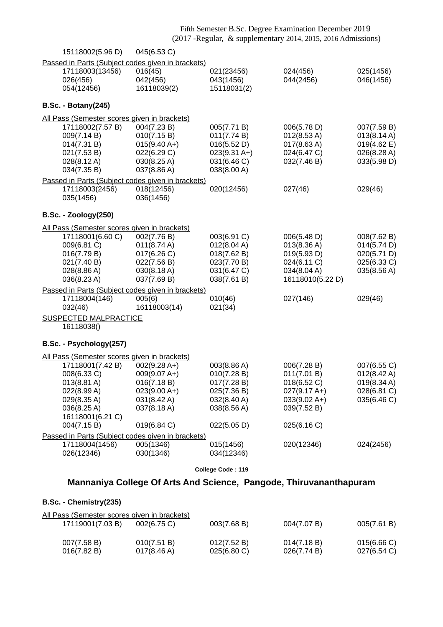|                                                   |                       |                       | (2017 - Regular, & supplementary 2014, 2015, 2016 Admissions) |                       |  |  |
|---------------------------------------------------|-----------------------|-----------------------|---------------------------------------------------------------|-----------------------|--|--|
| 15118002(5.96 D)                                  | 045(6.53 C)           |                       |                                                               |                       |  |  |
| Passed in Parts (Subject codes given in brackets) |                       |                       |                                                               |                       |  |  |
| 17118003(13456)                                   | 016(45)               | 021(23456)            | 024(456)                                                      | 025(1456)             |  |  |
| 026(456)                                          | 042(456)              | 043(1456)             | 044(2456)                                                     | 046(1456)             |  |  |
| 054(12456)                                        | 16118039(2)           | 15118031(2)           |                                                               |                       |  |  |
|                                                   |                       |                       |                                                               |                       |  |  |
| <b>B.Sc. - Botany(245)</b>                        |                       |                       |                                                               |                       |  |  |
| All Pass (Semester scores given in brackets)      |                       |                       |                                                               |                       |  |  |
| 17118002(7.57 B)                                  | 004(7.23 B)           | 005(7.71 B)           | 006(5.78 D)                                                   | 007(7.59 B)           |  |  |
| 009(7.14 B)                                       | 010(7.15 B)           | 011(7.74 B)           | 012(8.53 A)                                                   | 013(8.14 A)           |  |  |
| 014(7.31 B)                                       | $015(9.40 A+)$        | 016(5.52 D)           | $017(8.63 \text{ A})$                                         | $019(4.62 \text{ E})$ |  |  |
| 021(7.53 B)                                       | 022(6.29 C)           | $023(9.31 \text{ A})$ | 024(6.47 C)                                                   | 026(8.28 A)           |  |  |
| 028(8.12 A)                                       | 030(8.25 A)           | 031(6.46 C)           | 032(7.46 B)                                                   | 033(5.98 D)           |  |  |
| 034(7.35 B)                                       | 037(8.86 A)           | 038(8.00 A)           |                                                               |                       |  |  |
| Passed in Parts (Subject codes given in brackets) |                       |                       |                                                               |                       |  |  |
| 17118003(2456)                                    | 018(12456)            | 020(12456)            | 027(46)                                                       | 029(46)               |  |  |
| 035(1456)                                         | 036(1456)             |                       |                                                               |                       |  |  |
| <b>B.Sc. - Zoology(250)</b>                       |                       |                       |                                                               |                       |  |  |
| All Pass (Semester scores given in brackets)      |                       |                       |                                                               |                       |  |  |
| 17118001(6.60 C)                                  | 002(7.76 B)           | 003(6.91 C)           | 006(5.48 D)                                                   | 008(7.62 B)           |  |  |
| 009(6.81 C)                                       | $011(8.74 \text{ A})$ | 012(8.04 A)           | 013(8.36 A)                                                   | 014(5.74 D)           |  |  |
| 016(7.79 B)                                       | 017(6.26 C)           | 018(7.62 B)           | 019(5.93 D)                                                   | 020(5.71 D)           |  |  |
| 021(7.40 B)                                       | 022(7.56 B)           | 023(7.70 B)           | 024(6.11 C)                                                   | 025(6.33 C)           |  |  |
| 028(8.86 A)                                       | 030(8.18 A)           | 031(6.47 C)           | 034(8.04 A)                                                   | 035(8.56 A)           |  |  |
| 036(8.23 A)                                       | 037(7.69 B)           | 038(7.61 B)           | 16118010(5.22 D)                                              |                       |  |  |
|                                                   |                       |                       |                                                               |                       |  |  |
| Passed in Parts (Subject codes given in brackets) |                       |                       |                                                               |                       |  |  |
| 17118004(146)                                     | 005(6)                | 010(46)               | 027(146)                                                      | 029(46)               |  |  |
| 032(46)                                           | 16118003(14)          | 021(34)               |                                                               |                       |  |  |
| <b>SUSPECTED MALPRACTICE</b><br>16118038()        |                       |                       |                                                               |                       |  |  |
| B.Sc. - Psychology(257)                           |                       |                       |                                                               |                       |  |  |
|                                                   |                       |                       |                                                               |                       |  |  |
| All Pass (Semester scores given in brackets)      |                       |                       |                                                               |                       |  |  |
| 17118001(7.42 B)                                  | $002(9.28 A+)$        | 003(8.86 A)           | 006(7.28 B)                                                   | 007(6.55 C)           |  |  |
| 008(6.33 C)                                       | $009(9.07 A+)$        | 010(7.28 B)           | 011(7.01 B)                                                   | 012(8.42 A)           |  |  |
| $013(8.81 \text{ A})$                             | 016(7.18 B)           | 017(7.28 B)           | 018(6.52 C)                                                   | 019(8.34 A)           |  |  |
| 022(8.99 A)                                       | $023(9.00 A+)$        | 025(7.36 B)           | $027(9.17 A+)$                                                | 028(6.81 C)           |  |  |
| 029(8.35A)                                        | 031(8.42 A)           | 032(8.40 A)           | $033(9.02 A+)$                                                | 035(6.46 C)           |  |  |
| 036(8.25 A)                                       | 037(8.18 A)           | 038(8.56 A)           | 039(7.52 B)                                                   |                       |  |  |
| 16118001(6.21 C)                                  |                       |                       |                                                               |                       |  |  |
| 004(7.15 B)                                       | 019(6.84 C)           | 022(5.05 D)           | 025(6.16 C)                                                   |                       |  |  |
| Passed in Parts (Subject codes given in brackets) |                       |                       |                                                               |                       |  |  |
| 17118004(1456)                                    | 005(1346)             | 015(1456)             | 020(12346)                                                    | 024(2456)             |  |  |
| 026(12346)                                        | 030(1346)             | 034(12346)            |                                                               |                       |  |  |
|                                                   |                       | College Code: 119     |                                                               |                       |  |  |
|                                                   |                       |                       |                                                               |                       |  |  |

Fifth Semester B.Sc. Degree Examination December 2019

# **Mannaniya College Of Arts And Science, Pangode, Thiruvananthapuram**

## **B.Sc. - Chemistry(235)**

| <u>All Pass (Semester scores given in brackets)</u> |                |                         |             |             |
|-----------------------------------------------------|----------------|-------------------------|-------------|-------------|
| 17119001(7.03 B)                                    | $002(6.75)$ C) | 003(7.68 B)             | 004(7.07 B) | 005(7.61 B) |
| 007(7.58 B)                                         | 010(7.51 B)    | 012(7.52 B)             | 014(7.18 B) | 015(6.66)   |
| 016(7.82 B)                                         | 017(8.46 A)    | $025(6.80 \, \text{C})$ | 026(7.74 B) | 027(6.54 C) |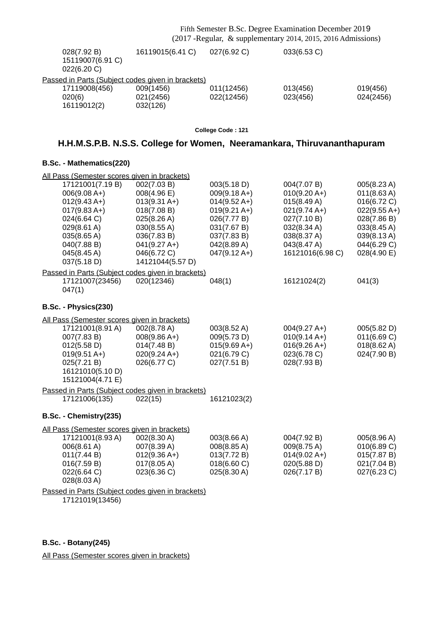| 028(7.92 B)<br>15119007(6.91 C)<br>022(6.20 C)    | 16119015(6.41 C) | 027(6.92 C) | 033(6.53 C) |           |
|---------------------------------------------------|------------------|-------------|-------------|-----------|
| Passed in Parts (Subject codes given in brackets) |                  |             |             |           |
| 17119008(456)                                     | 009(1456)        | 011(12456)  | 013(456)    | 019(456)  |
| 020(6)                                            | 021(2456)        | 022(12456)  | 023(456)    | 024(2456) |
| 16119012(2)                                       | 032(126)         |             |             |           |
|                                                   |                  |             |             |           |

**College Code : 121**

## **H.H.M.S.P.B. N.S.S. College for Women, Neeramankara, Thiruvananthapuram**

#### **B.Sc. - Mathematics(220)**

| All Pass (Semester scores given in brackets)      |                  |                        |                  |                       |
|---------------------------------------------------|------------------|------------------------|------------------|-----------------------|
| 17121001(7.19 B)                                  | 002(7.03 B)      | 003(5.18 D)            | 004(7.07 B)      | 005(8.23A)            |
| $006(9.08 A+)$                                    | 008(4.96 E)      | $009(9.18 A+)$         | $010(9.20 A+)$   | 011(8.63 A)           |
| $012(9.43 A+)$                                    | $013(9.31 A+)$   | $014(9.52 A+)$         | 015(8.49 A)      | 016(6.72 C)           |
| $017(9.83 A+)$                                    | 018(7.08 B)      | $019(9.21 \text{ A+})$ | $021(9.74 A+)$   | $022(9.55 A+)$        |
| 024(6.64 C)                                       | 025(8.26 A)      | 026(7.77 B)            | 027(7.10 B)      | 028(7.86 B)           |
| $029(8.61 \text{ A})$                             | 030(8.55 A)      | 031(7.67 B)            | 032(8.34 A)      | 033(8.45 A)           |
| 035(8.65 A)                                       | 036(7.83 B)      | 037(7.83 B)            | 038(8.37 A)      | 039(8.13A)            |
| 040(7.88 B)                                       | $041(9.27 A+)$   | 042(8.89 A)            | 043(8.47 A)      | 044(6.29 C)           |
| 045(8.45 A)                                       | 046(6.72 C)      | $047(9.12 \text{ A+})$ | 16121016(6.98 C) | 028(4.90 E)           |
| 037(5.18 D)                                       | 14121044(5.57 D) |                        |                  |                       |
| Passed in Parts (Subject codes given in brackets) |                  |                        |                  |                       |
| 17121007(23456)                                   | 020(12346)       | 048(1)                 | 16121024(2)      | 041(3)                |
| 047(1)                                            |                  |                        |                  |                       |
| B.Sc. - Physics(230)                              |                  |                        |                  |                       |
|                                                   |                  |                        |                  |                       |
| All Pass (Semester scores given in brackets)      |                  |                        |                  |                       |
| 17121001(8.91 A)                                  | 002(8.78 A)      | 003(8.52 A)            | $004(9.27 A+)$   | 005(5.82 D)           |
| 007(7.83 B)                                       | $008(9.86 A+)$   | 009(5.73 D)            | $010(9.14 A+)$   | 011(6.69 C)           |
| 012(5.58 D)                                       | 014(7.48 B)      | $015(9.69 A+)$         | $016(9.26 A+)$   | $018(8.62 \text{ A})$ |
| $019(9.51 A+)$                                    | $020(9.24 A+)$   | 021(6.79 C)            | 023(6.78 C)      | 024(7.90 B)           |
| 025(7.21 B)                                       | 026(6.77 C)      | 027(7.51 B)            | 028(7.93 B)      |                       |
| 16121010(5.10 D)                                  |                  |                        |                  |                       |
| 15121004(4.71 E)                                  |                  |                        |                  |                       |
| Passed in Parts (Subject codes given in brackets) |                  |                        |                  |                       |
| 17121006(135)                                     | 022(15)          | 16121023(2)            |                  |                       |
| B.Sc. - Chemistry(235)                            |                  |                        |                  |                       |
| All Pass (Semester scores given in brackets)      |                  |                        |                  |                       |
| 17121001(8.93 A)                                  | 002(8.30 A)      | 003(8.66 A)            | 004(7.92 B)      | 005(8.96 A)           |
| 006(8.61 A)                                       | 007(8.39 A)      | 008(8.85 A)            | 009(8.75 A)      | 010(6.89 C)           |
| 011(7.44 B)                                       | $012(9.36 A+)$   | 013(7.72 B)            | $014(9.02 A+)$   | 015(7.87 B)           |
| 016(7.59 B)                                       | 017(8.05 A)      | 018(6.60 C)            | 020(5.88 D)      | 021(7.04 B)           |
| 022(6.64 C)                                       | 023(6.36 C)      | 025(8.30 A)            | 026(7.17 B)      | 027(6.23 C)           |
| 028(8.03 A)                                       |                  |                        |                  |                       |
| Passed in Parts (Subject codes given in brackets) |                  |                        |                  |                       |

17121019(13456)

#### **B.Sc. - Botany(245)**

All Pass (Semester scores given in brackets)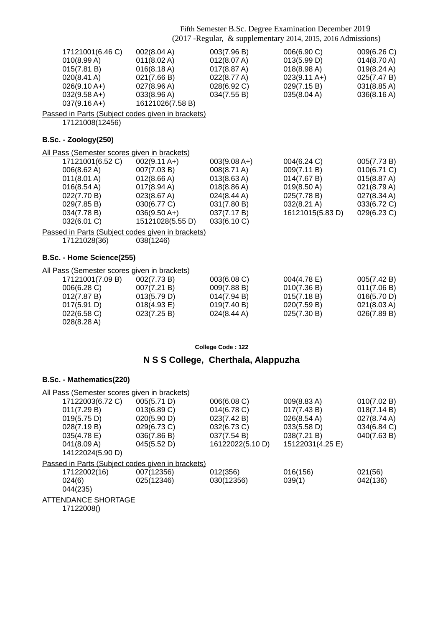| 17121001(6.46 C)<br>010(8.99 A)<br>015(7.81 B)<br>$020(8.41 \text{ A})$<br>$026(9.10 A+)$<br>$032(9.58 A+)$<br>$037(9.16 A+)$<br>Passed in Parts (Subject codes given in brackets)             | 002(8.04 A)<br>011(8.02 A)<br>016(8.18 A)<br>021(7.66 B)<br>027(8.96 A)<br>033(8.96 A)<br>16121026(7.58 B)                                             | 003(7.96 B)<br>012(8.07 A)<br>017(8.87 A)<br>022(8.77 A)<br>028(6.92 C)<br>034(7.55 B)                                  | 006(6.90 C)<br>013(5.99 D)<br>018(8.98 A)<br>$023(9.11 \text{ A+})$<br>029(7.15 B)<br>035(8.04 A)          | 009(6.26 C)<br>$014(8.70 \text{ A})$<br>019(8.24 A)<br>025(7.47 B)<br>031(8.85A)<br>036(8.16 A)       |
|------------------------------------------------------------------------------------------------------------------------------------------------------------------------------------------------|--------------------------------------------------------------------------------------------------------------------------------------------------------|-------------------------------------------------------------------------------------------------------------------------|------------------------------------------------------------------------------------------------------------|-------------------------------------------------------------------------------------------------------|
| 17121008(12456)                                                                                                                                                                                |                                                                                                                                                        |                                                                                                                         |                                                                                                            |                                                                                                       |
| <b>B.Sc. - Zoology(250)</b>                                                                                                                                                                    |                                                                                                                                                        |                                                                                                                         |                                                                                                            |                                                                                                       |
| All Pass (Semester scores given in brackets)                                                                                                                                                   |                                                                                                                                                        |                                                                                                                         |                                                                                                            |                                                                                                       |
| 17121001(6.52 C)<br>006(8.62 A)<br>011(8.01 A)<br>016(8.54 A)<br>022(7.70 B)<br>029(7.85 B)<br>034(7.78 B)<br>032(6.01 C)<br>Passed in Parts (Subject codes given in brackets)<br>17121028(36) | $002(9.11 A+)$<br>007(7.03 B)<br>012(8.66 A)<br>$017(8.94 \text{ A})$<br>023(8.67 A)<br>030(6.77 C)<br>$036(9.50 A+)$<br>15121028(5.55 D)<br>038(1246) | $003(9.08 A+)$<br>008(8.71 A)<br>013(8.63 A)<br>018(8.86 A)<br>024(8.44 A)<br>031(7.80 B)<br>037(7.17 B)<br>033(6.10 C) | 004(6.24 C)<br>009(7.11 B)<br>014(7.67 B)<br>019(8.50 A)<br>025(7.78 B)<br>032(8.21 A)<br>16121015(5.83 D) | 005(7.73 B)<br>010(6.71 C)<br>015(8.87 A)<br>021(8.79 A)<br>027(8.34 A)<br>033(6.72 C)<br>029(6.23 C) |
| B.Sc. - Home Science(255)                                                                                                                                                                      |                                                                                                                                                        |                                                                                                                         |                                                                                                            |                                                                                                       |
| All Pass (Semester scores given in brackets)                                                                                                                                                   |                                                                                                                                                        |                                                                                                                         |                                                                                                            |                                                                                                       |
| 17121001(7.09 B)<br>006(6.28 C)<br>012(7.87 B)<br>017(5.91 D)<br>022(6.58 C)<br>028(8.28 A)                                                                                                    | 002(7.73 B)<br>007(7.21 B)<br>013(5.79 D)<br>018(4.93 E)<br>023(7.25 B)                                                                                | 003(6.08 C)<br>009(7.88 B)<br>014(7.94 B)<br>019(7.40 B)<br>024(8.44 A)                                                 | 004(4.78 E)<br>010(7.36 B)<br>015(7.18 B)<br>020(7.59 B)<br>025(7.30 B)                                    | 005(7.42 B)<br>011(7.06 B)<br>016(5.70 D)<br>021(8.03 A)<br>026(7.89 B)                               |

**College Code : 122**

## **N S S College, Cherthala, Alappuzha**

| All Pass (Semester scores given in brackets)      |             |                  |                  |             |
|---------------------------------------------------|-------------|------------------|------------------|-------------|
| 17122003(6.72 C)                                  | 005(5.71 D) | 006(6.08 C)      | 009(8.83 A)      | 010(7.02 B) |
| 011(7.29 B)                                       | 013(6.89 C) | 014(6.78 C)      | 017(7.43 B)      | 018(7.14 B) |
| 019(5.75 D)                                       | 020(5.90 D) | 023(7.42 B)      | 026(8.54 A)      | 027(8.74 A) |
| 028(7.19 B)                                       | 029(6.73 C) | 032(6.73 C)      | 033(5.58 D)      | 034(6.84 C) |
| 035(4.78 E)                                       | 036(7.86 B) | 037(7.54 B)      | 038(7.21 B)      | 040(7.63 B) |
| 041(8.09 A)                                       | 045(5.52 D) | 16122022(5.10 D) | 15122031(4.25 E) |             |
| 14122024(5.90 D)                                  |             |                  |                  |             |
| Passed in Parts (Subject codes given in brackets) |             |                  |                  |             |
| 17122002(16)                                      | 007(12356)  | 012(356)         | 016(156)         | 021(56)     |
| 024(6)                                            | 025(12346)  | 030(12356)       | 039(1)           | 042(136)    |
| 044(235)                                          |             |                  |                  |             |
| <b>ATTENDANCE SHORTAGE</b>                        |             |                  |                  |             |
| 17122008()                                        |             |                  |                  |             |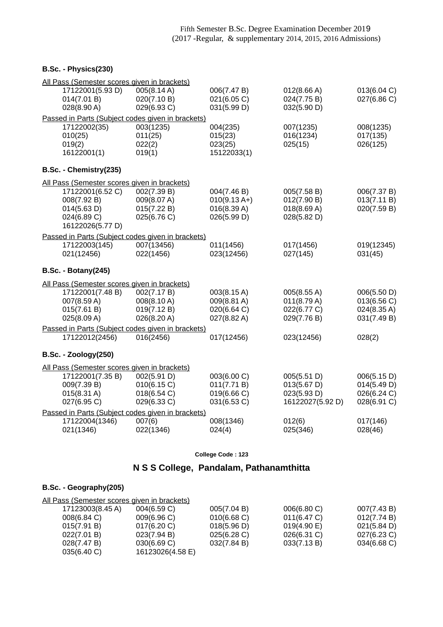**B.Sc. - Physics(230)**

| All Pass (Semester scores given in brackets)                                      |                                                          |                                                             |                                                               |                                                          |
|-----------------------------------------------------------------------------------|----------------------------------------------------------|-------------------------------------------------------------|---------------------------------------------------------------|----------------------------------------------------------|
| 17122001(5.93 D)<br>014(7.01 B)<br>028(8.90 A)                                    | 005(8.14 A)<br>020(7.10 B)<br>029(6.93 C)                | 006(7.47 B)<br>021(6.05 C)<br>031(5.99 D)                   | 012(8.66 A)<br>024(7.75 B)<br>032(5.90 D)                     | 013(6.04 C)<br>027(6.86 C)                               |
| Passed in Parts (Subject codes given in brackets)                                 |                                                          |                                                             |                                                               |                                                          |
| 17122002(35)<br>010(25)<br>019(2)<br>16122001(1)                                  | 003(1235)<br>011(25)<br>022(2)<br>019(1)                 | 004(235)<br>015(23)<br>023(25)<br>15122033(1)               | 007(1235)<br>016(1234)<br>025(15)                             | 008(1235)<br>017(135)<br>026(125)                        |
| B.Sc. - Chemistry(235)                                                            |                                                          |                                                             |                                                               |                                                          |
| All Pass (Semester scores given in brackets)                                      |                                                          |                                                             |                                                               |                                                          |
| 17122001(6.52 C)<br>008(7.92 B)<br>014(5.63 D)<br>024(6.89 C)<br>16122026(5.77 D) | 002(7.39 B)<br>009(8.07 A)<br>015(7.22 B)<br>025(6.76 C) | 004(7.46 B)<br>$010(9.13 A+)$<br>016(8.39 A)<br>026(5.99 D) | 005(7.58 B)<br>012(7.90 B)<br>018(8.69 A)<br>028(5.82 D)      | 006(7.37 B)<br>013(7.11 B)<br>020(7.59 B)                |
| Passed in Parts (Subject codes given in brackets)                                 |                                                          |                                                             |                                                               |                                                          |
| 17122003(145)<br>021(12456)                                                       | 007(13456)<br>022(1456)                                  | 011(1456)<br>023(12456)                                     | 017(1456)<br>027(145)                                         | 019(12345)<br>031(45)                                    |
| <b>B.Sc. - Botany(245)</b>                                                        |                                                          |                                                             |                                                               |                                                          |
| All Pass (Semester scores given in brackets)                                      |                                                          |                                                             |                                                               |                                                          |
| 17122001(7.48 B)<br>007(8.59 A)<br>015(7.61 B)<br>025(8.09 A)                     | 002(7.17 B)<br>008(8.10 A)<br>019(7.12 B)<br>026(8.20 A) | 003(8.15 A)<br>009(8.81 A)<br>020(6.64 C)<br>027(8.82 A)    | 005(8.55 A)<br>011(8.79 A)<br>022(6.77 C)<br>029(7.76 B)      | 006(5.50 D)<br>013(6.56 C)<br>024(8.35 A)<br>031(7.49 B) |
| Passed in Parts (Subject codes given in brackets)                                 |                                                          |                                                             |                                                               |                                                          |
| 17122012(2456)                                                                    | 016(2456)                                                | 017(12456)                                                  | 023(12456)                                                    | 028(2)                                                   |
| <b>B.Sc. - Zoology(250)</b>                                                       |                                                          |                                                             |                                                               |                                                          |
| All Pass (Semester scores given in brackets)                                      |                                                          |                                                             |                                                               |                                                          |
| 17122001(7.35 B)<br>009(7.39 B)<br>015(8.31 A)<br>027(6.95 C)                     | 002(5.91 D)<br>010(6.15 C)<br>018(6.54 C)<br>029(6.33 C) | 003(6.00 C)<br>011(7.71 B)<br>019(6.66 C)<br>031(6.53 C)    | 005(5.51 D)<br>013(5.67 D)<br>023(5.93 D)<br>16122027(5.92 D) | 006(5.15 D)<br>014(5.49 D)<br>026(6.24 C)<br>028(6.91 C) |
| Passed in Parts (Subject codes given in brackets)<br>17122004(1346)               | 007(6)                                                   | 008(1346)                                                   | 012(6)                                                        | 017(146)                                                 |
| 021(1346)                                                                         | 022(1346)                                                | 024(4)                                                      | 025(346)                                                      | 028(46)                                                  |

**College Code : 123**

## **N S S College, Pandalam, Pathanamthitta**

### **B.Sc. - Geography(205)**

| All Pass (Semester scores given in brackets) |                  |                |             |             |
|----------------------------------------------|------------------|----------------|-------------|-------------|
| 17123003(8.45 A)                             | 004(6.59 C)      | 005(7.04 B)    | 006(6.80 C) | 007(7.43 B) |
| 008(6.84 C)                                  | 009(6.96)        | $010(6.68)$ C) | 011(6.47 C) | 012(7.74 B) |
| 015(7.91 B)                                  | $017(6.20)$ C)   | 018(5.96 D)    | 019(4.90 E) | 021(5.84 D) |
| 022(7.01 B)                                  | 023(7.94 B)      | $025(6.28)$ C) | 026(6.31 C) | 027(6.23 C) |
| 028(7.47 B)                                  | 030(6.69 C)      | 032(7.84 B)    | 033(7.13 B) | 034(6.68 C) |
| 035(6.40 C)                                  | 16123026(4.58 E) |                |             |             |
|                                              |                  |                |             |             |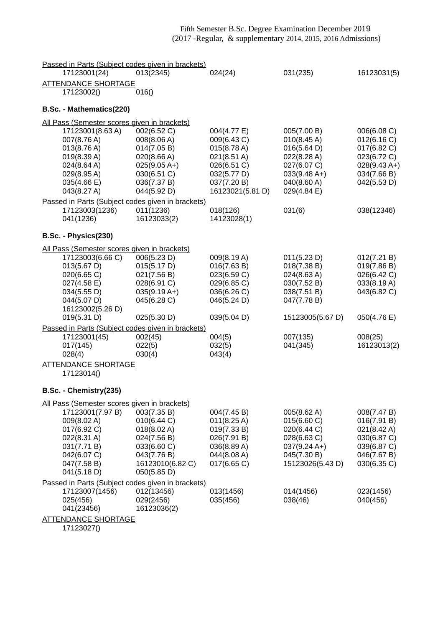| Passed in Parts (Subject codes given in brackets)                |                  |                       |                  |                |
|------------------------------------------------------------------|------------------|-----------------------|------------------|----------------|
| 17123001(24)                                                     | 013(2345)        | 024(24)               | 031(235)         | 16123031(5)    |
| <b>ATTENDANCE SHORTAGE</b>                                       |                  |                       |                  |                |
| 17123002()                                                       | 016()            |                       |                  |                |
|                                                                  |                  |                       |                  |                |
| B.Sc. - Mathematics(220)                                         |                  |                       |                  |                |
| All Pass (Semester scores given in brackets)                     |                  |                       |                  |                |
| 17123001(8.63 A)                                                 | 002(6.52 C)      | 004(4.77 E)           | 005(7.00 B)      | 006(6.08 C)    |
| 007(8.76 A)                                                      | 008(8.06 A)      | 009(6.43 C)           | 010(8.45 A)      | 012(6.16 C)    |
| 013(8.76 A)                                                      | 014(7.05 B)      | 015(8.78 A)           | 016(5.64 D)      | 017(6.82 C)    |
| 019(8.39 A)                                                      | 020(8.66 A)      | $021(8.51 \text{ A})$ | 022(8.28 A)      | 023(6.72 C)    |
| 024(8.64 A)                                                      | $025(9.05 A+)$   | 026(6.51 C)           | 027(6.07 C)      | $028(9.43 A+)$ |
| 029(8.95A)                                                       | 030(6.51 C)      | 032(5.77 D)           | $033(9.48 A+)$   | 034(7.66 B)    |
| 035(4.66 E)                                                      | 036(7.37 B)      | 037(7.20 B)           | 040(8.60 A)      | 042(5.53 D)    |
| 043(8.27 A)                                                      | 044(5.92 D)      | 16123021(5.81 D)      | 029(4.84 E)      |                |
| Passed in Parts (Subject codes given in brackets)                |                  |                       |                  |                |
| 17123003(1236)                                                   | 011(1236)        | 018(126)              | 031(6)           | 038(12346)     |
| 041(1236)                                                        | 16123033(2)      | 14123028(1)           |                  |                |
| B.Sc. - Physics(230)                                             |                  |                       |                  |                |
|                                                                  |                  |                       |                  |                |
| All Pass (Semester scores given in brackets)<br>17123003(6.66 C) | 006(5.23 D)      | 009(8.19 A)           | 011(5.23 D)      | 012(7.21 B)    |
| 013(5.67 D)                                                      | 015(5.17 D)      | 016(7.63 B)           | 018(7.38 B)      | 019(7.86 B)    |
| 020(6.65 C)                                                      | 021(7.56 B)      | 023(6.59 C)           | 024(8.63 A)      | 026(6.42 C)    |
| 027(4.58 E)                                                      | 028(6.91 C)      | 029(6.85 C)           | 030(7.52 B)      | 033(8.19 A)    |
| 034(5.55 D)                                                      | $035(9.19 A+)$   | 036(6.26 C)           | 038(7.51 B)      | 043(6.82 C)    |
| 044(5.07 D)                                                      | 045(6.28 C)      | 046(5.24 D)           | 047(7.78 B)      |                |
| 16123002(5.26 D)                                                 |                  |                       |                  |                |
| 019(5.31 D)                                                      | 025(5.30 D)      | 039(5.04 D)           | 15123005(5.67 D) | 050(4.76 E)    |
| Passed in Parts (Subject codes given in brackets)                |                  |                       |                  |                |
| 17123001(45)                                                     | 002(45)          | 004(5)                | 007(135)         | 008(25)        |
| 017(145)                                                         | 022(5)           | 032(5)                | 041(345)         | 16123013(2)    |
| 028(4)                                                           | 030(4)           | 043(4)                |                  |                |
| <b>ATTENDANCE SHORTAGE</b>                                       |                  |                       |                  |                |
| 17123014()                                                       |                  |                       |                  |                |
| B.Sc. - Chemistry(235)                                           |                  |                       |                  |                |
|                                                                  |                  |                       |                  |                |
| All Pass (Semester scores given in brackets)<br>17123001(7.97 B) | 003(7.35 B)      | 004(7.45 B)           | 005(8.62 A)      | 008(7.47 B)    |
| 009(8.02 A)                                                      | 010(6.44 C)      | $011(8.25 \text{ A})$ | 015(6.60 C)      | 016(7.91 B)    |
| 017(6.92 C)                                                      | 018(8.02 A)      | 019(7.33 B)           | 020(6.44 C)      | 021(8.42 A)    |
| $022(8.31 \text{ A})$                                            | 024(7.56 B)      | 026(7.91 B)           | 028(6.63 C)      | 030(6.87 C)    |
| 031(7.71 B)                                                      | 033(6.60 C)      | 036(8.89 A)           | $037(9.24 A+)$   | 039(6.87 C)    |
| 042(6.07 C)                                                      | 043(7.76 B)      | 044(8.08 A)           | 045(7.30 B)      | 046(7.67 B)    |
| 047(7.58 B)                                                      | 16123010(6.82 C) | 017(6.65 C)           | 15123026(5.43 D) | 030(6.35 C)    |
| 041(5.18 D)                                                      | 050(5.85 D)      |                       |                  |                |
| Passed in Parts (Subject codes given in brackets)                |                  |                       |                  |                |
| 17123007(1456)                                                   | 012(13456)       | 013(1456)             | 014(1456)        | 023(1456)      |
| 025(456)                                                         | 029(2456)        | 035(456)              | 038(46)          | 040(456)       |
| 041(23456)                                                       | 16123036(2)      |                       |                  |                |
| <b>ATTENDANCE SHORTAGE</b>                                       |                  |                       |                  |                |

17123027()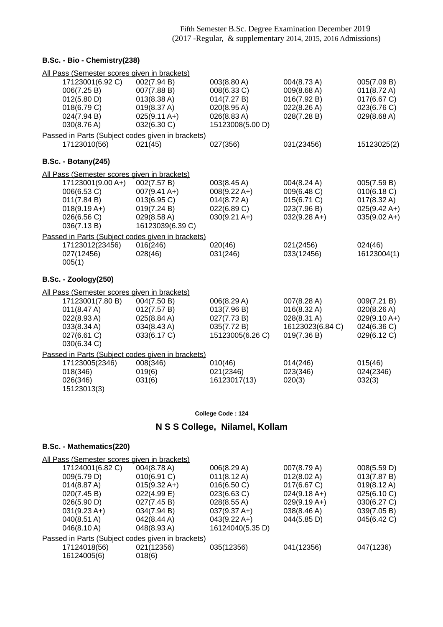#### **B.Sc. - Bio - Chemistry(238)**

| All Pass (Semester scores given in brackets)      |                        |                        |                       |                       |
|---------------------------------------------------|------------------------|------------------------|-----------------------|-----------------------|
| 17123001(6.92 C)                                  | 002(7.94 B)            | 003(8.80 A)            | 004(8.73 A)           | 005(7.09 B)           |
| 006(7.25 B)                                       | 007(7.88 B)            | 008(6.33 C)            | 009(8.68 A)           | $011(8.72 \text{ A})$ |
| 012(5.80 D)                                       | 013(8.38 A)            | 014(7.27 B)            | 016(7.92 B)           | 017(6.67 C)           |
| 018(6.79 C)                                       | 019(8.37 A)            | 020(8.95 A)            | 022(8.26 A)           | 023(6.76 C)           |
| 024(7.94 B)                                       | $025(9.11 A+)$         | 026(8.83A)             | 028(7.28 B)           | 029(8.68 A)           |
| 030(8.76 A)                                       | 032(6.30 C)            | 15123008(5.00 D)       |                       |                       |
| Passed in Parts (Subject codes given in brackets) |                        |                        |                       |                       |
| 17123010(56)                                      | 021(45)                | 027(356)               | 031(23456)            | 15123025(2)           |
| <b>B.Sc. - Botany(245)</b>                        |                        |                        |                       |                       |
| All Pass (Semester scores given in brackets)      |                        |                        |                       |                       |
| 17123001(9.00 A+)                                 | 002(7.57 B)            | 003(8.45 A)            | 004(8.24 A)           | 005(7.59 B)           |
| 006(6.53 C)                                       | $007(9.41 \text{ A+})$ | $008(9.22 \text{ A+})$ | 009(6.48 C)           | 010(6.18 C)           |
| 011(7.84 B)                                       | 013(6.95 C)            | $014(8.72 \text{ A})$  | 015(6.71 C)           | $017(8.32 \text{ A})$ |
| $018(9.19 A+)$                                    | 019(7.24 B)            | 022(6.89 C)            | 023(7.96 B)           | $025(9.42 A+)$        |
| 026(6.56 C)                                       | 029(8.58 A)            | $030(9.21 \text{ A+})$ | $032(9.28 A+)$        | $035(9.02 A+)$        |
| 036(7.13B)                                        | 16123039(6.39 C)       |                        |                       |                       |
| Passed in Parts (Subject codes given in brackets) |                        |                        |                       |                       |
| 17123012(23456)                                   | 016(246)               | 020(46)                | 021(2456)             | 024(46)               |
| 027(12456)                                        | 028(46)                | 031(246)               | 033(12456)            | 16123004(1)           |
| 005(1)                                            |                        |                        |                       |                       |
| <b>B.Sc. - Zoology(250)</b>                       |                        |                        |                       |                       |
| All Pass (Semester scores given in brackets)      |                        |                        |                       |                       |
| 17123001(7.80 B)                                  | 004(7.50 B)            | 006(8.29 A)            | 007(8.28 A)           | 009(7.21 B)           |
| 011(8.47 A)                                       | 012(7.57 B)            | 013(7.96 B)            | $016(8.32 \text{ A})$ | 020(8.26 A)           |
| 022(8.93A)                                        | 025(8.84 A)            | 027(7.73 B)            | 028(8.31 A)           | $029(9.10 A+)$        |
| 033(8.34 A)                                       | 034(8.43 A)            | 035(7.72 B)            | 16123023(6.84 C)      | 024(6.36 C)           |
| 027(6.61 C)                                       | 033(6.17 C)            | 15123005(6.26 C)       | 019(7.36 B)           | 029(6.12 C)           |
| 030(6.34 C)                                       |                        |                        |                       |                       |
| Passed in Parts (Subject codes given in brackets) |                        |                        |                       |                       |
| 17123005(2346)                                    | 008(346)               | 010(46)                | 014(246)              | 015(46)               |
| 018(346)                                          | 019(6)                 | 021(2346)              | 023(346)              | 024(2346)             |
| 026(346)                                          | 031(6)                 | 16123017(13)           | 020(3)                | 032(3)                |
| 15123013(3)                                       |                        |                        |                       |                       |

#### **College Code : 124**

## **N S S College, Nilamel, Kollam**

| <u>All Pass (Semester scores given in brackets)</u> |                        |                        |                       |                       |
|-----------------------------------------------------|------------------------|------------------------|-----------------------|-----------------------|
|                                                     |                        |                        |                       |                       |
| 17124001(6.82 C)                                    | 004(8.78 A)            | 006(8.29 A)            | 007(8.79 A)           | 008(5.59 D)           |
| 009(5.79 D)                                         | 010(6.91 C)            | $011(8.12 \text{ A})$  | $012(8.02 \text{ A})$ | 013(7.87 B)           |
| 014(8.87 A)                                         | $015(9.32 \text{ A+})$ | 016(6.50 C)            | 017(6.67 C)           | $019(8.12 \text{ A})$ |
| 020(7.45 B)                                         | 022(4.99 E)            | 023(6.63 C)            | $024(9.18 A+)$        | 025(6.10 C)           |
| 026(5.90 D)                                         | 027(7.45 B)            | 028(8.55 A)            | $029(9.19 A+)$        | 030(6.27 C)           |
| $031(9.23 \text{ A+})$                              | 034(7.94 B)            | $037(9.37 \text{ A+})$ | 038(8.46 A)           | 039(7.05 B)           |
| 040(8.51 A)                                         | 042(8.44 A)            | $043(9.22 \text{ A+})$ | 044(5.85 D)           | 045(6.42 C)           |
| 046(8.10 A)                                         | 048(8.93 A)            | 16124040(5.35 D)       |                       |                       |
| Passed in Parts (Subject codes given in brackets)   |                        |                        |                       |                       |
| 17124018(56)                                        | 021(12356)             | 035(12356)             | 041(12356)            | 047(1236)             |
| 16124005(6)                                         | 018(6)                 |                        |                       |                       |
|                                                     |                        |                        |                       |                       |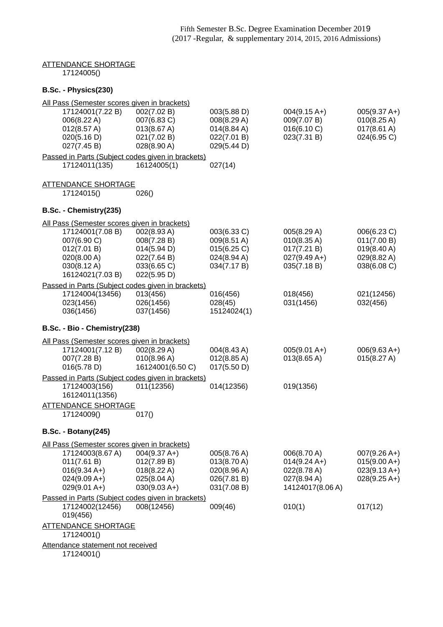### ATTENDANCE SHORTAGE 17124005()

### **B.Sc. - Physics(230)**

| All Pass (Semester scores given in brackets)                                                     |                                                                                         |                                                                         |                                                                                 |                                                                         |
|--------------------------------------------------------------------------------------------------|-----------------------------------------------------------------------------------------|-------------------------------------------------------------------------|---------------------------------------------------------------------------------|-------------------------------------------------------------------------|
| 17124001(7.22 B)<br>006(8.22 A)<br>012(8.57 A)<br>020(5.16 D)                                    | 002(7.02 B)<br>007(6.83 C)<br>013(8.67 A)<br>021(7.02 B)                                | 003(5.88 D)<br>008(8.29 A)<br>$014(8.84 \text{ A})$<br>022(7.01 B)      | $004(9.15 \text{ A+})$<br>009(7.07 B)<br>016(6.10 C)<br>023(7.31 B)             | $005(9.37 A+)$<br>010(8.25 A)<br>$017(8.61 \text{ A})$<br>024(6.95 C)   |
| 027(7.45 B)                                                                                      | 028(8.90 A)                                                                             | 029(5.44 D)                                                             |                                                                                 |                                                                         |
| Passed in Parts (Subject codes given in brackets)<br>17124011(135)                               | 16124005(1)                                                                             | 027(14)                                                                 |                                                                                 |                                                                         |
| <u>ATTENDANCE SHORTAGE</u>                                                                       |                                                                                         |                                                                         |                                                                                 |                                                                         |
| 17124015()                                                                                       | 026()                                                                                   |                                                                         |                                                                                 |                                                                         |
| B.Sc. - Chemistry(235)                                                                           |                                                                                         |                                                                         |                                                                                 |                                                                         |
| <u> All Pass (Semester scores given in brackets)</u>                                             |                                                                                         |                                                                         |                                                                                 |                                                                         |
| 17124001(7.08 B)<br>007(6.90 C)<br>012(7.01 B)<br>020(8.00 A)<br>030(8.12 A)<br>16124021(7.03 B) | 002(8.93 A)<br>008(7.28 B)<br>014(5.94 D)<br>022(7.64 B)<br>033(6.65 C)<br>022(5.95 D)  | 003(6.33 C)<br>009(8.51 A)<br>015(6.25 C)<br>024(8.94 A)<br>034(7.17 B) | 005(8.29 A)<br>010(8.35 A)<br>017(7.21 B)<br>$027(9.49 A+)$<br>035(7.18 B)      | 006(6.23 C)<br>011(7.00 B)<br>019(8.40 A)<br>029(8.82 A)<br>038(6.08 C) |
| Passed in Parts (Subject codes given in brackets)                                                |                                                                                         |                                                                         |                                                                                 |                                                                         |
| 17124004(13456)<br>023(1456)<br>036(1456)                                                        | 013(456)<br>026(1456)<br>037(1456)                                                      | 016(456)<br>028(45)<br>15124024(1)                                      | 018(456)<br>031(1456)                                                           | 021(12456)<br>032(456)                                                  |
| B.Sc. - Bio - Chemistry(238)                                                                     |                                                                                         |                                                                         |                                                                                 |                                                                         |
| <u> All Pass (Semester scores given in brackets)</u>                                             |                                                                                         |                                                                         |                                                                                 |                                                                         |
| 17124001(7.12 B)<br>007(7.28 B)<br>016(5.78 D)                                                   | 002(8.29 A)<br>010(8.96 A)<br>16124001(6.50 C)                                          | 004(8.43 A)<br>$012(8.85 \text{ A})$<br>017(5.50 D)                     | $005(9.01 A+)$<br>$013(8.65 \text{ A})$                                         | $006(9.63 A+)$<br>015(8.27 A)                                           |
| Passed in Parts (Subject codes given in brackets)                                                |                                                                                         |                                                                         |                                                                                 |                                                                         |
| 17124003(156)<br>16124011(1356)                                                                  | 011(12356)                                                                              | 014(12356)                                                              | 019(1356)                                                                       |                                                                         |
| <b>ATTENDANCE SHORTAGE</b>                                                                       |                                                                                         |                                                                         |                                                                                 |                                                                         |
| 17124009()                                                                                       | 017()                                                                                   |                                                                         |                                                                                 |                                                                         |
| <b>B.Sc. - Botany(245)</b>                                                                       |                                                                                         |                                                                         |                                                                                 |                                                                         |
| All Pass (Semester scores given in brackets)                                                     |                                                                                         |                                                                         |                                                                                 |                                                                         |
| 17124003(8.67 A)<br>011(7.61 B)<br>$016(9.34 A+)$<br>$024(9.09 A+)$<br>$029(9.01 A+)$            | $004(9.37 A+)$<br>012(7.89 B)<br>$018(8.22 \text{ A})$<br>025(8.04 A)<br>$030(9.03 A+)$ | 005(8.76 A)<br>013(8.70 A)<br>020(8.96 A)<br>026(7.81 B)<br>031(7.08 B) | 006(8.70 A)<br>$014(9.24 A+)$<br>022(8.78 A)<br>027(8.94 A)<br>14124017(8.06 A) | $007(9.26 A+)$<br>$015(9.00 A+)$<br>$023(9.13 A+)$<br>$028(9.25 A+)$    |
| Passed in Parts (Subject codes given in brackets)<br>17124002(12456)<br>019(456)                 | 008(12456)                                                                              | 009(46)                                                                 | 010(1)                                                                          | 017(12)                                                                 |
| <u>ATTENDANCE SHORTAGE</u><br>17124001()                                                         |                                                                                         |                                                                         |                                                                                 |                                                                         |
| Attendance statement not received<br>17124001()                                                  |                                                                                         |                                                                         |                                                                                 |                                                                         |
|                                                                                                  |                                                                                         |                                                                         |                                                                                 |                                                                         |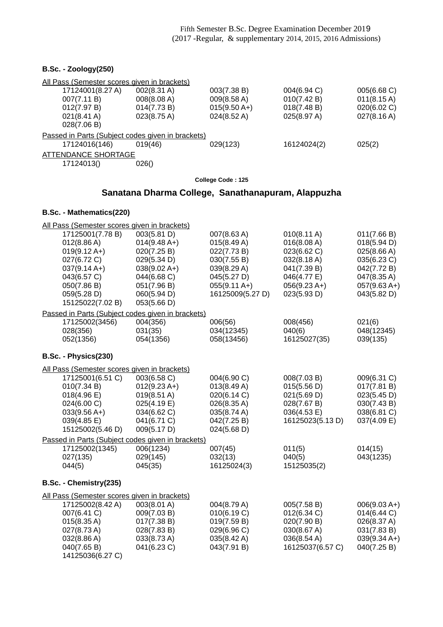### **B.Sc. - Zoology(250)** All Pass (Semester scores given in brackets) 17124001(8.27 A) 002(8.31 A) 003(7.38 B) 004(6.94 C) 005(6.68 C) 007(7.11 B) 008(8.08 A) 009(8.58 A) 010(7.42 B) 011(8.15 A) 012(7.97 B) 014(7.73 B) 015(9.50 A+) 018(7.48 B) 020(6.02 C) 021(8.41 A) 023(8.75 A) 024(8.52 A) 025(8.97 A) 027(8.16 A) 028(7.06 B) Passed in Parts (Subject codes given in brackets) 17124016(146) 019(46) 029(123) 16124024(2) 025(2) ATTENDANCE SHORTAGE 17124013() 026()

**College Code : 125**

### **Sanatana Dharma College, Sanathanapuram, Alappuzha**

| All Pass (Semester scores given in brackets)      |                       |                  |                       |                |
|---------------------------------------------------|-----------------------|------------------|-----------------------|----------------|
| 17125001(7.78 B)                                  | 003(5.81 D)           | 007(8.63 A)      | $010(8.11 \text{ A})$ | 011(7.66 B)    |
| 012(8.86 A)                                       | $014(9.48 A+)$        | 015(8.49 A)      | 016(8.08 A)           | 018(5.94 D)    |
| $019(9.12 \text{ A+})$                            | 020(7.25 B)           | 022(7.73 B)      | 023(6.62 C)           | 025(8.66 A)    |
| 027(6.72 C)                                       | 029(5.34 D)           | 030(7.55 B)      | 032(8.18 A)           | 035(6.23 C)    |
| $037(9.14 A+)$                                    | $038(9.02 A+)$        | 039(8.29 A)      | 041(7.39 B)           | 042(7.72 B)    |
| 043(6.57 C)                                       | 044(6.68 C)           | 045(5.27 D)      | 046(4.77 E)           | 047(8.35 A)    |
| 050(7.86 B)                                       | 051(7.96 B)           | $055(9.11 A+)$   | $056(9.23 A+)$        | $057(9.63 A+)$ |
| 059(5.28 D)                                       | 060(5.94 D)           | 16125009(5.27 D) | 023(5.93 D)           | 043(5.82 D)    |
| 15125022(7.02 B)                                  | 053(5.66 D)           |                  |                       |                |
| Passed in Parts (Subject codes given in brackets) |                       |                  |                       |                |
| 17125002(3456)                                    | 004(356)              | 006(56)          | 008(456)              | 021(6)         |
| 028(356)                                          | 031(35)               | 034(12345)       | 040(6)                | 048(12345)     |
| 052(1356)                                         | 054(1356)             | 058(13456)       | 16125027(35)          | 039(135)       |
| B.Sc. - Physics(230)                              |                       |                  |                       |                |
| All Pass (Semester scores given in brackets)      |                       |                  |                       |                |
| 17125001(6.51 C)                                  | 003(6.58 C)           | 004(6.90 C)      | 008(7.03 B)           | 009(6.31 C)    |
| 010(7.34 B)                                       | $012(9.23 A+)$        | 013(8.49 A)      | 015(5.56 D)           | 017(7.81 B)    |
| 018(4.96 E)                                       | $019(8.51 \text{ A})$ | 020(6.14 C)      | 021(5.69 D)           | 023(5.45 D)    |
| 024(6.00 C)                                       | 025(4.19 E)           | 026(8.35 A)      | 028(7.67 B)           | 030(7.43 B)    |
| $033(9.56 A+)$                                    | 034(6.62 C)           | 035(8.74 A)      | 036(4.53 E)           | 038(6.81 C)    |
| 039(4.85 E)                                       | 041(6.71 C)           | 042(7.25 B)      | 16125023(5.13 D)      | 037(4.09 E)    |
| 15125002(5.46 D)                                  | 009(5.17 D)           | 024(5.68 D)      |                       |                |
| Passed in Parts (Subject codes given in brackets) |                       |                  |                       |                |
| 17125002(1345)                                    | 006(1234)             | 007(45)          | 011(5)                | 014(15)        |
| 027(135)                                          | 029(145)              | 032(13)          | 040(5)                | 043(1235)      |
| 044(5)                                            | 045(35)               | 16125024(3)      | 15125035(2)           |                |
| B.Sc. - Chemistry(235)                            |                       |                  |                       |                |
| All Pass (Semester scores given in brackets)      |                       |                  |                       |                |
| 17125002(8.42 A)                                  | 003(8.01 A)           | 004(8.79 A)      | 005(7.58 B)           | $006(9.03 A+)$ |
| 007(6.41 C)                                       | 009(7.03 B)           | 010(6.19 C)      | 012(6.34 C)           | 014(6.44 C)    |
| 015(8.35 A)                                       | 017(7.38 B)           | 019(7.59 B)      | 020(7.90 B)           | 026(8.37 A)    |
| 027(8.73 A)                                       | 028(7.83 B)           | 029(6.96 C)      | 030(8.67 A)           | 031(7.83 B)    |
| 032(8.86 A)                                       | 033(8.73 A)           | 035(8.42 A)      | 036(8.54 A)           | $039(9.34 A+)$ |
| 040(7.65 B)                                       | 041(6.23 C)           | 043(7.91 B)      | 16125037(6.57 C)      | 040(7.25 B)    |
| 14125036(6.27 C)                                  |                       |                  |                       |                |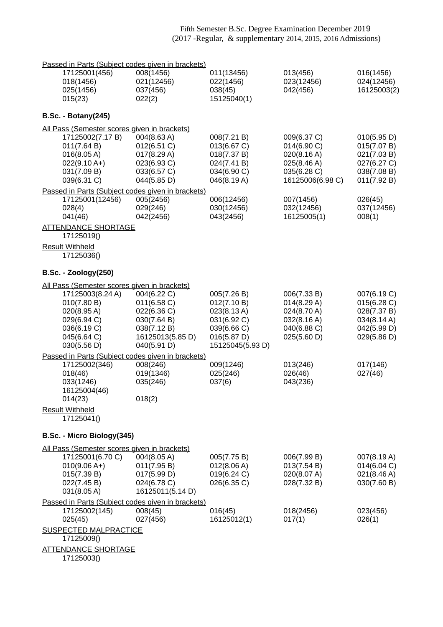| Passed in Parts (Subject codes given in brackets) |                                 |                            |                            |                            |
|---------------------------------------------------|---------------------------------|----------------------------|----------------------------|----------------------------|
| 17125001(456)<br>018(1456)                        | 008(1456)<br>021(12456)         | 011(13456)<br>022(1456)    | 013(456)<br>023(12456)     | 016(1456)<br>024(12456)    |
| 025(1456)                                         | 037(456)                        | 038(45)                    | 042(456)                   | 16125003(2)                |
| 015(23)                                           | 022(2)                          | 15125040(1)                |                            |                            |
| <b>B.Sc. - Botany(245)</b>                        |                                 |                            |                            |                            |
| All Pass (Semester scores given in brackets)      |                                 |                            |                            |                            |
| 17125002(7.17 B)                                  | 004(8.63 A)                     | 008(7.21 B)                | 009(6.37 C)                | 010(5.95 D)                |
| 011(7.64 B)<br>016(8.05 A)                        | 012(6.51 C)<br>017(8.29 A)      | 013(6.67 C)<br>018(7.37 B) | 014(6.90 C)<br>020(8.16 A) | 015(7.07 B)<br>021(7.03 B) |
| $022(9.10 A+)$                                    | 023(6.93 C)                     | 024(7.41 B)                | 025(8.46 A)                | 027(6.27 C)                |
| 031(7.09 B)                                       | 033(6.57 C)                     | 034(6.90 C)                | 035(6.28 C)                | 038(7.08 B)                |
| 039(6.31 C)                                       | 044(5.85 D)                     | 046(8.19 A)                | 16125006(6.98 C)           | 011(7.92 B)                |
| Passed in Parts (Subject codes given in brackets) |                                 |                            |                            |                            |
| 17125001(12456)                                   | 005(2456)                       | 006(12456)<br>030(12456)   | 007(1456)<br>032(12456)    | 026(45)                    |
| 028(4)<br>041(46)                                 | 029(246)<br>042(2456)           | 043(2456)                  | 16125005(1)                | 037(12456)<br>008(1)       |
| <b>ATTENDANCE SHORTAGE</b>                        |                                 |                            |                            |                            |
| 17125019()                                        |                                 |                            |                            |                            |
| <b>Result Withheld</b><br>17125036()              |                                 |                            |                            |                            |
| <b>B.Sc. - Zoology(250)</b>                       |                                 |                            |                            |                            |
| All Pass (Semester scores given in brackets)      |                                 |                            |                            |                            |
| 17125003(8.24 A)                                  | 004(6.22 C)                     | 005(7.26 B)                | 006(7.33 B)                | 007(6.19 C)                |
| 010(7.80 B)                                       | $011(6.58)$ C)                  | 012(7.10 B)                | 014(8.29 A)                | 015(6.28)                  |
| 020(8.95 A)                                       | 022(6.36 C)                     | 023(8.13 A)                | 024(8.70 A)                | 028(7.37 B)                |
| 029(6.94 C)                                       | 030(7.64 B)                     | 031(6.92 C)                | 032(8.16 A)                | 034(8.14 A)                |
| 036(6.19 C)<br>045(6.64 C)                        | 038(7.12 B)<br>16125013(5.85 D) | 039(6.66 C)<br>016(5.87 D) | 040(6.88 C)<br>025(5.60 D) | 042(5.99 D)<br>029(5.86 D) |
| 030(5.56 D)                                       | 040(5.91 D)                     | 15125045(5.93 D)           |                            |                            |
| Passed in Parts (Subject codes given in brackets) |                                 |                            |                            |                            |
| 17125002(346)                                     | 008(246)                        | 009(1246)                  | 013(246)                   | 017(146)                   |
| 018(46)                                           | 019(1346)                       | 025(246)                   | 026(46)                    | 027(46)                    |
| 033(1246)                                         | 035(246)                        | 037(6)                     | 043(236)                   |                            |
| 16125004(46)<br>014(23)                           | 018(2)                          |                            |                            |                            |
| <b>Result Withheld</b>                            |                                 |                            |                            |                            |
| 17125041()                                        |                                 |                            |                            |                            |
| B.Sc. - Micro Biology(345)                        |                                 |                            |                            |                            |
| All Pass (Semester scores given in brackets)      |                                 |                            |                            |                            |
| 17125001(6.70 C)                                  | 004(8.05 A)                     | 005(7.75 B)                | 006(7.99 B)                | 007(8.19 A)                |
| $010(9.06 A+)$                                    | 011(7.95 B)                     | 012(8.06 A)                | 013(7.54 B)                | 014(6.04 C)                |
| 015(7.39 B)<br>022(7.45 B)                        | 017(5.99 D)<br>024(6.78 C)      | 019(6.24 C)<br>026(6.35 C) | 020(8.07 A)<br>028(7.32 B) | 021(8.46 A)<br>030(7.60 B) |
| 031(8.05 A)                                       | 16125011(5.14 D)                |                            |                            |                            |
| Passed in Parts (Subject codes given in brackets) |                                 |                            |                            |                            |
| 17125002(145)                                     | 008(45)                         | 016(45)                    | 018(2456)                  | 023(456)                   |
| 025(45)                                           | 027(456)                        | 16125012(1)                | 017(1)                     | 026(1)                     |
| <b>SUSPECTED MALPRACTICE</b><br>17125009()        |                                 |                            |                            |                            |
| <b>ATTENDANCE SHORTAGE</b>                        |                                 |                            |                            |                            |
| 17125003()                                        |                                 |                            |                            |                            |
|                                                   |                                 |                            |                            |                            |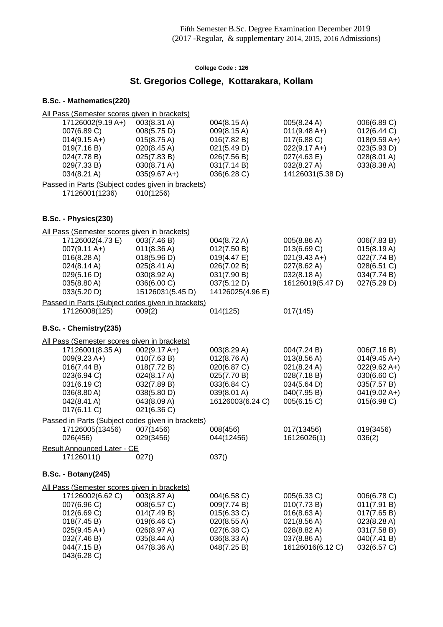# **St. Gregorios College, Kottarakara, Kollam**

| All Pass (Semester scores given in brackets)      |                  |                       |                       |                        |
|---------------------------------------------------|------------------|-----------------------|-----------------------|------------------------|
| 17126002(9.19 A+)                                 | 003(8.31 A)      | 004(8.15 A)           | 005(8.24 A)           | 006(6.89 C)            |
| 007(6.89 C)                                       | 008(5.75 D)      | 009(8.15 A)           | $011(9.48 A+)$        | 012(6.44 C)            |
| $014(9.15 A+)$                                    | 015(8.75 A)      | 016(7.82 B)           | 017(6.88 C)           | $018(9.59 A+)$         |
| 019(7.16 B)                                       | 020(8.45 A)      | 021(5.49 D)           | $022(9.17 A+)$        | 023(5.93 D)            |
| 024(7.78 B)                                       | 025(7.83 B)      | 026(7.56 B)           | 027(4.63 E)           | 028(8.01 A)            |
| 029(7.33 B)                                       | 030(8.71 A)      | 031(7.14 B)           | 032(8.27 A)           | 033(8.38 A)            |
| 034(8.21 A)                                       | $035(9.67 A+)$   | 036(6.28 C)           | 14126031(5.38 D)      |                        |
| Passed in Parts (Subject codes given in brackets) |                  |                       |                       |                        |
| 17126001(1236)                                    | 010(1256)        |                       |                       |                        |
| B.Sc. - Physics(230)                              |                  |                       |                       |                        |
| All Pass (Semester scores given in brackets)      |                  |                       |                       |                        |
| 17126002(4.73 E)                                  | 003(7.46 B)      | 004(8.72 A)           | 005(8.86 A)           | 006(7.83 B)            |
| $007(9.11 \text{ A+})$                            | 011(8.36 A)      | 012(7.50 B)           | 013(6.69 C)           | 015(8.19 A)            |
| 016(8.28 A)                                       | 018(5.96 D)      | 019(4.47 E)           | $021(9.43 A+)$        | 022(7.74 B)            |
| 024(8.14 A)                                       | 025(8.41 A)      | 026(7.02 B)           | $027(8.62 \text{ A})$ | 028(6.51 C)            |
| 029(5.16 D)                                       | 030(8.92 A)      | 031(7.90 B)           | 032(8.18 A)           | 034(7.74 B)            |
| 035(8.80 A)                                       | 036(6.00 C)      | 037(5.12 D)           | 16126019(5.47 D)      | 027(5.29 D)            |
| 033(5.20 D)                                       | 15126031(5.45 D) | 14126025(4.96 E)      |                       |                        |
| Passed in Parts (Subject codes given in brackets) |                  |                       |                       |                        |
| 17126008(125)                                     | 009(2)           | 014(125)              | 017(145)              |                        |
| B.Sc. - Chemistry(235)                            |                  |                       |                       |                        |
| All Pass (Semester scores given in brackets)      |                  |                       |                       |                        |
| 17126001(8.35 A)                                  | $002(9.17 A+)$   | 003(8.29 A)           | 004(7.24 B)           | 006(7.16 B)            |
| $009(9.23 A+)$                                    | 010(7.63 B)      | $012(8.76 \text{ A})$ | 013(8.56 A)           | $014(9.45 \text{ A+})$ |
| 016(7.44 B)                                       | 018(7.72 B)      | 020(6.87 C)           | 021(8.24 A)           | $022(9.62 A+)$         |
| 023(6.94 C)                                       | 024(8.17 A)      | 025(7.70 B)           | 028(7.18 B)           | 030(6.60 C)            |
| 031(6.19 C)                                       | 032(7.89 B)      | 033(6.84 C)           | 034(5.64 D)           | 035(7.57 B)            |
| 036(8.80 A)                                       | 038(5.80 D)      | 039(8.01 A)           | 040(7.95 B)           | $041(9.02 A+)$         |
| 042(8.41 A)                                       | 043(8.09 A)      | 16126003(6.24 C)      | 005(6.15 C)           | 015(6.98 C)            |
| 017(6.11 C)                                       | 021(6.36 C)      |                       |                       |                        |
| Passed in Parts (Subject codes given in brackets) |                  |                       |                       |                        |
| 17126005(13456)                                   | 007(1456)        | 008(456)              | 017(13456)            | 019(3456)              |
| 026(456)                                          | 029(3456)        | 044(12456)            | 16126026(1)           | 036(2)                 |
| <b>Result Announced Later - CE</b>                |                  |                       |                       |                        |
| 17126011()                                        | 027()            | 037()                 |                       |                        |
| <b>B.Sc. - Botany(245)</b>                        |                  |                       |                       |                        |
| All Pass (Semester scores given in brackets)      |                  |                       |                       |                        |
| 17126002(6.62 C)                                  | 003(8.87 A)      | 004(6.58 C)           | 005(6.33 C)           | 006(6.78 C)            |
| 007(6.96 C)                                       | 008(6.57 C)      | 009(7.74 B)           | 010(7.73 B)           | 011(7.91 B)            |
| 012(6.69 C)                                       | 014(7.49 B)      | 015(6.33 C)           | 016(8.63 A)           | 017(7.65 B)            |
| 018(7.45 B)                                       | 019(6.46 C)      | 020(8.55 A)           | 021(8.56 A)           | 023(8.28 A)            |
| $025(9.45 A+)$                                    | 026(8.97 A)      | 027(6.38 C)           | 028(8.82 A)           | 031(7.58 B)            |
| 032(7.46 B)                                       | 035(8.44 A)      | 036(8.33 A)           | 037(8.86 A)           | 040(7.41 B)            |
| 044(7.15 B)<br>043(6.28 C)                        | 047(8.36 A)      | 048(7.25 B)           | 16126016(6.12 C)      | 032(6.57 C)            |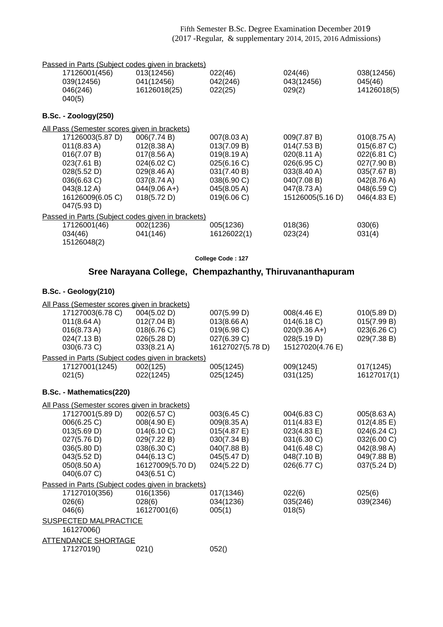| Passed in Parts (Subject codes given in brackets) |                |             |                  |                       |
|---------------------------------------------------|----------------|-------------|------------------|-----------------------|
| 17126001(456)                                     | 013(12456)     | 022(46)     | 024(46)          | 038(12456)            |
| 039(12456)                                        | 041(12456)     | 042(246)    | 043(12456)       | 045(46)               |
| 046(246)                                          | 16126018(25)   | 022(25)     | 029(2)           | 14126018(5)           |
| 040(5)                                            |                |             |                  |                       |
|                                                   |                |             |                  |                       |
| $B.Sc. - Zoology(250)$                            |                |             |                  |                       |
| All Pass (Semester scores given in brackets)      |                |             |                  |                       |
| 17126003(5.87 D)                                  | 006(7.74 B)    | 007(8.03 A) | 009(7.87 B)      | $010(8.75 \text{ A})$ |
| $011(8.83 \text{ A})$                             | 012(8.38 A)    | 013(7.09 B) | 014(7.53 B)      | 015(6.87 C)           |
| 016(7.07 B)                                       | 017(8.56 A)    | 019(8.19 A) | 020(8.11 A)      | 022(6.81 C)           |
| 023(7.61 B)                                       | 024(6.02 C)    | 025(6.16 C) | 026(6.95 C)      | 027(7.90 B)           |
| 028(5.52 D)                                       | 029(8.46 A)    | 031(7.40 B) | 033(8.40 A)      | 035(7.67 B)           |
| $036(6.63)$ C)                                    | 037(8.74 A)    | 038(6.90 C) | 040(7.08 B)      | 042(8.76 A)           |
| 043(8.12 A)                                       | $044(9.06 A+)$ | 045(8.05 A) | 047(8.73 A)      | 048(6.59 C)           |
| 16126009(6.05 C)                                  | 018(5.72 D)    | 019(6.06 C) | 15126005(5.16 D) | 046(4.83 E)           |
| 047(5.93 D)                                       |                |             |                  |                       |
| Passed in Parts (Subject codes given in brackets) |                |             |                  |                       |
| 17126001(46)                                      | 002(1236)      | 005(1236)   | 018(36)          | 030(6)                |
| 034(46)                                           | 041(146)       | 16126022(1) | 023(24)          | 031(4)                |
| 15126048(2)                                       |                |             |                  |                       |

**College Code : 127**

## **Sree Narayana College, Chempazhanthy, Thiruvananthapuram**

### **B.Sc. - Geology(210)**

| All Pass (Semester scores given in brackets)      |                  |                  |                  |             |
|---------------------------------------------------|------------------|------------------|------------------|-------------|
| 17127003(6.78 C)                                  | 004(5.02 D)      | 007(5.99 D)      | 008(4.46 E)      | 010(5.89 D) |
| $011(8.64 \text{ A})$                             | 012(7.04 B)      | 013(8.66 A)      | 014(6.18 C)      | 015(7.99 B) |
| $016(8.73 \text{ A})$                             | 018(6.76 C)      | 019(6.98 C)      | $020(9.36 A+)$   | 023(6.26 C) |
| 024(7.13 B)                                       | 026(5.28 D)      | 027(6.39 C)      | 028(5.19 D)      | 029(7.38 B) |
| 030(6.73 C)                                       | 033(8.21 A)      | 16127027(5.78 D) | 15127020(4.76 E) |             |
| Passed in Parts (Subject codes given in brackets) |                  |                  |                  |             |
| 17127001(1245)                                    | 002(125)         | 005(1245)        | 009(1245)        | 017(1245)   |
| 021(5)                                            | 022(1245)        | 025(1245)        | 031(125)         | 16127017(1) |
| B.Sc. - Mathematics(220)                          |                  |                  |                  |             |
| All Pass (Semester scores given in brackets)      |                  |                  |                  |             |
| 17127001(5.89 D)                                  | 002(6.57 C)      | 003(6.45 C)      | 004(6.83 C)      | 005(8.63 A) |
| 006(6.25 C)                                       | 008(4.90 E)      | 009(8.35 A)      | 011(4.83 E)      | 012(4.85 E) |
| 013(5.69 D)                                       | 014(6.10 C)      | 015(4.87 E)      | 023(4.83 E)      | 024(6.24 C) |
| 027(5.76 D)                                       | 029(7.22 B)      | 030(7.34 B)      | 031(6.30 C)      | 032(6.00 C) |
| 036(5.80 D)                                       | 038(6.30 C)      | 040(7.88 B)      | 041(6.48 C)      | 042(8.98 A) |
| 043(5.52 D)                                       | 044(6.13 C)      | 045(5.47 D)      | 048(7.10 B)      | 049(7.88 B) |
| 050(8.50 A)                                       | 16127009(5.70 D) | 024(5.22 D)      | 026(6.77 C)      | 037(5.24 D) |
| 040(6.07 C)                                       | 043(6.51 C)      |                  |                  |             |
| Passed in Parts (Subject codes given in brackets) |                  |                  |                  |             |
| 17127010(356)                                     | 016(1356)        | 017(1346)        | 022(6)           | 025(6)      |
| 026(6)                                            | 028(6)           | 034(1236)        | 035(246)         | 039(2346)   |
| 046(6)                                            | 16127001(6)      | 005(1)           | 018(5)           |             |
| <b>SUSPECTED MALPRACTICE</b>                      |                  |                  |                  |             |
| 16127006()                                        |                  |                  |                  |             |
| <b>ATTENDANCE SHORTAGE</b>                        |                  |                  |                  |             |
| 17127019()                                        | 021()            | 052()            |                  |             |
|                                                   |                  |                  |                  |             |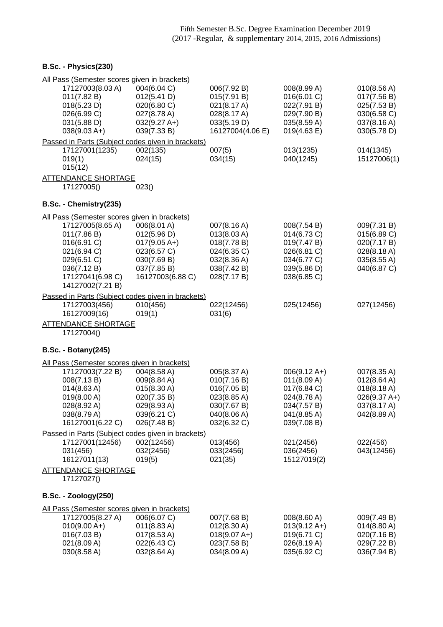## **B.Sc. - Physics(230)**

| All Pass (Semester scores given in brackets)                        |                       |                       |                        |                       |
|---------------------------------------------------------------------|-----------------------|-----------------------|------------------------|-----------------------|
| 17127003(8.03 A)                                                    | 004(6.04 C)           | 006(7.92 B)           | 008(8.99 A)            | 010(8.56 A)           |
| 011(7.82 B)                                                         | 012(5.41 D)           | 015(7.91 B)           | 016(6.01 C)            | 017(7.56 B)           |
| 018(5.23 D)                                                         | 020(6.80 C)           | 021(8.17 A)           | 022(7.91 B)            | 025(7.53 B)           |
| 026(6.99 C)                                                         | 027(8.78 A)           | 028(8.17 A)           | 029(7.90 B)            | 030(6.58 C)           |
| 031(5.88 D)                                                         | $032(9.27 A+)$        | 033(5.19 D)           | 035(8.59 A)            | 037(8.16 A)           |
| $038(9.03 A+)$                                                      | 039(7.33 B)           | 16127004(4.06 E)      | 019(4.63 E)            | 030(5.78 D)           |
| Passed in Parts (Subject codes given in brackets)<br>17127001(1235) | 002(135)              | 007(5)                | 013(1235)              | 014(1345)             |
| 019(1)                                                              | 024(15)               | 034(15)               | 040(1245)              | 15127006(1)           |
| 015(12)                                                             |                       |                       |                        |                       |
| <b>ATTENDANCE SHORTAGE</b>                                          |                       |                       |                        |                       |
| 17127005()                                                          | 023()                 |                       |                        |                       |
|                                                                     |                       |                       |                        |                       |
| B.Sc. - Chemistry(235)                                              |                       |                       |                        |                       |
| All Pass (Semester scores given in brackets)                        |                       |                       |                        |                       |
| 17127005(8.65 A)                                                    | 006(8.01 A)           | 007(8.16 A)           | 008(7.54 B)            | 009(7.31 B)           |
| 011(7.86 B)                                                         | 012(5.96 D)           | 013(8.03 A)           | 014(6.73 C)            | 015(6.89 C)           |
| 016(6.91 C)                                                         | $017(9.05 A+)$        | 018(7.78 B)           | 019(7.47 B)            | 020(7.17 B)           |
| 021(6.94 C)                                                         | 023(6.57 C)           | 024(6.35 C)           | 026(6.81 C)            | 028(8.18 A)           |
| 029(6.51 C)                                                         | 030(7.69 B)           | 032(8.36 A)           | 034(6.77 C)            | 035(8.55 A)           |
| 036(7.12 B)                                                         | 037(7.85 B)           | 038(7.42 B)           | 039(5.86 D)            | 040(6.87 C)           |
| 17127041(6.98 C)                                                    | 16127003(6.88 C)      | 028(7.17 B)           | 038(6.85 C)            |                       |
| 14127002(7.21 B)                                                    |                       |                       |                        |                       |
| Passed in Parts (Subject codes given in brackets)                   |                       |                       |                        |                       |
| 17127003(456)                                                       | 010(456)              | 022(12456)            | 025(12456)             | 027(12456)            |
| 16127009(16)                                                        | 019(1)                | 031(6)                |                        |                       |
| <b>ATTENDANCE SHORTAGE</b>                                          |                       |                       |                        |                       |
| 17127004()                                                          |                       |                       |                        |                       |
| <b>B.Sc. - Botany(245)</b>                                          |                       |                       |                        |                       |
| All Pass (Semester scores given in brackets)                        |                       |                       |                        |                       |
| 17127003(7.22 B)                                                    | 004(8.58 A)           | 005(8.37 A)           | $006(9.12 \text{ A+})$ | 007(8.35 A)           |
| 008(7.13 B)                                                         | 009(8.84 A)           | 010(7.16 B)           | 011(8.09 A)            | 012(8.64 A)           |
| 014(8.63 A)                                                         | $015(8.30 \text{ A})$ | 016(7.05 B)           | 017(6.84 C)            | $018(8.18 \text{ A})$ |
| 019(8.00 A)                                                         | 020(7.35 B)           | 023(8.85 A)           | 024(8.78 A)            | $026(9.37 A+)$        |
| 028(8.92 A)                                                         | 029(8.93 A)           | 030(7.67 B)           | 034(7.57 B)            | 037(8.17 A)           |
| 038(8.79 A)                                                         | 039(6.21 C)           | 040(8.06 A)           | $041(8.85 \text{ A})$  | 042(8.89 A)           |
| 16127001(6.22 C)                                                    | 026(7.48 B)           | 032(6.32 C)           | 039(7.08 B)            |                       |
| Passed in Parts (Subject codes given in brackets)                   |                       |                       |                        |                       |
| 17127001(12456)                                                     | 002(12456)            | 013(456)              | 021(2456)              | 022(456)              |
| 031(456)                                                            | 032(2456)             | 033(2456)             | 036(2456)              | 043(12456)            |
| 16127011(13)                                                        | 019(5)                | 021(35)               | 15127019(2)            |                       |
| <b>ATTENDANCE SHORTAGE</b>                                          |                       |                       |                        |                       |
| 17127027()                                                          |                       |                       |                        |                       |
|                                                                     |                       |                       |                        |                       |
| <b>B.Sc. - Zoology(250)</b>                                         |                       |                       |                        |                       |
| All Pass (Semester scores given in brackets)                        |                       |                       |                        |                       |
| 17127005(8.27 A)                                                    | 006(6.07 C)           | 007(7.68 B)           | 008(8.60 A)            | 009(7.49 B)           |
| $010(9.00 A+)$                                                      | $011(8.83 \text{ A})$ | $012(8.30 \text{ A})$ | $013(9.12 \text{ A+})$ | $014(8.80 \text{ A})$ |
| 016(7.03 B)                                                         | $017(8.53 \text{ A})$ | $018(9.07 A+)$        | 019(6.71 C)            | 020(7.16 B)           |
| 021(8.09 A)                                                         | 022(6.43 C)           | 023(7.58 B)           | 026(8.19 A)            | 029(7.22 B)           |
| 030(8.58 A)                                                         | 032(8.64 A)           | 034(8.09 A)           | 035(6.92 C)            | 036(7.94 B)           |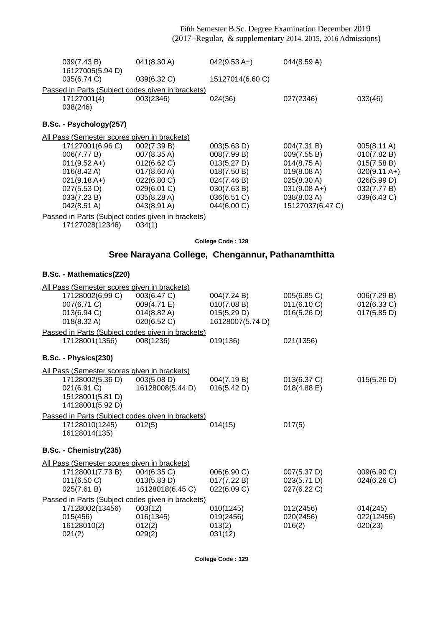| 039(7.43 B)<br>16127005(5.94 D)                   | 041(8.30 A)                                       | $042(9.53 A+)$   | 044(8.59 A)           |                        |  |
|---------------------------------------------------|---------------------------------------------------|------------------|-----------------------|------------------------|--|
| 035(6.74 C)                                       | 039(6.32 C)                                       | 15127014(6.60 C) |                       |                        |  |
| Passed in Parts (Subject codes given in brackets) |                                                   |                  |                       |                        |  |
| 17127001(4)<br>038(246)                           | 003(2346)                                         | 024(36)          | 027(2346)             | 033(46)                |  |
| B.Sc. - Psychology(257)                           |                                                   |                  |                       |                        |  |
| All Pass (Semester scores given in brackets)      |                                                   |                  |                       |                        |  |
| 17127001(6.96 C)                                  | 002(7.39 B)                                       | 003(5.63 D)      | 004(7.31 B)           | 005(8.11 A)            |  |
| 006(7.77 B)                                       | 007(8.35 A)                                       | 008(7.99 B)      | 009(7.55 B)           | 010(7.82 B)            |  |
| $011(9.52 \text{ A+})$                            | 012(6.62 C)                                       | 013(5.27 D)      | $014(8.75 \text{ A})$ | 015(7.58 B)            |  |
| 016(8.42 A)                                       | $017(8.60 \text{ A})$                             | 018(7.50 B)      | 019(8.08 A)           | $020(9.11 \text{ A+})$ |  |
| $021(9.18 A+)$                                    | 022(6.80 C)                                       | 024(7.46 B)      | 025(8.30 A)           | 026(5.99 D)            |  |
| 027(5.53 D)                                       | 029(6.01 C)                                       | 030(7.63 B)      | $031(9.08 A+)$        | 032(7.77 B)            |  |
| 033(7.23 B)                                       | 035(8.28 A)                                       | 036(6.51 C)      | 038(8.03 A)           | 039(6.43 C)            |  |
| 042(8.51 A)                                       | 043(8.91 A)                                       | 044(6.00 C)      | 15127037(6.47 C)      |                        |  |
| Passed in Parts (Subject codes given in brackets) |                                                   |                  |                       |                        |  |
| 17127028(12346)                                   | 034(1)                                            |                  |                       |                        |  |
| College Code: 128                                 |                                                   |                  |                       |                        |  |
|                                                   | Sree Narayana College, Chengannur, Pathanamthitta |                  |                       |                        |  |
|                                                   |                                                   |                  |                       |                        |  |

## **B.Sc. - Mathematics(220)**

| All Pass (Semester scores given in brackets)      |                       |                  |                |             |
|---------------------------------------------------|-----------------------|------------------|----------------|-------------|
| 17128002(6.99 C)                                  | 003(6.47 C)           | 004(7.24 B)      | 005(6.85 C)    | 006(7.29 B) |
| 007(6.71 C)                                       | 009(4.71 E)           | 010(7.08 B)      | 011(6.10 C)    | 012(6.33 C) |
| 013(6.94 C)                                       | $014(8.82 \text{ A})$ | 015(5.29 D)      | 016(5.26 D)    | 017(5.85 D) |
| 018(8.32 A)                                       | 020(6.52 C)           | 16128007(5.74 D) |                |             |
| Passed in Parts (Subject codes given in brackets) |                       |                  |                |             |
| 17128001(1356)                                    | 008(1236)             | 019(136)         | 021(1356)      |             |
| B.Sc. - Physics(230)                              |                       |                  |                |             |
| All Pass (Semester scores given in brackets)      |                       |                  |                |             |
| 17128002(5.36 D)                                  | 003(5.08 D)           | 004(7.19 B)      | 013(6.37 C)    | 015(5.26 D) |
| 021(6.91 C)                                       | 16128008(5.44 D)      | 016(5.42 D)      | $018(4.88)$ E) |             |
| 15128001(5.81 D)                                  |                       |                  |                |             |
| 14128001(5.92 D)                                  |                       |                  |                |             |
| Passed in Parts (Subject codes given in brackets) |                       |                  |                |             |
| 17128010(1245)                                    | 012(5)                | 014(15)          | 017(5)         |             |
| 16128014(135)                                     |                       |                  |                |             |
| B.Sc. - Chemistry(235)                            |                       |                  |                |             |
| All Pass (Semester scores given in brackets)      |                       |                  |                |             |
| 17128001(7.73 B)                                  | 004(6.35 C)           | 006(6.90 C)      | 007(5.37 D)    | 009(6.90 C) |
| 011(6.50 C)                                       | 013(5.83 D)           | 017(7.22 B)      | 023(5.71 D)    | 024(6.26 C) |
| 025(7.61 B)                                       | 16128018(6.45 C)      | 022(6.09 C)      | 027(6.22 C)    |             |
| Passed in Parts (Subject codes given in brackets) |                       |                  |                |             |
| 17128002(13456)                                   | 003(12)               | 010(1245)        | 012(2456)      | 014(245)    |
| 015(456)                                          | 016(1345)             | 019(2456)        | 020(2456)      | 022(12456)  |
| 16128010(2)                                       | 012(2)                | 013(2)           | 016(2)         | 020(23)     |
| 021(2)                                            | 029(2)                | 031(12)          |                |             |

**College Code : 129**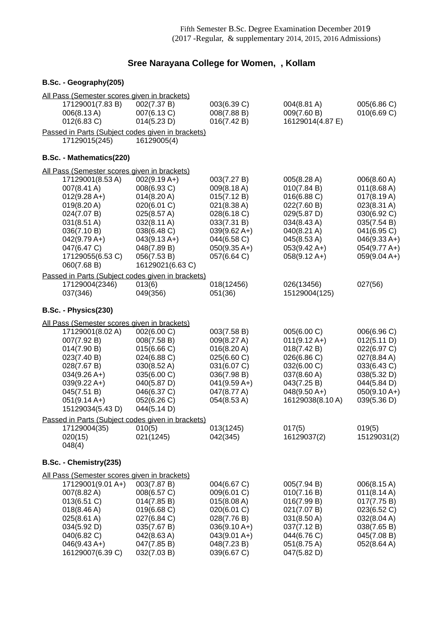## **Sree Narayana College for Women, , Kollam**

## **B.Sc. - Geography(205)**

| All Pass (Semester scores given in brackets)                                                                                                                                                      |                                                                                                                                                                              |                                                                                                                                                          |                                                                                                                                                                          |                                                                                                                                                             |
|---------------------------------------------------------------------------------------------------------------------------------------------------------------------------------------------------|------------------------------------------------------------------------------------------------------------------------------------------------------------------------------|----------------------------------------------------------------------------------------------------------------------------------------------------------|--------------------------------------------------------------------------------------------------------------------------------------------------------------------------|-------------------------------------------------------------------------------------------------------------------------------------------------------------|
| 17129001(7.83 B)<br>006(8.13A)<br>012(6.83 C)                                                                                                                                                     | 002(7.37 B)<br>007(6.13 C)<br>014(5.23 D)                                                                                                                                    | 003(6.39 C)<br>008(7.88 B)<br>016(7.42 B)                                                                                                                | 004(8.81 A)<br>009(7.60 B)<br>16129014(4.87 E)                                                                                                                           | 005(6.86 C)<br>010(6.69 C)                                                                                                                                  |
| Passed in Parts (Subject codes given in brackets)<br>17129015(245)                                                                                                                                | 16129005(4)                                                                                                                                                                  |                                                                                                                                                          |                                                                                                                                                                          |                                                                                                                                                             |
| B.Sc. - Mathematics(220)                                                                                                                                                                          |                                                                                                                                                                              |                                                                                                                                                          |                                                                                                                                                                          |                                                                                                                                                             |
| All Pass (Semester scores given in brackets)                                                                                                                                                      |                                                                                                                                                                              |                                                                                                                                                          |                                                                                                                                                                          |                                                                                                                                                             |
| 17129001(8.53 A)<br>007(8.41 A)<br>$012(9.28 A+)$<br>019(8.20 A)<br>024(7.07 B)<br>031(8.51 A)<br>036(7.10 B)<br>$042(9.79 A+)$<br>047(6.47 C)<br>17129055(6.53 C)<br>060(7.68 B)                 | $002(9.19 A+)$<br>008(6.93 C)<br>014(8.20 A)<br>020(6.01 C)<br>025(8.57 A)<br>032(8.11 A)<br>038(6.48 C)<br>$043(9.13 A+)$<br>048(7.89 B)<br>056(7.53 B)<br>16129021(6.63 C) | 003(7.27 B)<br>009(8.18 A)<br>015(7.12 B)<br>021(8.38 A)<br>028(6.18 C)<br>033(7.31 B)<br>$039(9.62 A+)$<br>044(6.58 C)<br>$050(9.35 A+)$<br>057(6.64 C) | 005(8.28 A)<br>010(7.84 B)<br>016(6.88 C)<br>022(7.60 B)<br>029(5.87 D)<br>034(8.43 A)<br>040(8.21 A)<br>045(8.53 A)<br>$053(9.42 \text{ A+})$<br>$058(9.12 \text{ A+})$ | 006(8.60 A)<br>011(8.68 A)<br>017(8.19 A)<br>023(8.31 A)<br>030(6.92 C)<br>035(7.54 B)<br>041(6.95 C)<br>$046(9.33 A+)$<br>$054(9.77 A+)$<br>$059(9.04 A+)$ |
| Passed in Parts (Subject codes given in brackets)<br>17129004(2346)<br>037(346)                                                                                                                   | 013(6)<br>049(356)                                                                                                                                                           | 018(12456)<br>051(36)                                                                                                                                    | 026(13456)<br>15129004(125)                                                                                                                                              | 027(56)                                                                                                                                                     |
| B.Sc. - Physics(230)                                                                                                                                                                              |                                                                                                                                                                              |                                                                                                                                                          |                                                                                                                                                                          |                                                                                                                                                             |
| All Pass (Semester scores given in brackets)                                                                                                                                                      |                                                                                                                                                                              |                                                                                                                                                          |                                                                                                                                                                          |                                                                                                                                                             |
| 17129001(8.02 A)<br>007(7.92 B)<br>014(7.90 B)<br>023(7.40 B)<br>028(7.67 B)<br>$034(9.26 A+)$<br>$039(9.22 \text{ A+})$<br>045(7.51 B)<br>$051(9.14 A+)$<br>15129034(5.43 D)                     | 002(6.00 C)<br>008(7.58 B)<br>015(6.66 C)<br>024(6.88 C)<br>030(8.52 A)<br>035(6.00 C)<br>040(5.87 D)<br>046(6.37 C)<br>052(6.26 C)<br>044(5.14 D)                           | 003(7.58 B)<br>009(8.27 A)<br>016(8.20 A)<br>025(6.60 C)<br>031(6.07 C)<br>036(7.98 B)<br>$041(9.59 A+)$<br>047(8.77 A)<br>054(8.53 A)                   | 005(6.00 C)<br>$011(9.12 \text{ A+})$<br>018(7.42 B)<br>026(6.86 C)<br>032(6.00 C)<br>037(8.60 A)<br>043(7.25 B)<br>$048(9.50 A+)$<br>16129038(8.10 A)                   | 006(6.96 C)<br>012(5.11 D)<br>022(6.97 C)<br>027(8.84 A)<br>033(6.43 C)<br>038(5.32 D)<br>044(5.84 D)<br>$050(9.10 A+)$<br>039(5.36 D)                      |
| Passed in Parts (Subject codes given in brackets)                                                                                                                                                 |                                                                                                                                                                              |                                                                                                                                                          |                                                                                                                                                                          |                                                                                                                                                             |
| 17129004(35)<br>020(15)<br>048(4)                                                                                                                                                                 | 010(5)<br>021(1245)                                                                                                                                                          | 013(1245)<br>042(345)                                                                                                                                    | 017(5)<br>16129037(2)                                                                                                                                                    | 019(5)<br>15129031(2)                                                                                                                                       |
| B.Sc. - Chemistry(235)                                                                                                                                                                            |                                                                                                                                                                              |                                                                                                                                                          |                                                                                                                                                                          |                                                                                                                                                             |
| All Pass (Semester scores given in brackets)<br>17129001(9.01 A+)<br>007(8.82 A)<br>013(6.51 C)<br>018(8.46 A)<br>025(8.61 A)<br>034(5.92 D)<br>040(6.82 C)<br>$046(9.43 A+)$<br>16129007(6.39 C) | 003(7.87 B)<br>008(6.57 C)<br>014(7.85 B)<br>019(6.68 C)<br>027(6.84 C)<br>035(7.67 B)<br>042(8.63 A)<br>047(7.85 B)<br>032(7.03 B)                                          | 004(6.67 C)<br>009(6.01 C)<br>015(8.08 A)<br>020(6.01 C)<br>028(7.76 B)<br>$036(9.10 A+)$<br>$043(9.01 A+)$<br>048(7.23 B)<br>039(6.67 C)                | 005(7.94 B)<br>010(7.16 B)<br>016(7.99 B)<br>021(7.07 B)<br>031(8.50 A)<br>037(7.12 B)<br>044(6.76 C)<br>051(8.75 A)<br>047(5.82 D)                                      | 006(8.15 A)<br>$011(8.14 \text{ A})$<br>017(7.75 B)<br>023(6.52 C)<br>032(8.04 A)<br>038(7.65 B)<br>045(7.08 B)<br>052(8.64 A)                              |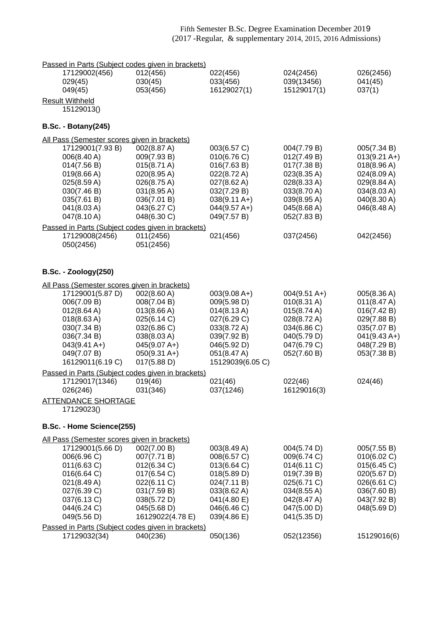| Passed in Parts (Subject codes given in brackets)                |                            |                            |                            |                               |
|------------------------------------------------------------------|----------------------------|----------------------------|----------------------------|-------------------------------|
| 17129002(456)                                                    | 012(456)                   | 022(456)                   | 024(2456)                  | 026(2456)                     |
| 029(45)                                                          | 030(45)                    | 033(456)                   | 039(13456)                 | 041(45)                       |
| 049(45)                                                          | 053(456)                   | 16129027(1)                | 15129017(1)                | 037(1)                        |
| <b>Result Withheld</b>                                           |                            |                            |                            |                               |
| 15129013()                                                       |                            |                            |                            |                               |
| <b>B.Sc. - Botany(245)</b>                                       |                            |                            |                            |                               |
| All Pass (Semester scores given in brackets)                     |                            |                            |                            |                               |
| 17129001(7.93 B)                                                 | 002(8.87 A)                | 003(6.57 C)                | 004(7.79 B)                | 005(7.34 B)                   |
| 006(8.40 A)                                                      | 009(7.93 B)                | 010(6.76)                  | 012(7.49 B)                | $013(9.21 \text{ A+})$        |
| 014(7.56 B)                                                      | 015(8.71 A)                | 016(7.63 B)                | 017(7.38 B)                | 018(8.96 A)                   |
| 019(8.66 A)                                                      | 020(8.95 A)                | 022(8.72 A)                | 023(8.35 A)                | 024(8.09 A)                   |
| 025(8.59 A)                                                      | 026(8.75 A)                | 027(8.62 A)                | 028(8.33 A)                | 029(8.84 A)                   |
| 030(7.46 B)                                                      | 031(8.95 A)                | 032(7.29 B)                | 033(8.70 A)                | 034(8.03 A)                   |
| 035(7.61 B)                                                      | 036(7.01 B)                | $038(9.11 \text{ A+})$     | 039(8.95 A)                | 040(8.30 A)                   |
| 041(8.03 A)                                                      | 043(6.27 C)<br>048(6.30 C) | $044(9.57 A+)$             | 045(8.68 A)                | 046(8.48 A)                   |
| 047(8.10 A)                                                      |                            | 049(7.57 B)                | 052(7.83 B)                |                               |
| Passed in Parts (Subject codes given in brackets)                |                            |                            |                            |                               |
| 17129008(2456)<br>050(2456)                                      | 011(2456)<br>051(2456)     | 021(456)                   | 037(2456)                  | 042(2456)                     |
|                                                                  |                            |                            |                            |                               |
|                                                                  |                            |                            |                            |                               |
| <b>B.Sc. - Zoology(250)</b>                                      |                            |                            |                            |                               |
| All Pass (Semester scores given in brackets)                     |                            |                            |                            |                               |
| 17129001(5.87 D)                                                 | 002(8.60 A)                | $003(9.08 A+)$             | $004(9.51 \text{ A+})$     | 005(8.36 A)                   |
| 006(7.09 B)                                                      | 008(7.04 B)                | 009(5.98 D)                | $010(8.31 \text{ A})$      | 011(8.47 A)                   |
| 012(8.64 A)                                                      | 013(8.66 A)                | 014(8.13 A)                | 015(8.74 A)                | 016(7.42 B)                   |
| 018(8.63 A)                                                      | 025(6.14 C)                | 027(6.29 C)                | 028(8.72 A)                | 029(7.88 B)                   |
| 030(7.34 B)<br>036(7.34 B)                                       | 032(6.86 C)<br>038(8.03 A) | 033(8.72 A)<br>039(7.92 B) | 034(6.86 C)<br>040(5.79 D) | 035(7.07 B)<br>$041(9.43 A+)$ |
| $043(9.41 \text{ A+})$                                           | $045(9.07 A+)$             | 046(5.92 D)                | 047(6.79 C)                | 048(7.29 B)                   |
| 049(7.07 B)                                                      | $050(9.31 \text{ A+})$     | 051(8.47 A)                | 052(7.60 B)                | 053(7.38 B)                   |
| 16129011(6.19 C)                                                 | 017(5.88 D)                | 15129039(6.05 C)           |                            |                               |
| Passed in Parts (Subject codes given in brackets)                |                            |                            |                            |                               |
| 17129017(1346)                                                   | 019(46)                    | 021(46)                    | 022(46)                    | 024(46)                       |
| 026(246)                                                         | 031(346)                   | 037(1246)                  | 16129016(3)                |                               |
| <b>ATTENDANCE SHORTAGE</b>                                       |                            |                            |                            |                               |
| 17129023()                                                       |                            |                            |                            |                               |
| B.Sc. - Home Science(255)                                        |                            |                            |                            |                               |
|                                                                  |                            |                            |                            |                               |
| All Pass (Semester scores given in brackets)<br>17129001(5.66 D) | 002(7.00 B)                | 003(8.49 A)                | 004(5.74 D)                | 005(7.55 B)                   |
| 006(6.96 C)                                                      | 007(7.71 B)                | 008(6.57 C)                | 009(6.74 C)                | 010(6.02 C)                   |
| 011(6.63 C)                                                      | 012(6.34 C)                | 013(6.64 C)                | 014(6.11 C)                | 015(6.45 C)                   |
| 016(6.64 C)                                                      | 017(6.54 C)                | 018(5.89 D)                | 019(7.39 B)                | 020(5.67 D)                   |
| 021(8.49 A)                                                      | 022(6.11 C)                | 024(7.11 B)                | 025(6.71 C)                | 026(6.61 C)                   |
| 027(6.39 C)                                                      | 031(7.59 B)                | 033(8.62 A)                | 034(8.55 A)                | 036(7.60 B)                   |
| 037(6.13 C)                                                      | 038(5.72 D)                | 041(4.80 E)                | 042(8.47 A)                | 043(7.92 B)                   |
| 044(6.24 C)                                                      | 045(5.68 D)                | 046(6.46 C)                | 047(5.00 D)                | 048(5.69 D)                   |
| 049(5.56 D)                                                      | 16129022(4.78 E)           | 039(4.86 E)                | 041(5.35 D)                |                               |
| Passed in Parts (Subject codes given in brackets)                |                            |                            |                            |                               |
| 17129032(34)                                                     | 040(236)                   | 050(136)                   | 052(12356)                 | 15129016(6)                   |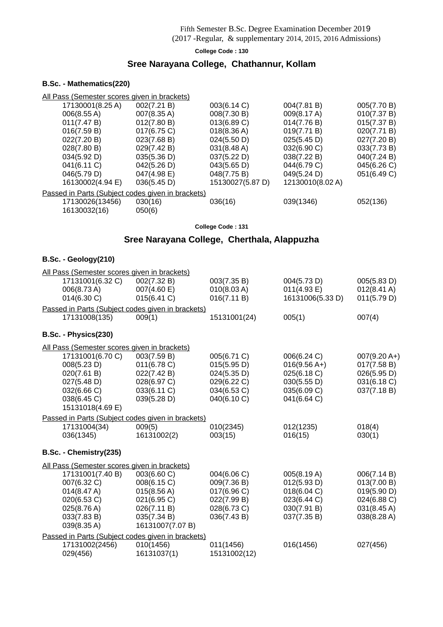### (2017 -Regular, & supplementary 2014, 2015, 2016 Admissions)

#### **College Code : 130**

## **Sree Narayana College, Chathannur, Kollam**

#### **B.Sc. - Mathematics(220)**

|                  | <u>All Pass (Semester scores given in brackets)</u> |                  |                  |             |
|------------------|-----------------------------------------------------|------------------|------------------|-------------|
| 17130001(8.25 A) | 002(7.21 B)                                         | 003(6.14 C)      | 004(7.81 B)      | 005(7.70 B) |
| 006(8.55 A)      | 007(8.35 A)                                         | 008(7.30 B)      | 009(8.17 A)      | 010(7.37 B) |
| 011(7.47 B)      | 012(7.80 B)                                         | 013(6.89 C)      | 014(7.76 B)      | 015(7.37 B) |
| 016(7.59 B)      | $017(6.75)$ C)                                      | 018(8.36 A)      | 019(7.71 B)      | 020(7.71 B) |
| 022(7.20 B)      | 023(7.68 B)                                         | 024(5.50 D)      | 025(5.45 D)      | 027(7.20 B) |
| 028(7.80 B)      | 029(7.42 B)                                         | 031(8.48 A)      | 032(6.90 C)      | 033(7.73 B) |
| 034(5.92 D)      | 035(5.36 D)                                         | 037(5.22 D)      | 038(7.22 B)      | 040(7.24 B) |
| 041(6.11 C)      | 042(5.26 D)                                         | 043(5.65 D)      | 044(6.79 C)      | 045(6.26 C) |
| 046(5.79 D)      | 047(4.98 E)                                         | 048(7.75 B)      | 049(5.24 D)      | 051(6.49 C) |
| 16130002(4.94 E) | 036(5.45 D)                                         | 15130027(5.87 D) | 12130010(8.02 A) |             |
|                  | Passed in Parts (Subject codes given in brackets)   |                  |                  |             |
| 17130026(13456)  | 030(16)                                             | 036(16)          | 039(1346)        | 052(136)    |
| 16130032(16)     | 050(6)                                              |                  |                  |             |
|                  |                                                     |                  |                  |             |

**College Code : 131**

## **Sree Narayana College, Cherthala, Alappuzha**

#### **B.Sc. - Geology(210)**

| All Pass (Semester scores given in brackets)      |                            |                            |                            |                            |
|---------------------------------------------------|----------------------------|----------------------------|----------------------------|----------------------------|
| 17131001(6.32 C)                                  | 002(7.32 B)                | 003(7.35 B)                | 004(5.73 D)                | 005(5.83 D)                |
| 006(8.73 A)                                       | 007(4.60 E)                | 010(8.03 A)                | 011(4.93 E)                | $012(8.41 \text{ A})$      |
| 014(6.30 C)                                       | 015(6.41 C)                | 016(7.11 B)                | 16131006(5.33 D)           | 011(5.79 D)                |
| Passed in Parts (Subject codes given in brackets) |                            |                            |                            |                            |
| 17131008(135)                                     | 009(1)                     | 15131001(24)               | 005(1)                     | 007(4)                     |
| B.Sc. - Physics(230)                              |                            |                            |                            |                            |
| All Pass (Semester scores given in brackets)      |                            |                            |                            |                            |
| 17131001(6.70 C)                                  | 003(7.59 B)                | 005(6.71 C)                | 006(6.24 C)                | $007(9.20 A+)$             |
| 008(5.23 D)                                       | 011(6.78)                  | 015(5.95 D)                | $016(9.56 A+)$             | 017(7.58 B)                |
| 020(7.61 B)                                       | 022(7.42 B)                | 024(5.35 D)                | 025(6.18 C)                | 026(5.95 D)                |
| 027(5.48 D)                                       | 028(6.97 C)                | 029(6.22 C)                | 030(5.55 D)                | 031(6.18 C)                |
| 032(6.66 C)                                       | 033(6.11 C)                | 034(6.53 C)                | 035(6.09 C)                | 037(7.18 B)                |
| 038(6.45 C)<br>15131018(4.69 E)                   | 039(5.28 D)                | 040(6.10 C)                | 041(6.64 C)                |                            |
|                                                   |                            |                            |                            |                            |
| Passed in Parts (Subject codes given in brackets) |                            |                            |                            |                            |
| 17131004(34)<br>036(1345)                         | 009(5)<br>16131002(2)      | 010(2345)<br>003(15)       | 012(1235)<br>016(15)       | 018(4)<br>030(1)           |
|                                                   |                            |                            |                            |                            |
| B.Sc. - Chemistry(235)                            |                            |                            |                            |                            |
| All Pass (Semester scores given in brackets)      |                            |                            |                            |                            |
| 17131001(7.40 B)                                  | 003(6.60 C)                | 004(6.06 C)                | 005(8.19 A)                | 006(7.14 B)                |
| 007(6.32 C)                                       | 008(6.15 C)                | 009(7.36 B)                | 012(5.93 D)                | 013(7.00 B)                |
| 014(8.47 A)                                       | 015(8.56 A)                | 017(6.96 C)                | 018(6.04 C)                | 019(5.90 D)                |
| 020(6.53 C)                                       | 021(6.95 C)                | 022(7.99 B)                | 023(6.44 C)                | 024(6.88 C)                |
| 025(8.76 A)<br>033(7.83 B)                        | 026(7.11 B)<br>035(7.34 B) | 028(6.73 C)<br>036(7.43 B) | 030(7.91 B)<br>037(7.35 B) | 031(8.45 A)<br>038(8.28 A) |
| 039(8.35 A)                                       | 16131007(7.07 B)           |                            |                            |                            |
| Passed in Parts (Subject codes given in brackets) |                            |                            |                            |                            |
| 17131002(2456)                                    | 010(1456)                  | 011(1456)                  | 016(1456)                  | 027(456)                   |
| 029(456)                                          | 16131037(1)                | 15131002(12)               |                            |                            |
|                                                   |                            |                            |                            |                            |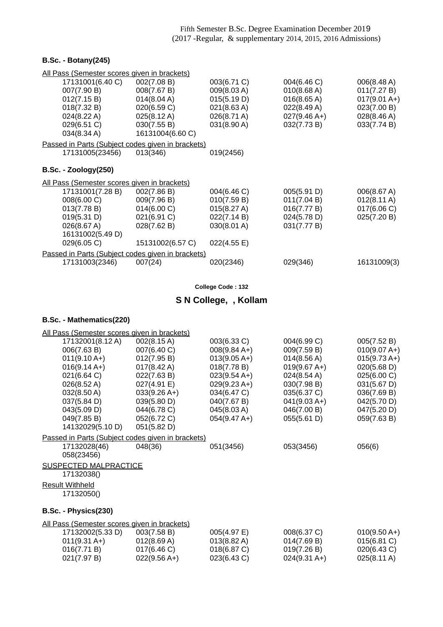#### **B.Sc. - Botany(245)**

| All Pass (Semester scores given in brackets)      |                                                   |             |                |                       |  |
|---------------------------------------------------|---------------------------------------------------|-------------|----------------|-----------------------|--|
| 17131001(6.40 C)                                  | 002(7.08 B)                                       | 003(6.71 C) | 004(6.46 C)    | 006(8.48 A)           |  |
| 007(7.90 B)                                       | 008(7.67 B)                                       | 009(8.03 A) | 010(8.68 A)    | 011(7.27 B)           |  |
| 012(7.15 B)                                       | 014(8.04 A)                                       | 015(5.19 D) | 016(8.65 A)    | $017(9.01 A+)$        |  |
| 018(7.32 B)                                       | 020(6.59 C)                                       | 021(8.63 A) | 022(8.49 A)    | 023(7.00 B)           |  |
| 024(8.22 A)                                       | $025(8.12 \text{ A})$                             | 026(8.71 A) | $027(9.46 A+)$ | 028(8.46 A)           |  |
| 029(6.51 C)                                       | 030(7.55 B)                                       | 031(8.90 A) | 032(7.73 B)    | 033(7.74 B)           |  |
| 034(8.34 A)                                       | 16131004(6.60 C)                                  |             |                |                       |  |
| Passed in Parts (Subject codes given in brackets) |                                                   |             |                |                       |  |
| 17131005(23456)                                   | 013(346)                                          | 019(2456)   |                |                       |  |
|                                                   |                                                   |             |                |                       |  |
| $B.Sc. - Zoology(250)$                            |                                                   |             |                |                       |  |
| All Pass (Semester scores given in brackets)      |                                                   |             |                |                       |  |
| 17131001(7.28 B)                                  | 002(7.86 B)                                       | 004(6.46 C) | 005(5.91 D)    | 006(8.67 A)           |  |
| 008(6.00 C)                                       | 009(7.96 B)                                       | 010(7.59 B) | 011(7.04 B)    | $012(8.11 \text{ A})$ |  |
| 013(7.78 B)                                       | 014(6.00 C)                                       | 015(8.27 A) | 016(7.77 B)    | 017(6.06 C)           |  |
| 019(5.31 D)                                       | 021(6.91 C)                                       | 022(7.14 B) | 024(5.78 D)    | 025(7.20 B)           |  |
| 026(8.67 A)                                       | 028(7.62 B)                                       | 030(8.01 A) | 031(7.77 B)    |                       |  |
| 16131002(5.49 D)                                  |                                                   |             |                |                       |  |
| 029(6.05 C)                                       | 15131002(6.57 C)                                  | 022(4.55 E) |                |                       |  |
|                                                   | Passed in Parts (Subject codes given in brackets) |             |                |                       |  |
| 17131003(2346)                                    | 007(24)                                           | 020(2346)   | 029(346)       | 16131009(3)           |  |

**College Code : 132**

# **S N College, , Kollam**

| All Pass (Semester scores given in brackets) |                                                                              |                                                   |                |  |  |
|----------------------------------------------|------------------------------------------------------------------------------|---------------------------------------------------|----------------|--|--|
| 002(8.15 A)                                  | 003(6.33 C)                                                                  | 004(6.99 C)                                       | 005(7.52 B)    |  |  |
| 007(6.40 C)                                  | $008(9.84 A+)$                                                               | 009(7.59 B)                                       | $010(9.07 A+)$ |  |  |
| 012(7.95 B)                                  | $013(9.05 A+)$                                                               | 014(8.56 A)                                       | $015(9.73 A+)$ |  |  |
| $017(8.42 \text{ A})$                        | 018(7.78 B)                                                                  | $019(9.67 A+)$                                    | 020(5.68 D)    |  |  |
| 022(7.63 B)                                  | $023(9.54 A+)$                                                               | 024(8.54 A)                                       | 025(6.00 C)    |  |  |
| 027(4.91 E)                                  | $029(9.23 A+)$                                                               | 030(7.98 B)                                       | 031(5.67 D)    |  |  |
| $033(9.26 A+)$                               | 034(6.47 C)                                                                  | 035(6.37 C)                                       | 036(7.69 B)    |  |  |
| 039(5.80 D)                                  | 040(7.67 B)                                                                  | $041(9.03 A+)$                                    | 042(5.70 D)    |  |  |
| 044(6.78 C)                                  | 045(8.03 A)                                                                  |                                                   | 047(5.20 D)    |  |  |
| 052(6.72 C)                                  | $054(9.47 A+)$                                                               | 055(5.61 D)                                       | 059(7.63 B)    |  |  |
| 051(5.82 D)                                  |                                                                              |                                                   |                |  |  |
|                                              |                                                                              |                                                   |                |  |  |
| 048(36)                                      | 051(3456)                                                                    | 053(3456)                                         | 056(6)         |  |  |
|                                              |                                                                              |                                                   |                |  |  |
|                                              |                                                                              |                                                   |                |  |  |
|                                              |                                                                              |                                                   |                |  |  |
|                                              |                                                                              |                                                   |                |  |  |
|                                              |                                                                              |                                                   |                |  |  |
|                                              |                                                                              |                                                   |                |  |  |
| B.Sc. - Physics(230)                         |                                                                              |                                                   |                |  |  |
|                                              |                                                                              |                                                   |                |  |  |
| 003(7.58 B)                                  | 005(4.97 E)                                                                  | 008(6.37 C)                                       | $010(9.50 A+)$ |  |  |
| 012(8.69 A)                                  | 013(8.82 A)                                                                  | 014(7.69 B)                                       | 015(6.81 C)    |  |  |
| 017(6.46 C)                                  | 018(6.87 C)                                                                  | 019(7.26 B)                                       | 020(6.43 C)    |  |  |
| $022(9.56 A+)$                               | 023(6.43 C)                                                                  | $024(9.31 \text{ A+})$                            | 025(8.11 A)    |  |  |
|                                              | <b>SUSPECTED MALPRACTICE</b><br>All Pass (Semester scores given in brackets) | Passed in Parts (Subject codes given in brackets) | 046(7.00 B)    |  |  |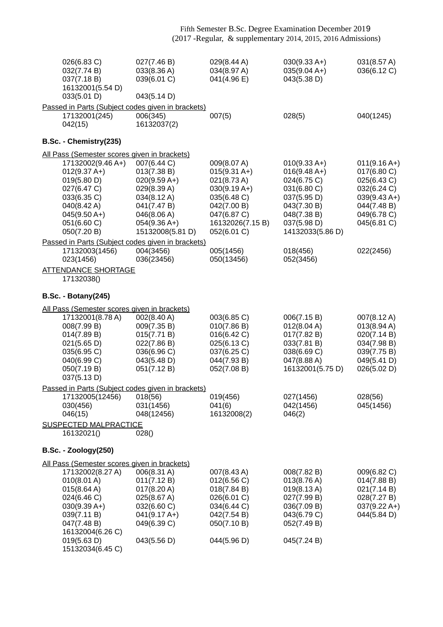| 026(6.83 C)<br>032(7.74 B)<br>037(7.18B)<br>16132001(5.54 D)<br>033(5.01 D)                                                                                                                                          | 027(7.46 B)<br>033(8.36 A)<br>039(6.01 C)<br>043(5.14 D)                                                                                       | 029(8.44 A)<br>034(8.97 A)<br>041(4.96 E)                                                                                                     | $030(9.33 A+)$<br>$035(9.04 A+)$<br>043(5.38 D)                                                                                                | 031(8.57 A)<br>036(6.12 C)                                                                                                 |
|----------------------------------------------------------------------------------------------------------------------------------------------------------------------------------------------------------------------|------------------------------------------------------------------------------------------------------------------------------------------------|-----------------------------------------------------------------------------------------------------------------------------------------------|------------------------------------------------------------------------------------------------------------------------------------------------|----------------------------------------------------------------------------------------------------------------------------|
| Passed in Parts (Subject codes given in brackets)<br>17132001(245)<br>042(15)                                                                                                                                        | 006(345)<br>16132037(2)                                                                                                                        | 007(5)                                                                                                                                        | 028(5)                                                                                                                                         | 040(1245)                                                                                                                  |
| B.Sc. - Chemistry(235)                                                                                                                                                                                               |                                                                                                                                                |                                                                                                                                               |                                                                                                                                                |                                                                                                                            |
| All Pass (Semester scores given in brackets)<br>17132002(9.46 A+)<br>$012(9.37 A+)$<br>019(5.80 D)<br>027(6.47 C)<br>033(6.35 C)<br>040(8.42 A)<br>$045(9.50 A+)$<br>051(6.60 C)<br>050(7.20 B)                      | 007(6.44 C)<br>013(7.38 B)<br>$020(9.59 A+)$<br>029(8.39 A)<br>034(8.12 A)<br>041(7.47 B)<br>046(8.06 A)<br>$054(9.36 A+)$<br>15132008(5.81 D) | 009(8.07 A)<br>$015(9.31 A+)$<br>021(8.73 A)<br>$030(9.19 A+)$<br>035(6.48 C)<br>042(7.00 B)<br>047(6.87 C)<br>16132026(7.15B)<br>052(6.01 C) | $010(9.33 A+)$<br>$016(9.48 A+)$<br>024(6.75 C)<br>031(6.80 C)<br>037(5.95 D)<br>043(7.30 B)<br>048(7.38 B)<br>037(5.98 D)<br>14132033(5.86 D) | $011(9.16 A+)$<br>017(6.80 C)<br>025(6.43 C)<br>032(6.24 C)<br>$039(9.43 A+)$<br>044(7.48 B)<br>049(6.78 C)<br>045(6.81 C) |
| Passed in Parts (Subject codes given in brackets)<br>17132003(1456)                                                                                                                                                  | 004(3456)                                                                                                                                      | 005(1456)                                                                                                                                     | 018(456)                                                                                                                                       | 022(2456)                                                                                                                  |
| 023(1456)                                                                                                                                                                                                            | 036(23456)                                                                                                                                     | 050(13456)                                                                                                                                    | 052(3456)                                                                                                                                      |                                                                                                                            |
| <b>ATTENDANCE SHORTAGE</b><br>17132038()                                                                                                                                                                             |                                                                                                                                                |                                                                                                                                               |                                                                                                                                                |                                                                                                                            |
| <b>B.Sc. - Botany(245)</b>                                                                                                                                                                                           |                                                                                                                                                |                                                                                                                                               |                                                                                                                                                |                                                                                                                            |
| All Pass (Semester scores given in brackets)                                                                                                                                                                         |                                                                                                                                                |                                                                                                                                               |                                                                                                                                                |                                                                                                                            |
| 17132001(8.78 A)<br>008(7.99 B)<br>014(7.89 B)<br>021(5.65 D)<br>035(6.95 C)<br>040(6.99 C)<br>050(7.19 B)<br>037(5.13 D)                                                                                            | 002(8.40 A)<br>009(7.35 B)<br>015(7.71 B)<br>022(7.86 B)<br>036(6.96 C)<br>043(5.48 D)<br>051(7.12 B)                                          | 003(6.85 C)<br>010(7.86 B)<br>016(6.42 C)<br>025(6.13 C)<br>037(6.25 C)<br>044(7.93 B)<br>052(7.08 B)                                         | 006(7.15 B)<br>012(8.04 A)<br>017(7.82 B)<br>033(7.81 B)<br>038(6.69 C)<br>047(8.88 A)<br>16132001(5.75 D)                                     | 007(8.12 A)<br>013(8.94 A)<br>020(7.14 B)<br>034(7.98 B)<br>039(7.75 B)<br>049(5.41 D)<br>026(5.02 D)                      |
| Passed in Parts (Subject codes given in brackets)                                                                                                                                                                    |                                                                                                                                                |                                                                                                                                               |                                                                                                                                                |                                                                                                                            |
| 17132005(12456)<br>030(456)<br>046(15)<br><b>SUSPECTED MALPRACTICE</b>                                                                                                                                               | 018(56)<br>031(1456)<br>048(12456)                                                                                                             | 019(456)<br>041(6)<br>16132008(2)                                                                                                             | 027(1456)<br>042(1456)<br>046(2)                                                                                                               | 028(56)<br>045(1456)                                                                                                       |
| 16132021()                                                                                                                                                                                                           | 028()                                                                                                                                          |                                                                                                                                               |                                                                                                                                                |                                                                                                                            |
| <b>B.Sc. - Zoology(250)</b>                                                                                                                                                                                          |                                                                                                                                                |                                                                                                                                               |                                                                                                                                                |                                                                                                                            |
| All Pass (Semester scores given in brackets)<br>17132002(8.27 A)<br>010(8.01 A)<br>015(8.64 A)<br>024(6.46 C)<br>$030(9.39 A+)$<br>039(7.11 B)<br>047(7.48 B)<br>16132004(6.26 C)<br>019(5.63 D)<br>15132034(6.45 C) | 006(8.31 A)<br>011(7.12 B)<br>017(8.20 A)<br>025(8.67 A)<br>032(6.60 C)<br>$041(9.17 A+)$<br>049(6.39 C)<br>043(5.56 D)                        | 007(8.43 A)<br>012(6.56 C)<br>018(7.84 B)<br>026(6.01 C)<br>034(6.44 C)<br>042(7.54 B)<br>050(7.10 B)<br>044(5.96 D)                          | 008(7.82 B)<br>013(8.76 A)<br>019(8.13 A)<br>027(7.99 B)<br>036(7.09 B)<br>043(6.79 C)<br>052(7.49 B)<br>045(7.24 B)                           | 009(6.82 C)<br>014(7.88 B)<br>021(7.14 B)<br>028(7.27 B)<br>$037(9.22 \text{ A+})$<br>044(5.84 D)                          |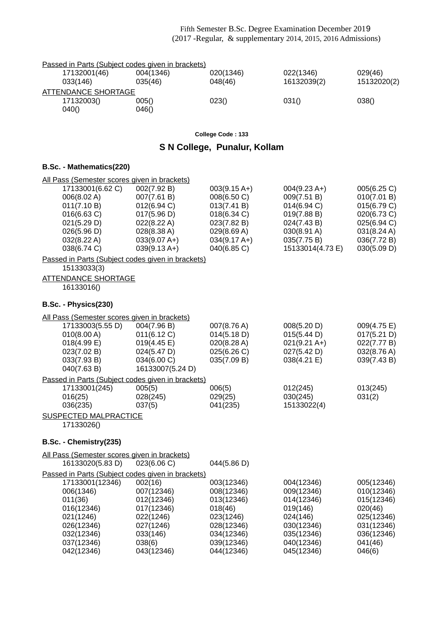|                     | Passed in Parts (Subject codes given in brackets) |           |             |             |  |
|---------------------|---------------------------------------------------|-----------|-------------|-------------|--|
| 17132001(46)        | 004(1346)                                         | 020(1346) | 022(1346)   | 029(46)     |  |
| 033(146)            | 035(46)                                           | 048(46)   | 16132039(2) | 15132020(2) |  |
| ATTENDANCE SHORTAGE |                                                   |           |             |             |  |
| 17132003()          | 005()                                             | 023()     | 031()       | 038()       |  |
| 040()               | 046()                                             |           |             |             |  |

**College Code : 133**

## **S N College, Punalur, Kollam**

| All Pass (Semester scores given in brackets)<br>17133001(6.62 C)<br>006(8.02 A)<br>011(7.10 B)<br>016(6.63 C)<br>021(5.29 D)<br>026(5.96 D)<br>032(8.22 A)<br>038(6.74 C) | 002(7.92 B)<br>007(7.61 B)<br>012(6.94 C)<br>017(5.96 D)<br>022(8.22 A)<br>028(8.38 A)<br>$033(9.07 A+)$<br>$039(9.13 A+)$ | $003(9.15 A+)$<br>008(6.50 C)<br>013(7.41 B)<br>018(6.34 C)<br>023(7.82 B)<br>029(8.69 A)<br>$034(9.17 A+)$<br>040(6.85 C) | $004(9.23 A+)$<br>009(7.51 B)<br>$014(6.94)$ C)<br>019(7.88 B)<br>024(7.43 B)<br>030(8.91 A)<br>035(7.75 B)<br>15133014(4.73 E) | 005(6.25 C)<br>010(7.01 B)<br>015(6.79 C)<br>020(6.73 C)<br>025(6.94 C)<br>031(8.24 A)<br>036(7.72 B)<br>030(5.09 D) |
|---------------------------------------------------------------------------------------------------------------------------------------------------------------------------|----------------------------------------------------------------------------------------------------------------------------|----------------------------------------------------------------------------------------------------------------------------|---------------------------------------------------------------------------------------------------------------------------------|----------------------------------------------------------------------------------------------------------------------|
| Passed in Parts (Subject codes given in brackets)<br>15133033(3)                                                                                                          |                                                                                                                            |                                                                                                                            |                                                                                                                                 |                                                                                                                      |
| <b>ATTENDANCE SHORTAGE</b><br>16133016()                                                                                                                                  |                                                                                                                            |                                                                                                                            |                                                                                                                                 |                                                                                                                      |
| B.Sc. - Physics(230)                                                                                                                                                      |                                                                                                                            |                                                                                                                            |                                                                                                                                 |                                                                                                                      |
| All Pass (Semester scores given in brackets)<br>17133003(5.55 D)<br>010(8.00 A)<br>018(4.99 E)<br>023(7.02 B)<br>033(7.93 B)<br>040(7.63 B)                               | 004(7.96 B)<br>011(6.12 C)<br>019(4.45 E)<br>024(5.47 D)<br>034(6.00 C)<br>16133007(5.24 D)                                | 007(8.76 A)<br>014(5.18 D)<br>020(8.28 A)<br>025(6.26 C)<br>035(7.09 B)                                                    | 008(5.20 D)<br>015(5.44 D)<br>$021(9.21 \text{ A+})$<br>027(5.42 D)<br>038(4.21 E)                                              | 009(4.75 E)<br>017(5.21 D)<br>022(7.77 B)<br>032(8.76 A)<br>039(7.43 B)                                              |
| Passed in Parts (Subject codes given in brackets)                                                                                                                         |                                                                                                                            |                                                                                                                            |                                                                                                                                 |                                                                                                                      |
| 17133001(245)<br>016(25)<br>036(235)<br><b>SUSPECTED MALPRACTICE</b><br>17133026()                                                                                        | 005(5)<br>028(245)<br>037(5)                                                                                               | 006(5)<br>029(25)<br>041(235)                                                                                              | 012(245)<br>030(245)<br>15133022(4)                                                                                             | 013(245)<br>031(2)                                                                                                   |
| B.Sc. - Chemistry(235)                                                                                                                                                    |                                                                                                                            |                                                                                                                            |                                                                                                                                 |                                                                                                                      |
| All Pass (Semester scores given in brackets)<br>16133020(5.83 D)                                                                                                          | 023(6.06 C)                                                                                                                | 044(5.86 D)                                                                                                                |                                                                                                                                 |                                                                                                                      |
| Passed in Parts (Subject codes given in brackets)                                                                                                                         |                                                                                                                            |                                                                                                                            |                                                                                                                                 |                                                                                                                      |
| 17133001(12346)<br>006(1346)<br>011(36)<br>016(12346)<br>021(1246)<br>026(12346)<br>032(12346)<br>037(12346)<br>042(12346)                                                | 002(16)<br>007(12346)<br>012(12346)<br>017(12346)<br>022(1246)<br>027(1246)<br>033(146)<br>038(6)<br>043(12346)            | 003(12346)<br>008(12346)<br>013(12346)<br>018(46)<br>023(1246)<br>028(12346)<br>034(12346)<br>039(12346)<br>044(12346)     | 004(12346)<br>009(12346)<br>014(12346)<br>019(146)<br>024(146)<br>030(12346)<br>035(12346)<br>040(12346)<br>045(12346)          | 005(12346)<br>010(12346)<br>015(12346)<br>020(46)<br>025(12346)<br>031(12346)<br>036(12346)<br>041(46)<br>046(6)     |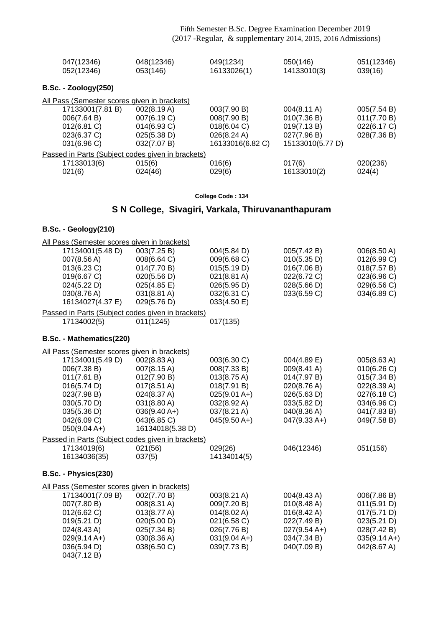| 047(12346)                                        | 048(12346)     | 049(1234)        | 050(146)         | 051(12346)  |
|---------------------------------------------------|----------------|------------------|------------------|-------------|
| 052(12346)                                        | 053(146)       | 16133026(1)      | 14133010(3)      | 039(16)     |
| <b>B.Sc. - Zoology(250)</b>                       |                |                  |                  |             |
| All Pass (Semester scores given in brackets)      |                |                  |                  |             |
| 17133001(7.81 B)                                  | 002(8.19 A)    | 003(7.90 B)      | 004(8.11 A)      | 005(7.54 B) |
| 006(7.64 B)                                       | 007(6.19 C)    | 008(7.90 B)      | 010(7.36 B)      | 011(7.70 B) |
| 012(6.81 C)                                       | $014(6.93)$ C) | 018(6.04 C)      | 019(7.13 B)      | 022(6.17 C) |
| 023(6.37 C)                                       | 025(5.38 D)    | 026(8.24 A)      | 027(7.96 B)      | 028(7.36 B) |
| 031(6.96 C)                                       | 032(7.07 B)    | 16133016(6.82 C) | 15133010(5.77 D) |             |
| Passed in Parts (Subject codes given in brackets) |                |                  |                  |             |
| 17133013(6)                                       | 015(6)         | 016(6)           | 017(6)           | 020(236)    |
| 021(6)                                            | 024(46)        | 029(6)           | 16133010(2)      | 024(4)      |

#### **College Code : 134**

## **S N College, Sivagiri, Varkala, Thiruvananthapuram**

### **B.Sc. - Geology(210)**

| All Pass (Semester scores given in brackets)      |                       |                       |                       |                |
|---------------------------------------------------|-----------------------|-----------------------|-----------------------|----------------|
| 17134001(5.48 D)                                  | 003(7.25 B)           | 004(5.84 D)           | 005(7.42 B)           | 006(8.50 A)    |
| 007(8.56 A)                                       | 008(6.64 C)           | 009(6.68 C)           | 010(5.35 D)           | 012(6.99 C)    |
| 013(6.23 C)                                       | 014(7.70 B)           | 015(5.19 D)           | 016(7.06 B)           | 018(7.57 B)    |
| 019(6.67 C)                                       | 020(5.56 D)           | 021(8.81 A)           | 022(6.72 C)           | 023(6.96 C)    |
| 024(5.22 D)                                       | 025(4.85 E)           | 026(5.95 D)           | 028(5.66 D)           | 029(6.56 C)    |
| 030(8.76 A)                                       | 031(8.81 A)           | 032(6.31 C)           | 033(6.59 C)           | 034(6.89 C)    |
| 16134027(4.37 E)                                  | 029(5.76 D)           | 033(4.50 E)           |                       |                |
| Passed in Parts (Subject codes given in brackets) |                       |                       |                       |                |
| 17134002(5)                                       | 011(1245)             | 017(135)              |                       |                |
|                                                   |                       |                       |                       |                |
| B.Sc. - Mathematics(220)                          |                       |                       |                       |                |
| All Pass (Semester scores given in brackets)      |                       |                       |                       |                |
| 17134001(5.49 D)                                  | 002(8.83 A)           | 003(6.30 C)           | 004(4.89 E)           | 005(8.63 A)    |
| 006(7.38 B)                                       | 007(8.15 A)           | 008(7.33 B)           | 009(8.41 A)           | 010(6.26)      |
| 011(7.61 B)                                       | 012(7.90 B)           | $013(8.75 \text{ A})$ | 014(7.97 B)           | 015(7.34 B)    |
| 016(5.74 D)                                       | $017(8.51 \text{ A})$ | 018(7.91 B)           | 020(8.76 A)           | 022(8.39 A)    |
| 023(7.98 B)                                       | 024(8.37 A)           | $025(9.01 A+)$        | 026(5.63 D)           | 027(6.18 C)    |
| 030(5.70 D)                                       | 031(8.80 A)           | 032(8.92 A)           | 033(5.82 D)           | 034(6.96 C)    |
| 035(5.36 D)                                       | $036(9.40 A+)$        | 037(8.21 A)           | 040(8.36 A)           | 041(7.83 B)    |
| 042(6.09 C)                                       | 043(6.85 C)           | $045(9.50 A+)$        | $047(9.33 A+)$        | 049(7.58 B)    |
| $050(9.04 A+)$                                    | 16134018(5.38 D)      |                       |                       |                |
| Passed in Parts (Subject codes given in brackets) |                       |                       |                       |                |
| 17134019(6)                                       | 021(56)               | 029(26)               | 046(12346)            | 051(156)       |
| 16134036(35)                                      | 037(5)                | 14134014(5)           |                       |                |
|                                                   |                       |                       |                       |                |
| B.Sc. - Physics(230)                              |                       |                       |                       |                |
| All Pass (Semester scores given in brackets)      |                       |                       |                       |                |
| 17134001(7.09 B)                                  | 002(7.70 B)           | 003(8.21 A)           | 004(8.43 A)           | 006(7.86 B)    |
| 007(7.80 B)                                       | 008(8.31 A)           | 009(7.20 B)           | 010(8.48 A)           | 011(5.91 D)    |
| 012(6.62 C)                                       | 013(8.77 A)           | 014(8.02 A)           | $016(8.42 \text{ A})$ | 017(5.71 D)    |
| 019(5.21 D)                                       | 020(5.00 D)           | 021(6.58 C)           | 022(7.49 B)           | 023(5.21 D)    |
| 024(8.43 A)                                       | 025(7.34 B)           | 026(7.76 B)           | $027(9.54 A+)$        | 028(7.42 B)    |
| $029(9.14 A+)$                                    | 030(8.36 A)           | $031(9.04 A+)$        | 034(7.34 B)           | $035(9.14 A+)$ |
| 036(5.94 D)                                       | 038(6.50 C)           | 039(7.73 B)           | 040(7.09 B)           | 042(8.67 A)    |
| 043(7.12 B)                                       |                       |                       |                       |                |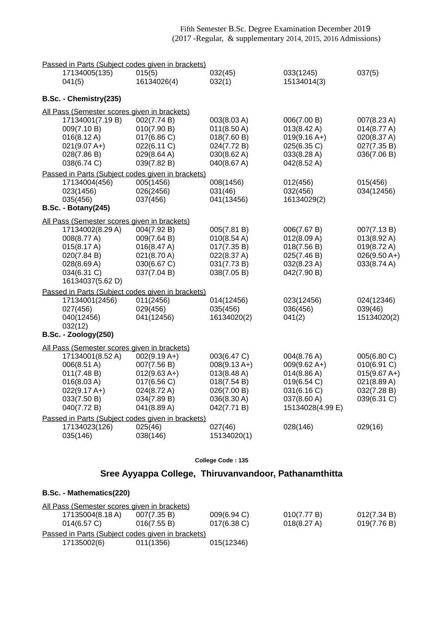| 17134005(135)<br>015(5)<br>033(1245)<br>16134026(4)<br>041(5)<br>032(1)<br>15134014(3)<br>B.Sc. - Chemistry(235)<br>All Pass (Semester scores given in brackets)<br>17134001(7.19 B)<br>002(7.74 B)<br>003(8.03 A)<br>006(7.00 B)<br>007(8.23 A)<br>010(7.90 B)<br>$013(8.42 \text{ A})$<br>009(7.10 B)<br>011(8.50 A)<br>014(8.77 A)<br>017(6.86 C)<br>$016(8.12 \text{ A})$<br>018(7.60 B)<br>$019(9.16 A+)$<br>020(8.37 A)<br>$021(9.07 A+)$<br>022(6.11 C)<br>024(7.72 B)<br>025(6.35 C)<br>027(7.35 B)<br>033(8.28 A)<br>028(7.86 B)<br>029(8.64 A)<br>030(8.62 A)<br>036(7.06 B)<br>038(6.74 C)<br>039(7.82 B)<br>040(8.67 A)<br>042(8.52 A)<br>Passed in Parts (Subject codes given in brackets)<br>17134004(456)<br>005(1456)<br>008(1456)<br>012(456)<br>015(456)<br>026(2456)<br>031(46)<br>034(12456)<br>023(1456)<br>032(456)<br>037(456)<br>041(13456)<br>16134029(2)<br>035(456)<br><b>B.Sc. - Botany(245)</b><br>All Pass (Semester scores given in brackets)<br>17134002(8.29 A)<br>004(7.92 B)<br>005(7.81 B)<br>006(7.67 B)<br>007(7.13 B)<br>008(8.77 A)<br>009(7.64 B)<br>010(8.54 A)<br>012(8.09 A)<br>013(8.92 A)<br>$019(8.72 \text{ A})$<br>015(8.17 A)<br>016(8.47 A)<br>017(7.35 B)<br>018(7.56 B)<br>020(7.84 B)<br>021(8.70 A)<br>022(8.37 A)<br>025(7.46 B)<br>$026(9.50 A+)$<br>028(8.69 A)<br>030(6.67 C)<br>031(7.73 B)<br>032(8.23 A)<br>033(8.74 A)<br>037(7.04 B)<br>038(7.05 B)<br>034(6.31 C)<br>042(7.90 B)<br>16134037(5.62 D)<br>Passed in Parts (Subject codes given in brackets)<br>011(2456)<br>17134001(2456)<br>014(12456)<br>023(12456)<br>024(12346)<br>027(456)<br>029(456)<br>035(456)<br>036(456)<br>039(46)<br>040(12456)<br>041(12456)<br>16134020(2)<br>15134020(2)<br>041(2)<br>032(12)<br><b>B.Sc. - Zoology(250)</b><br>All Pass (Semester scores given in brackets)<br>17134001(8.52 A)<br>$002(9.19 A+)$<br>003(6.47 C)<br>004(8.76 A)<br>005(6.80 C)<br>010(6.91 C)<br>006(8.51 A)<br>007(7.56 B)<br>$008(9.13 A+)$<br>$009(9.62 A+)$<br>011(7.48 B)<br>$012(9.63 A+)$<br>$013(8.48 \text{ A})$<br>014(8.86 A)<br>$015(9.67 A+)$<br>016(8.03 A)<br>017(6.56 C)<br>018(7.54 B)<br>019(6.54 C)<br>021(8.89 A)<br>$022(9.17 A+)$<br>024(8.72 A)<br>026(7.00 B)<br>031(6.16 C)<br>032(7.28 B)<br>036(8.30 A)<br>037(8.60 A)<br>039(6.31 C)<br>033(7.50 B)<br>034(7.89 B)<br>040(7.72 B)<br>041(8.89 A)<br>042(7.71 B)<br>15134028(4.99 E)<br>Passed in Parts (Subject codes given in brackets)<br>17134023(126)<br>025(46)<br>029(16)<br>027(46)<br>028(146)<br>035(146)<br>038(146)<br>15134020(1) | Passed in Parts (Subject codes given in brackets) |  |  |         |  |        |
|------------------------------------------------------------------------------------------------------------------------------------------------------------------------------------------------------------------------------------------------------------------------------------------------------------------------------------------------------------------------------------------------------------------------------------------------------------------------------------------------------------------------------------------------------------------------------------------------------------------------------------------------------------------------------------------------------------------------------------------------------------------------------------------------------------------------------------------------------------------------------------------------------------------------------------------------------------------------------------------------------------------------------------------------------------------------------------------------------------------------------------------------------------------------------------------------------------------------------------------------------------------------------------------------------------------------------------------------------------------------------------------------------------------------------------------------------------------------------------------------------------------------------------------------------------------------------------------------------------------------------------------------------------------------------------------------------------------------------------------------------------------------------------------------------------------------------------------------------------------------------------------------------------------------------------------------------------------------------------------------------------------------------------------------------------------------------------------------------------------------------------------------------------------------------------------------------------------------------------------------------------------------------------------------------------------------------------------------------------------------------------------------------------------------------------------------------------------------------------------------------------------------------------------------------------|---------------------------------------------------|--|--|---------|--|--------|
|                                                                                                                                                                                                                                                                                                                                                                                                                                                                                                                                                                                                                                                                                                                                                                                                                                                                                                                                                                                                                                                                                                                                                                                                                                                                                                                                                                                                                                                                                                                                                                                                                                                                                                                                                                                                                                                                                                                                                                                                                                                                                                                                                                                                                                                                                                                                                                                                                                                                                                                                                            |                                                   |  |  | 032(45) |  | 037(5) |
|                                                                                                                                                                                                                                                                                                                                                                                                                                                                                                                                                                                                                                                                                                                                                                                                                                                                                                                                                                                                                                                                                                                                                                                                                                                                                                                                                                                                                                                                                                                                                                                                                                                                                                                                                                                                                                                                                                                                                                                                                                                                                                                                                                                                                                                                                                                                                                                                                                                                                                                                                            |                                                   |  |  |         |  |        |
|                                                                                                                                                                                                                                                                                                                                                                                                                                                                                                                                                                                                                                                                                                                                                                                                                                                                                                                                                                                                                                                                                                                                                                                                                                                                                                                                                                                                                                                                                                                                                                                                                                                                                                                                                                                                                                                                                                                                                                                                                                                                                                                                                                                                                                                                                                                                                                                                                                                                                                                                                            |                                                   |  |  |         |  |        |
|                                                                                                                                                                                                                                                                                                                                                                                                                                                                                                                                                                                                                                                                                                                                                                                                                                                                                                                                                                                                                                                                                                                                                                                                                                                                                                                                                                                                                                                                                                                                                                                                                                                                                                                                                                                                                                                                                                                                                                                                                                                                                                                                                                                                                                                                                                                                                                                                                                                                                                                                                            |                                                   |  |  |         |  |        |
|                                                                                                                                                                                                                                                                                                                                                                                                                                                                                                                                                                                                                                                                                                                                                                                                                                                                                                                                                                                                                                                                                                                                                                                                                                                                                                                                                                                                                                                                                                                                                                                                                                                                                                                                                                                                                                                                                                                                                                                                                                                                                                                                                                                                                                                                                                                                                                                                                                                                                                                                                            |                                                   |  |  |         |  |        |
|                                                                                                                                                                                                                                                                                                                                                                                                                                                                                                                                                                                                                                                                                                                                                                                                                                                                                                                                                                                                                                                                                                                                                                                                                                                                                                                                                                                                                                                                                                                                                                                                                                                                                                                                                                                                                                                                                                                                                                                                                                                                                                                                                                                                                                                                                                                                                                                                                                                                                                                                                            |                                                   |  |  |         |  |        |
|                                                                                                                                                                                                                                                                                                                                                                                                                                                                                                                                                                                                                                                                                                                                                                                                                                                                                                                                                                                                                                                                                                                                                                                                                                                                                                                                                                                                                                                                                                                                                                                                                                                                                                                                                                                                                                                                                                                                                                                                                                                                                                                                                                                                                                                                                                                                                                                                                                                                                                                                                            |                                                   |  |  |         |  |        |
|                                                                                                                                                                                                                                                                                                                                                                                                                                                                                                                                                                                                                                                                                                                                                                                                                                                                                                                                                                                                                                                                                                                                                                                                                                                                                                                                                                                                                                                                                                                                                                                                                                                                                                                                                                                                                                                                                                                                                                                                                                                                                                                                                                                                                                                                                                                                                                                                                                                                                                                                                            |                                                   |  |  |         |  |        |
|                                                                                                                                                                                                                                                                                                                                                                                                                                                                                                                                                                                                                                                                                                                                                                                                                                                                                                                                                                                                                                                                                                                                                                                                                                                                                                                                                                                                                                                                                                                                                                                                                                                                                                                                                                                                                                                                                                                                                                                                                                                                                                                                                                                                                                                                                                                                                                                                                                                                                                                                                            |                                                   |  |  |         |  |        |
|                                                                                                                                                                                                                                                                                                                                                                                                                                                                                                                                                                                                                                                                                                                                                                                                                                                                                                                                                                                                                                                                                                                                                                                                                                                                                                                                                                                                                                                                                                                                                                                                                                                                                                                                                                                                                                                                                                                                                                                                                                                                                                                                                                                                                                                                                                                                                                                                                                                                                                                                                            |                                                   |  |  |         |  |        |
|                                                                                                                                                                                                                                                                                                                                                                                                                                                                                                                                                                                                                                                                                                                                                                                                                                                                                                                                                                                                                                                                                                                                                                                                                                                                                                                                                                                                                                                                                                                                                                                                                                                                                                                                                                                                                                                                                                                                                                                                                                                                                                                                                                                                                                                                                                                                                                                                                                                                                                                                                            |                                                   |  |  |         |  |        |
|                                                                                                                                                                                                                                                                                                                                                                                                                                                                                                                                                                                                                                                                                                                                                                                                                                                                                                                                                                                                                                                                                                                                                                                                                                                                                                                                                                                                                                                                                                                                                                                                                                                                                                                                                                                                                                                                                                                                                                                                                                                                                                                                                                                                                                                                                                                                                                                                                                                                                                                                                            |                                                   |  |  |         |  |        |
|                                                                                                                                                                                                                                                                                                                                                                                                                                                                                                                                                                                                                                                                                                                                                                                                                                                                                                                                                                                                                                                                                                                                                                                                                                                                                                                                                                                                                                                                                                                                                                                                                                                                                                                                                                                                                                                                                                                                                                                                                                                                                                                                                                                                                                                                                                                                                                                                                                                                                                                                                            |                                                   |  |  |         |  |        |
|                                                                                                                                                                                                                                                                                                                                                                                                                                                                                                                                                                                                                                                                                                                                                                                                                                                                                                                                                                                                                                                                                                                                                                                                                                                                                                                                                                                                                                                                                                                                                                                                                                                                                                                                                                                                                                                                                                                                                                                                                                                                                                                                                                                                                                                                                                                                                                                                                                                                                                                                                            |                                                   |  |  |         |  |        |
|                                                                                                                                                                                                                                                                                                                                                                                                                                                                                                                                                                                                                                                                                                                                                                                                                                                                                                                                                                                                                                                                                                                                                                                                                                                                                                                                                                                                                                                                                                                                                                                                                                                                                                                                                                                                                                                                                                                                                                                                                                                                                                                                                                                                                                                                                                                                                                                                                                                                                                                                                            |                                                   |  |  |         |  |        |
|                                                                                                                                                                                                                                                                                                                                                                                                                                                                                                                                                                                                                                                                                                                                                                                                                                                                                                                                                                                                                                                                                                                                                                                                                                                                                                                                                                                                                                                                                                                                                                                                                                                                                                                                                                                                                                                                                                                                                                                                                                                                                                                                                                                                                                                                                                                                                                                                                                                                                                                                                            |                                                   |  |  |         |  |        |
|                                                                                                                                                                                                                                                                                                                                                                                                                                                                                                                                                                                                                                                                                                                                                                                                                                                                                                                                                                                                                                                                                                                                                                                                                                                                                                                                                                                                                                                                                                                                                                                                                                                                                                                                                                                                                                                                                                                                                                                                                                                                                                                                                                                                                                                                                                                                                                                                                                                                                                                                                            |                                                   |  |  |         |  |        |
|                                                                                                                                                                                                                                                                                                                                                                                                                                                                                                                                                                                                                                                                                                                                                                                                                                                                                                                                                                                                                                                                                                                                                                                                                                                                                                                                                                                                                                                                                                                                                                                                                                                                                                                                                                                                                                                                                                                                                                                                                                                                                                                                                                                                                                                                                                                                                                                                                                                                                                                                                            |                                                   |  |  |         |  |        |
|                                                                                                                                                                                                                                                                                                                                                                                                                                                                                                                                                                                                                                                                                                                                                                                                                                                                                                                                                                                                                                                                                                                                                                                                                                                                                                                                                                                                                                                                                                                                                                                                                                                                                                                                                                                                                                                                                                                                                                                                                                                                                                                                                                                                                                                                                                                                                                                                                                                                                                                                                            |                                                   |  |  |         |  |        |
|                                                                                                                                                                                                                                                                                                                                                                                                                                                                                                                                                                                                                                                                                                                                                                                                                                                                                                                                                                                                                                                                                                                                                                                                                                                                                                                                                                                                                                                                                                                                                                                                                                                                                                                                                                                                                                                                                                                                                                                                                                                                                                                                                                                                                                                                                                                                                                                                                                                                                                                                                            |                                                   |  |  |         |  |        |
|                                                                                                                                                                                                                                                                                                                                                                                                                                                                                                                                                                                                                                                                                                                                                                                                                                                                                                                                                                                                                                                                                                                                                                                                                                                                                                                                                                                                                                                                                                                                                                                                                                                                                                                                                                                                                                                                                                                                                                                                                                                                                                                                                                                                                                                                                                                                                                                                                                                                                                                                                            |                                                   |  |  |         |  |        |
|                                                                                                                                                                                                                                                                                                                                                                                                                                                                                                                                                                                                                                                                                                                                                                                                                                                                                                                                                                                                                                                                                                                                                                                                                                                                                                                                                                                                                                                                                                                                                                                                                                                                                                                                                                                                                                                                                                                                                                                                                                                                                                                                                                                                                                                                                                                                                                                                                                                                                                                                                            |                                                   |  |  |         |  |        |
|                                                                                                                                                                                                                                                                                                                                                                                                                                                                                                                                                                                                                                                                                                                                                                                                                                                                                                                                                                                                                                                                                                                                                                                                                                                                                                                                                                                                                                                                                                                                                                                                                                                                                                                                                                                                                                                                                                                                                                                                                                                                                                                                                                                                                                                                                                                                                                                                                                                                                                                                                            |                                                   |  |  |         |  |        |
|                                                                                                                                                                                                                                                                                                                                                                                                                                                                                                                                                                                                                                                                                                                                                                                                                                                                                                                                                                                                                                                                                                                                                                                                                                                                                                                                                                                                                                                                                                                                                                                                                                                                                                                                                                                                                                                                                                                                                                                                                                                                                                                                                                                                                                                                                                                                                                                                                                                                                                                                                            |                                                   |  |  |         |  |        |
|                                                                                                                                                                                                                                                                                                                                                                                                                                                                                                                                                                                                                                                                                                                                                                                                                                                                                                                                                                                                                                                                                                                                                                                                                                                                                                                                                                                                                                                                                                                                                                                                                                                                                                                                                                                                                                                                                                                                                                                                                                                                                                                                                                                                                                                                                                                                                                                                                                                                                                                                                            |                                                   |  |  |         |  |        |
|                                                                                                                                                                                                                                                                                                                                                                                                                                                                                                                                                                                                                                                                                                                                                                                                                                                                                                                                                                                                                                                                                                                                                                                                                                                                                                                                                                                                                                                                                                                                                                                                                                                                                                                                                                                                                                                                                                                                                                                                                                                                                                                                                                                                                                                                                                                                                                                                                                                                                                                                                            |                                                   |  |  |         |  |        |
|                                                                                                                                                                                                                                                                                                                                                                                                                                                                                                                                                                                                                                                                                                                                                                                                                                                                                                                                                                                                                                                                                                                                                                                                                                                                                                                                                                                                                                                                                                                                                                                                                                                                                                                                                                                                                                                                                                                                                                                                                                                                                                                                                                                                                                                                                                                                                                                                                                                                                                                                                            |                                                   |  |  |         |  |        |
|                                                                                                                                                                                                                                                                                                                                                                                                                                                                                                                                                                                                                                                                                                                                                                                                                                                                                                                                                                                                                                                                                                                                                                                                                                                                                                                                                                                                                                                                                                                                                                                                                                                                                                                                                                                                                                                                                                                                                                                                                                                                                                                                                                                                                                                                                                                                                                                                                                                                                                                                                            |                                                   |  |  |         |  |        |
|                                                                                                                                                                                                                                                                                                                                                                                                                                                                                                                                                                                                                                                                                                                                                                                                                                                                                                                                                                                                                                                                                                                                                                                                                                                                                                                                                                                                                                                                                                                                                                                                                                                                                                                                                                                                                                                                                                                                                                                                                                                                                                                                                                                                                                                                                                                                                                                                                                                                                                                                                            |                                                   |  |  |         |  |        |
|                                                                                                                                                                                                                                                                                                                                                                                                                                                                                                                                                                                                                                                                                                                                                                                                                                                                                                                                                                                                                                                                                                                                                                                                                                                                                                                                                                                                                                                                                                                                                                                                                                                                                                                                                                                                                                                                                                                                                                                                                                                                                                                                                                                                                                                                                                                                                                                                                                                                                                                                                            |                                                   |  |  |         |  |        |
|                                                                                                                                                                                                                                                                                                                                                                                                                                                                                                                                                                                                                                                                                                                                                                                                                                                                                                                                                                                                                                                                                                                                                                                                                                                                                                                                                                                                                                                                                                                                                                                                                                                                                                                                                                                                                                                                                                                                                                                                                                                                                                                                                                                                                                                                                                                                                                                                                                                                                                                                                            |                                                   |  |  |         |  |        |
|                                                                                                                                                                                                                                                                                                                                                                                                                                                                                                                                                                                                                                                                                                                                                                                                                                                                                                                                                                                                                                                                                                                                                                                                                                                                                                                                                                                                                                                                                                                                                                                                                                                                                                                                                                                                                                                                                                                                                                                                                                                                                                                                                                                                                                                                                                                                                                                                                                                                                                                                                            |                                                   |  |  |         |  |        |
|                                                                                                                                                                                                                                                                                                                                                                                                                                                                                                                                                                                                                                                                                                                                                                                                                                                                                                                                                                                                                                                                                                                                                                                                                                                                                                                                                                                                                                                                                                                                                                                                                                                                                                                                                                                                                                                                                                                                                                                                                                                                                                                                                                                                                                                                                                                                                                                                                                                                                                                                                            |                                                   |  |  |         |  |        |
|                                                                                                                                                                                                                                                                                                                                                                                                                                                                                                                                                                                                                                                                                                                                                                                                                                                                                                                                                                                                                                                                                                                                                                                                                                                                                                                                                                                                                                                                                                                                                                                                                                                                                                                                                                                                                                                                                                                                                                                                                                                                                                                                                                                                                                                                                                                                                                                                                                                                                                                                                            |                                                   |  |  |         |  |        |
|                                                                                                                                                                                                                                                                                                                                                                                                                                                                                                                                                                                                                                                                                                                                                                                                                                                                                                                                                                                                                                                                                                                                                                                                                                                                                                                                                                                                                                                                                                                                                                                                                                                                                                                                                                                                                                                                                                                                                                                                                                                                                                                                                                                                                                                                                                                                                                                                                                                                                                                                                            |                                                   |  |  |         |  |        |
|                                                                                                                                                                                                                                                                                                                                                                                                                                                                                                                                                                                                                                                                                                                                                                                                                                                                                                                                                                                                                                                                                                                                                                                                                                                                                                                                                                                                                                                                                                                                                                                                                                                                                                                                                                                                                                                                                                                                                                                                                                                                                                                                                                                                                                                                                                                                                                                                                                                                                                                                                            |                                                   |  |  |         |  |        |
|                                                                                                                                                                                                                                                                                                                                                                                                                                                                                                                                                                                                                                                                                                                                                                                                                                                                                                                                                                                                                                                                                                                                                                                                                                                                                                                                                                                                                                                                                                                                                                                                                                                                                                                                                                                                                                                                                                                                                                                                                                                                                                                                                                                                                                                                                                                                                                                                                                                                                                                                                            |                                                   |  |  |         |  |        |
|                                                                                                                                                                                                                                                                                                                                                                                                                                                                                                                                                                                                                                                                                                                                                                                                                                                                                                                                                                                                                                                                                                                                                                                                                                                                                                                                                                                                                                                                                                                                                                                                                                                                                                                                                                                                                                                                                                                                                                                                                                                                                                                                                                                                                                                                                                                                                                                                                                                                                                                                                            |                                                   |  |  |         |  |        |

## **Sree Ayyappa College, Thiruvanvandoor, Pathanamthitta**

| All Pass (Semester scores given in brackets)      |             |                |                       |             |
|---------------------------------------------------|-------------|----------------|-----------------------|-------------|
| 17135004(8.18 A)                                  | 007(7.35 B) | $009(6.94)$ C) | 010(7.77 B)           | 012(7.34 B) |
| $014(6.57)$ C)                                    | 016(7.55 B) | $017(6.38)$ C) | $018(8.27 \text{ A})$ | 019(7.76 B) |
| Passed in Parts (Subject codes given in brackets) |             |                |                       |             |
| 17135002(6)                                       | 011(1356)   | 015(12346)     |                       |             |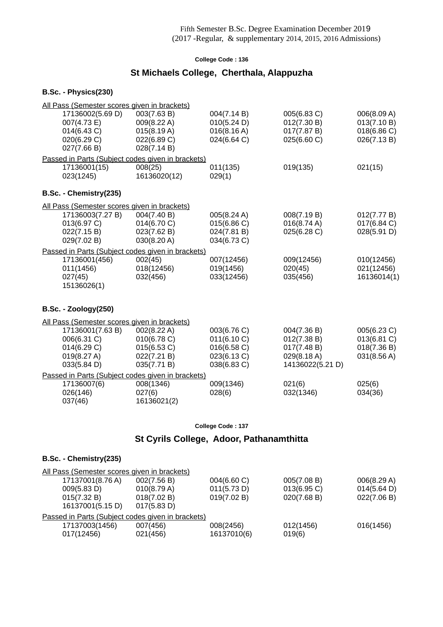## **St Michaels College, Cherthala, Alappuzha**

#### **B.Sc. - Physics(230)**

| All Pass (Semester scores given in brackets)      |              |             |                  |             |
|---------------------------------------------------|--------------|-------------|------------------|-------------|
| 17136002(5.69 D)                                  | 003(7.63 B)  | 004(7.14 B) | 005(6.83 C)      | 006(8.09 A) |
| 007(4.73 E)                                       | 009(8.22 A)  | 010(5.24 D) | 012(7.30 B)      | 013(7.10 B) |
| 014(6.43 C)                                       | 015(8.19 A)  | 016(8.16 A) | 017(7.87 B)      | 018(6.86 C) |
| 020(6.29 C)                                       | 022(6.89 C)  | 024(6.64 C) | 025(6.60 C)      | 026(7.13 B) |
| 027(7.66 B)                                       | 028(7.14 B)  |             |                  |             |
| Passed in Parts (Subject codes given in brackets) |              |             |                  |             |
| 17136001(15)                                      | 008(25)      | 011(135)    | 019(135)         | 021(15)     |
| 023(1245)                                         | 16136020(12) | 029(1)      |                  |             |
| B.Sc. - Chemistry(235)                            |              |             |                  |             |
| All Pass (Semester scores given in brackets)      |              |             |                  |             |
| 17136003(7.27 B)                                  | 004(7.40 B)  | 005(8.24 A) | 008(7.19 B)      | 012(7.77 B) |
| 013(6.97 C)                                       | 014(6.70 C)  | 015(6.86 C) | 016(8.74 A)      | 017(6.84 C) |
| 022(7.15 B)                                       | 023(7.62 B)  | 024(7.81 B) | 025(6.28 C)      | 028(5.91 D) |
| 029(7.02 B)                                       | 030(8.20 A)  | 034(6.73 C) |                  |             |
| Passed in Parts (Subject codes given in brackets) |              |             |                  |             |
| 17136001(456)                                     | 002(45)      | 007(12456)  | 009(12456)       | 010(12456)  |
| 011(1456)                                         | 018(12456)   | 019(1456)   | 020(45)          | 021(12456)  |
| 027(45)                                           | 032(456)     | 033(12456)  | 035(456)         | 16136014(1) |
| 15136026(1)                                       |              |             |                  |             |
| <b>B.Sc. - Zoology(250)</b>                       |              |             |                  |             |
|                                                   |              |             |                  |             |
| All Pass (Semester scores given in brackets)      |              |             |                  |             |
| 17136001(7.63 B)                                  | 002(8.22 A)  | 003(6.76 C) | 004(7.36 B)      | 005(6.23 C) |
| 006(6.31 C)                                       | 010(6.78 C)  | 011(6.10 C) | 012(7.38 B)      | 013(6.81 C) |
| 014(6.29 C)                                       | 015(6.53 C)  | 016(6.58 C) | 017(7.48 B)      | 018(7.36 B) |
| 019(8.27 A)                                       | 022(7.21 B)  | 023(6.13 C) | 029(8.18 A)      | 031(8.56 A) |
| 033(5.84 D)                                       | 035(7.71 B)  | 038(6.83 C) | 14136022(5.21 D) |             |
| Passed in Parts (Subject codes given in brackets) |              |             |                  |             |
| 17136007(6)                                       | 008(1346)    | 009(1346)   | 021(6)           | 025(6)      |
| 026(146)                                          | 027(6)       | 028(6)      | 032(1346)        | 034(36)     |
| 037(46)                                           | 16136021(2)  |             |                  |             |

**College Code : 137**

## **St Cyrils College, Adoor, Pathanamthitta**

### **B.Sc. - Chemistry(235)**

| All Pass (Semester scores given in brackets)      |             |             |                |                       |
|---------------------------------------------------|-------------|-------------|----------------|-----------------------|
| 17137001(8.76 A)                                  | 002(7.56 B) | 004(6.60 C) | 005(7.08 B)    | 006(8.29 A)           |
| 009(5.83 D)                                       | 010(8.79 A) | 011(5.73 D) | $013(6.95)$ C) | $014(5.64 \text{ D})$ |
| 015(7.32 B)                                       | 018(7.02 B) | 019(7.02 B) | 020(7.68 B)    | 022(7.06 B)           |
| 16137001(5.15 D)                                  | 017(5.83 D) |             |                |                       |
| Passed in Parts (Subject codes given in brackets) |             |             |                |                       |
| 17137003(1456)                                    | 007(456)    | 008(2456)   | 012(1456)      | 016(1456)             |
| 017(12456)                                        | 021(456)    | 16137010(6) | 019(6)         |                       |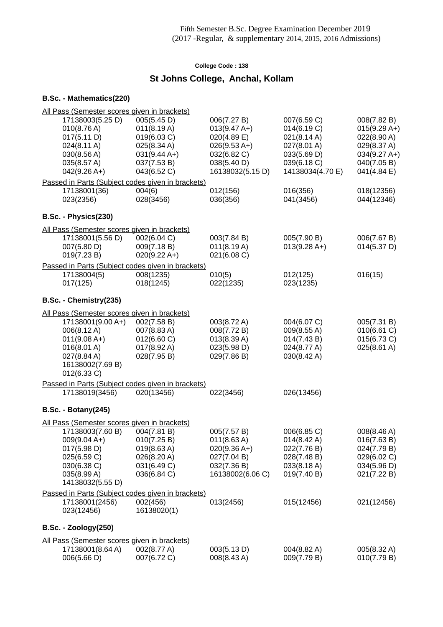# **St Johns College, Anchal, Kollam**

| All Pass (Semester scores given in brackets)<br>17138003(5.25 D)<br>010(8.76 A)<br>017(5.11 D)<br>024(8.11 A)<br>030(8.56 A)<br>035(8.57 A)<br>$042(9.26 A+)$<br>Passed in Parts (Subject codes given in brackets)<br>17138001(36) | 005(5.45 D)<br>011(8.19 A)<br>019(6.03 C)<br>025(8.34 A)<br>$031(9.44 A+)$<br>037(7.53 B)<br>043(6.52 C)<br>004(6) | 006(7.27 B)<br>$013(9.47 A+)$<br>$020(4.89)$ E)<br>$026(9.53 A+)$<br>032(6.82 C)<br>038(5.40 D)<br>16138032(5.15 D)<br>012(156) | 007(6.59 C)<br>014(6.19 C)<br>$021(8.14 \text{ A})$<br>027(8.01 A)<br>033(5.69 D)<br>039(6.18 C)<br>14138034(4.70 E)<br>016(356) | 008(7.82 B)<br>$015(9.29 A+)$<br>$022(8.90 \text{ A})$<br>029(8.37 A)<br>$034(9.27 A+)$<br>040(7.05 B)<br>041(4.84 E)<br>018(12356) |
|------------------------------------------------------------------------------------------------------------------------------------------------------------------------------------------------------------------------------------|--------------------------------------------------------------------------------------------------------------------|---------------------------------------------------------------------------------------------------------------------------------|----------------------------------------------------------------------------------------------------------------------------------|-------------------------------------------------------------------------------------------------------------------------------------|
| 023(2356)                                                                                                                                                                                                                          | 028(3456)                                                                                                          | 036(356)                                                                                                                        | 041(3456)                                                                                                                        | 044(12346)                                                                                                                          |
| B.Sc. - Physics(230)                                                                                                                                                                                                               |                                                                                                                    |                                                                                                                                 |                                                                                                                                  |                                                                                                                                     |
| All Pass (Semester scores given in brackets)                                                                                                                                                                                       |                                                                                                                    |                                                                                                                                 |                                                                                                                                  |                                                                                                                                     |
| 17138001(5.56 D)<br>007(5.80 D)<br>019(7.23 B)                                                                                                                                                                                     | 002(6.04 C)<br>009(7.18 B)<br>$020(9.22 A+)$                                                                       | 003(7.84 B)<br>011(8.19 A)<br>021(6.08 C)                                                                                       | 005(7.90 B)<br>$013(9.28 A+)$                                                                                                    | 006(7.67 B)<br>014(5.37 D)                                                                                                          |
| Passed in Parts (Subject codes given in brackets)<br>17138004(5)<br>017(125)                                                                                                                                                       | 008(1235)<br>018(1245)                                                                                             | 010(5)<br>022(1235)                                                                                                             | 012(125)<br>023(1235)                                                                                                            | 016(15)                                                                                                                             |
| B.Sc. - Chemistry(235)                                                                                                                                                                                                             |                                                                                                                    |                                                                                                                                 |                                                                                                                                  |                                                                                                                                     |
| All Pass (Semester scores given in brackets)                                                                                                                                                                                       |                                                                                                                    |                                                                                                                                 |                                                                                                                                  |                                                                                                                                     |
| 17138001(9.00 A+)<br>006(8.12 A)<br>$011(9.08 A+)$<br>016(8.01 A)<br>027(8.84 A)<br>16138002(7.69 B)<br>012(6.33 C)                                                                                                                | 002(7.58 B)<br>007(8.83 A)<br>012(6.60 C)<br>017(8.92 A)<br>028(7.95 B)                                            | 003(8.72 A)<br>008(7.72 B)<br>013(8.39 A)<br>023(5.98 D)<br>029(7.86 B)                                                         | 004(6.07 C)<br>009(8.55 A)<br>014(7.43 B)<br>024(8.77 A)<br>030(8.42 A)                                                          | 005(7.31 B)<br>010(6.61 C)<br>015(6.73 C)<br>025(8.61 A)                                                                            |
| Passed in Parts (Subject codes given in brackets)                                                                                                                                                                                  |                                                                                                                    |                                                                                                                                 |                                                                                                                                  |                                                                                                                                     |
| 17138019(3456)                                                                                                                                                                                                                     | 020(13456)                                                                                                         | 022(3456)                                                                                                                       | 026(13456)                                                                                                                       |                                                                                                                                     |
| <b>B.Sc. - Botany(245)</b>                                                                                                                                                                                                         |                                                                                                                    |                                                                                                                                 |                                                                                                                                  |                                                                                                                                     |
| All Pass (Semester scores given in brackets)                                                                                                                                                                                       |                                                                                                                    |                                                                                                                                 |                                                                                                                                  |                                                                                                                                     |
| 17138003(7.60 B)<br>$009(9.04 A+)$<br>017(5.98 D)<br>025(6.59 C)<br>030(6.38 C)<br>035(8.99 A)<br>14138032(5.55 D)                                                                                                                 | 004(7.81 B)<br>010(7.25 B)<br>$019(8.63 \text{ A})$<br>026(8.20 A)<br>031(6.49 C)<br>036(6.84 C)                   | 005(7.57 B)<br>$011(8.63 \text{ A})$<br>$020(9.36 A+)$<br>027(7.04 B)<br>032(7.36 B)<br>16138002(6.06 C)                        | 006(6.85 C)<br>014(8.42 A)<br>022(7.76 B)<br>028(7.48 B)<br>033(8.18 A)<br>019(7.40 B)                                           | 008(8.46 A)<br>016(7.63 B)<br>024(7.79 B)<br>029(6.02 C)<br>034(5.96 D)<br>021(7.22 B)                                              |
| Passed in Parts (Subject codes given in brackets)                                                                                                                                                                                  |                                                                                                                    |                                                                                                                                 |                                                                                                                                  |                                                                                                                                     |
| 17138001(2456)<br>023(12456)                                                                                                                                                                                                       | 002(456)<br>16138020(1)                                                                                            | 013(2456)                                                                                                                       | 015(12456)                                                                                                                       | 021(12456)                                                                                                                          |
| <b>B.Sc. - Zoology(250)</b>                                                                                                                                                                                                        |                                                                                                                    |                                                                                                                                 |                                                                                                                                  |                                                                                                                                     |
| All Pass (Semester scores given in brackets)                                                                                                                                                                                       |                                                                                                                    |                                                                                                                                 |                                                                                                                                  |                                                                                                                                     |
| 17138001(8.64 A)<br>006(5.66 D)                                                                                                                                                                                                    | 002(8.77 A)<br>007(6.72 C)                                                                                         | 003(5.13 D)<br>008(8.43 A)                                                                                                      | 004(8.82 A)<br>009(7.79 B)                                                                                                       | 005(8.32 A)<br>010(7.79 B)                                                                                                          |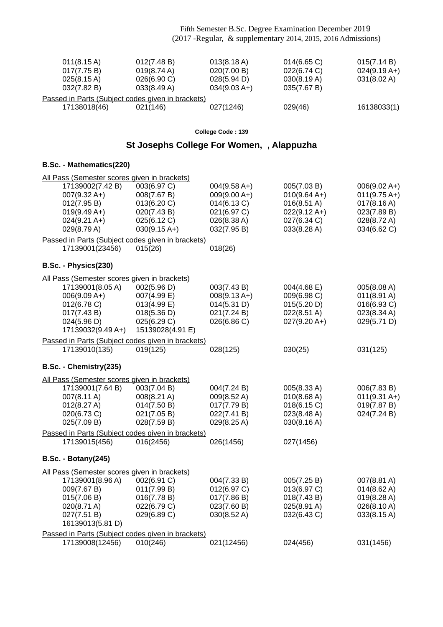| $011(8.15 \text{ A})$<br>017(7.75 B)<br>025(8.15 A)<br>032(7.82 B)                                           | 012(7.48 B)<br>019(8.74 A)<br>026(6.90 C)<br>033(8.49 A)                                    | $013(8.18 \text{ A})$<br>020(7.00 B)<br>028(5.94 D)<br>$034(9.03 A+)$                        | $014(6.65)$ C)<br>022(6.74 C)<br>030(8.19 A)<br>035(7.67 B)                                            | 015(7.14 B)<br>$024(9.19 A+)$<br>031(8.02 A)                                                                   |  |  |  |
|--------------------------------------------------------------------------------------------------------------|---------------------------------------------------------------------------------------------|----------------------------------------------------------------------------------------------|--------------------------------------------------------------------------------------------------------|----------------------------------------------------------------------------------------------------------------|--|--|--|
| Passed in Parts (Subject codes given in brackets)                                                            |                                                                                             |                                                                                              |                                                                                                        |                                                                                                                |  |  |  |
| 17138018(46)                                                                                                 | 021(146)                                                                                    | 027(1246)                                                                                    | 029(46)                                                                                                | 16138033(1)                                                                                                    |  |  |  |
|                                                                                                              |                                                                                             | College Code: 139                                                                            |                                                                                                        |                                                                                                                |  |  |  |
|                                                                                                              | St Josephs College For Women, , Alappuzha                                                   |                                                                                              |                                                                                                        |                                                                                                                |  |  |  |
| B.Sc. - Mathematics(220)                                                                                     |                                                                                             |                                                                                              |                                                                                                        |                                                                                                                |  |  |  |
| All Pass (Semester scores given in brackets)                                                                 |                                                                                             |                                                                                              |                                                                                                        |                                                                                                                |  |  |  |
| 17139002(7.42 B)<br>$007(9.32 A+)$<br>012(7.95 B)<br>$019(9.49 A+)$<br>$024(9.21 \text{ A+})$<br>029(8.79 A) | 003(6.97 C)<br>008(7.67 B)<br>013(6.20 C)<br>020(7.43 B)<br>025(6.12 C)<br>$030(9.15 A+)$   | $004(9.58 A+)$<br>$009(9.00 A+)$<br>014(6.13 C)<br>021(6.97 C)<br>026(8.38 A)<br>032(7.95 B) | 005(7.03 B)<br>$010(9.64 A+)$<br>$016(8.51 \text{ A})$<br>$022(9.12 A+)$<br>027(6.34 C)<br>033(8.28 A) | $006(9.02 A+)$<br>$011(9.75 \text{ A+})$<br>$017(8.16 \text{ A})$<br>023(7.89 B)<br>028(8.72 A)<br>034(6.62 C) |  |  |  |
| Passed in Parts (Subject codes given in brackets)<br>17139001(23456)                                         | 015(26)                                                                                     | 018(26)                                                                                      |                                                                                                        |                                                                                                                |  |  |  |
|                                                                                                              |                                                                                             |                                                                                              |                                                                                                        |                                                                                                                |  |  |  |
| B.Sc. - Physics(230)                                                                                         |                                                                                             |                                                                                              |                                                                                                        |                                                                                                                |  |  |  |
| All Pass (Semester scores given in brackets)                                                                 |                                                                                             |                                                                                              |                                                                                                        |                                                                                                                |  |  |  |
| 17139001(8.05 A)<br>$006(9.09 A+)$<br>012(6.78 C)<br>017(7.43 B)<br>024(5.96 D)<br>17139032(9.49 A+)         | 002(5.96 D)<br>007(4.99 E)<br>013(4.99 E)<br>018(5.36 D)<br>025(6.29 C)<br>15139028(4.91 E) | 003(7.43 B)<br>$008(9.13 A+)$<br>014(5.31 D)<br>021(7.24 B)<br>026(6.86 C)                   | $004(4.68 \text{ E})$<br>009(6.98 C)<br>015(5.20 D)<br>$022(8.51 \text{ A})$<br>$027(9.20 A+)$         | 005(8.08 A)<br>$011(8.91 \text{ A})$<br>016(6.93 C)<br>023(8.34 A)<br>029(5.71 D)                              |  |  |  |
| Passed in Parts (Subject codes given in brackets)                                                            |                                                                                             |                                                                                              |                                                                                                        |                                                                                                                |  |  |  |
| 17139010(135)                                                                                                | 019(125)                                                                                    | 028(125)                                                                                     | 030(25)                                                                                                | 031(125)                                                                                                       |  |  |  |
| B.Sc. - Chemistry(235)                                                                                       |                                                                                             |                                                                                              |                                                                                                        |                                                                                                                |  |  |  |
| All Pass (Semester scores given in brackets)                                                                 |                                                                                             |                                                                                              |                                                                                                        |                                                                                                                |  |  |  |
| 17139001(7.64 B)<br>007(8.11 A)<br>012(8.27 A)<br>020(6.73 C)<br>025(7.09 B)                                 | 003(7.04 B)<br>008(8.21 A)<br>014(7.50 B)<br>021(7.05 B)<br>028(7.59 B)                     | 004(7.24 B)<br>009(8.52 A)<br>017(7.79 B)<br>022(7.41 B)<br>029(8.25 A)                      | 005(8.33 A)<br>010(8.68 A)<br>018(6.15 C)<br>023(8.48 A)<br>030(8.16 A)                                | 006(7.83 B)<br>$011(9.31 A+)$<br>019(7.87 B)<br>024(7.24 B)                                                    |  |  |  |
| Passed in Parts (Subject codes given in brackets)                                                            |                                                                                             |                                                                                              |                                                                                                        |                                                                                                                |  |  |  |
| 17139015(456)                                                                                                | 016(2456)                                                                                   | 026(1456)                                                                                    | 027(1456)                                                                                              |                                                                                                                |  |  |  |
| <b>B.Sc. - Botany(245)</b>                                                                                   |                                                                                             |                                                                                              |                                                                                                        |                                                                                                                |  |  |  |
| All Pass (Semester scores given in brackets)                                                                 |                                                                                             |                                                                                              |                                                                                                        |                                                                                                                |  |  |  |
| 17139001(8.96 A)<br>009(7.67 B)<br>015(7.06 B)<br>020(8.71 A)<br>027(7.51 B)<br>16139013(5.81 D)             | 002(6.91 C)<br>011(7.99 B)<br>016(7.78 B)<br>022(6.79 C)<br>029(6.89 C)                     | 004(7.33 B)<br>012(6.97 C)<br>017(7.86 B)<br>023(7.60 B)<br>030(8.52 A)                      | 005(7.25 B)<br>013(6.97 C)<br>018(7.43 B)<br>025(8.91 A)<br>032(6.43 C)                                | 007(8.81 A)<br>$014(8.62 \text{ A})$<br>019(8.28 A)<br>026(8.10 A)<br>033(8.15 A)                              |  |  |  |
| Passed in Parts (Subject codes given in brackets)                                                            |                                                                                             |                                                                                              |                                                                                                        |                                                                                                                |  |  |  |
| 17139008(12456)                                                                                              | 010(246)                                                                                    | 021(12456)                                                                                   | 024(456)                                                                                               | 031(1456)                                                                                                      |  |  |  |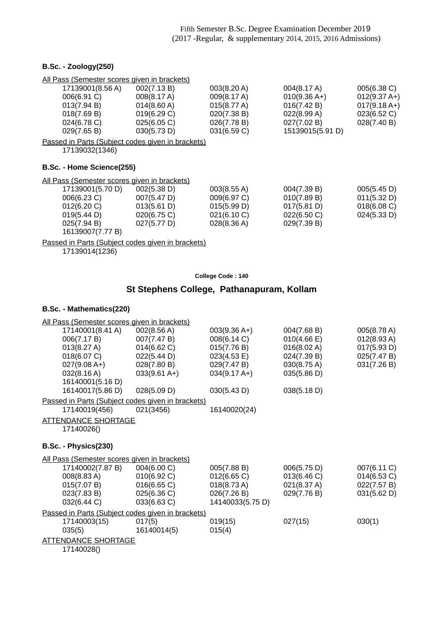#### **B.Sc. - Zoology(250)**

| All Pass (Semester scores given in brackets)      |                       |                       |                  |                |
|---------------------------------------------------|-----------------------|-----------------------|------------------|----------------|
| 17139001(8.56 A)                                  | 002(7.13 B)           | 003(8.20 A)           | 004(8.17 A)      | 005(6.38 C)    |
| 006(6.91 C)                                       | $008(8.17 \text{ A})$ | 009(8.17 A)           | $010(9.36 A+)$   | $012(9.37 A+)$ |
| 013(7.94 B)                                       | $014(8.60 \text{ A})$ | $015(8.77 \text{ A})$ | 016(7.42 B)      | $017(9.18 A+)$ |
| 018(7.69 B)                                       | 019(6.29 C)           | 020(7.38 B)           | 022(8.99 A)      | 023(6.52 C)    |
| 024(6.78 C)                                       | 025(6.05 C)           | 026(7.78 B)           | 027(7.02 B)      | 028(7.40 B)    |
| 029(7.65 B)                                       | 030(5.73 D)           | 031(6.59 C)           | 15139015(5.91 D) |                |
| Passed in Parts (Subject codes given in brackets) |                       |                       |                  |                |
| 17139032(1346)                                    |                       |                       |                  |                |

#### **B.Sc. - Home Science(255)**

All Pass (Semester scores given in brackets)

| 17139001(5.70 D) | 002(5.38 D) | 003(8.55 A)           | 004(7.39 B) | 005(5.45 D)    |
|------------------|-------------|-----------------------|-------------|----------------|
| 006(6.23 C)      | 007(5.47 D) | 009(6.97 C)           | 010(7.89 B) | 011(5.32 D)    |
| 012(6.20)        | 013(5.61 D) | 015(5.99 D)           | 017(5.81 D) | $018(6.08)$ C) |
| 019(5.44 D)      | 020(6.75)   | 021(6.10)             | 022(6.50)   | 024(5.33 D)    |
| 025(7.94 B)      | 027(5.77 D) | $028(8.36 \text{ A})$ | 029(7.39 B) |                |
| 16139007(7.77 B) |             |                       |             |                |
|                  |             |                       |             |                |

Passed in Parts (Subject codes given in brackets)

17139014(1236)

| College Code: 140 |  |  |
|-------------------|--|--|
|                   |  |  |

## **St Stephens College, Pathanapuram, Kollam**

|                            | All Pass (Semester scores given in brackets)                |                        |                       |                       |
|----------------------------|-------------------------------------------------------------|------------------------|-----------------------|-----------------------|
| 17140001(8.41 A)           | 002(8.56 A)                                                 | $003(9.36 A+)$         | 004(7.68 B)           | 005(8.78 A)           |
| 006(7.17 B)                | 007(7.47 B)                                                 | 008(6.14 C)            | $010(4.66 \text{ E})$ | $012(8.93 \text{ A})$ |
| 013(8.27 A)                | 014(6.62 C)                                                 | 015(7.76 B)            | 016(8.02 A)           | 017(5.93 D)           |
| 018(6.07 C)                | 022(5.44 D)                                                 | 023(4.53 E)            | 024(7.39 B)           | 025(7.47 B)           |
| $027(9.08 A+)$             | 028(7.80 B)                                                 | 029(7.47 B)            | 030(8.75 A)           | 031(7.26 B)           |
| 032(8.16 A)                | $033(9.61 A+)$                                              | $034(9.17 \text{ A+})$ | 035(5.86 D)           |                       |
| 16140001(5.16 D)           |                                                             |                        |                       |                       |
| 16140017(5.86 D)           | 028(5.09 D)                                                 | 030(5.43 D)            | 038(5.18 D)           |                       |
|                            | Passed in Parts (Subject codes given in brackets)           |                        |                       |                       |
| 17140019(456)              | 021(3456)                                                   | 16140020(24)           |                       |                       |
| <b>ATTENDANCE SHORTAGE</b> |                                                             |                        |                       |                       |
| 17140026()                 |                                                             |                        |                       |                       |
|                            |                                                             |                        |                       |                       |
|                            |                                                             |                        |                       |                       |
| B.Sc. - Physics(230)       |                                                             |                        |                       |                       |
|                            |                                                             |                        |                       |                       |
| 17140002(7.87 B)           | All Pass (Semester scores given in brackets)<br>004(6.00 C) | 005(7.88 B)            | 006(5.75 D)           | 007(6.11 C)           |
| 008(8.83 A)                | 010(6.92 C)                                                 | 012(6.65 C)            | 013(6.46)             | 014(6.53 C)           |
| 015(7.07 B)                | 016(6.65 C)                                                 | 018(8.73 A)            | 021(8.37 A)           | 022(7.57 B)           |
| 023(7.83 B)                | 025(6.36 C)                                                 | 026(7.26 B)            | 029(7.76 B)           | 031(5.62 D)           |
| 032(6.44 C)                | 033(6.63 C)                                                 | 14140033(5.75 D)       |                       |                       |
|                            | Passed in Parts (Subject codes given in brackets)           |                        |                       |                       |
| 17140003(15)               | 017(5)                                                      | 019(15)                | 027(15)               | 030(1)                |
| 035(5)                     | 16140014(5)                                                 | 015(4)                 |                       |                       |
| <b>ATTENDANCE SHORTAGE</b> |                                                             |                        |                       |                       |
| 17140028()                 |                                                             |                        |                       |                       |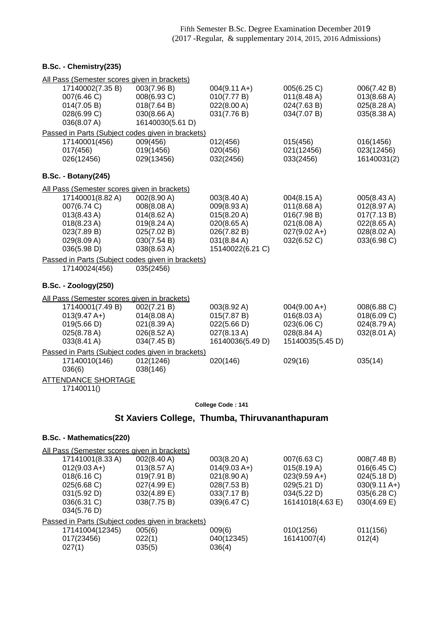### **B.Sc. - Chemistry(235)**

| All Pass (Semester scores given in brackets)                                                                                                                                        |                                                                                                       |                                                                                                           |                                                                                           |                                                                                        |  |
|-------------------------------------------------------------------------------------------------------------------------------------------------------------------------------------|-------------------------------------------------------------------------------------------------------|-----------------------------------------------------------------------------------------------------------|-------------------------------------------------------------------------------------------|----------------------------------------------------------------------------------------|--|
| 17140002(7.35 B)<br>007(6.46 C)<br>014(7.05 B)<br>028(6.99 C)<br>036(8.07 A)                                                                                                        | 003(7.96 B)<br>008(6.93 C)<br>018(7.64 B)<br>030(8.66 A)<br>16140030(5.61 D)                          | $004(9.11 A+)$<br>010(7.77 B)<br>022(8.00 A)<br>031(7.76 B)                                               | 005(6.25 C)<br>$011(8.48 \text{ A})$<br>024(7.63 B)<br>034(7.07 B)                        | 006(7.42 B)<br>013(8.68 A)<br>025(8.28 A)<br>035(8.38 A)                               |  |
| Passed in Parts (Subject codes given in brackets)                                                                                                                                   |                                                                                                       |                                                                                                           |                                                                                           |                                                                                        |  |
| 17140001(456)<br>017(456)<br>026(12456)                                                                                                                                             | 009(456)<br>019(1456)<br>029(13456)                                                                   | 012(456)<br>020(456)<br>032(2456)                                                                         | 015(456)<br>021(12456)<br>033(2456)                                                       | 016(1456)<br>023(12456)<br>16140031(2)                                                 |  |
| <b>B.Sc. - Botany(245)</b>                                                                                                                                                          |                                                                                                       |                                                                                                           |                                                                                           |                                                                                        |  |
| All Pass (Semester scores given in brackets)                                                                                                                                        |                                                                                                       |                                                                                                           |                                                                                           |                                                                                        |  |
| 17140001(8.82 A)<br>007(6.74 C)<br>$013(8.43 \text{ A})$<br>$018(8.23 \text{ A})$<br>023(7.89 B)<br>029(8.09 A)<br>036(5.98 D)<br>Passed in Parts (Subject codes given in brackets) | 002(8.90 A)<br>008(8.08 A)<br>014(8.62 A)<br>019(8.24 A)<br>025(7.02 B)<br>030(7.54 B)<br>038(8.63 A) | 003(8.40 A)<br>009(8.93A)<br>015(8.20 A)<br>020(8.65 A)<br>026(7.82 B)<br>031(8.84 A)<br>15140022(6.21 C) | 004(8.15 A)<br>011(8.68 A)<br>016(7.98 B)<br>021(8.08 A)<br>$027(9.02 A+)$<br>032(6.52 C) | 005(8.43 A)<br>012(8.97 A)<br>017(7.13 B)<br>022(8.65 A)<br>028(8.02 A)<br>033(6.98 C) |  |
| 17140024(456)                                                                                                                                                                       | 035(2456)                                                                                             |                                                                                                           |                                                                                           |                                                                                        |  |
| <b>B.Sc. - Zoology(250)</b>                                                                                                                                                         |                                                                                                       |                                                                                                           |                                                                                           |                                                                                        |  |
| All Pass (Semester scores given in brackets)                                                                                                                                        |                                                                                                       |                                                                                                           |                                                                                           |                                                                                        |  |
| 17140001(7.49 B)<br>$013(9.47 A+)$<br>019(5.66 D)<br>025(8.78 A)<br>033(8.41 A)                                                                                                     | 002(7.21 B)<br>014(8.08 A)<br>021(8.39 A)<br>026(8.52 A)<br>034(7.45 B)                               | 003(8.92 A)<br>015(7.87 B)<br>022(5.66 D)<br>027(8.13A)<br>16140036(5.49 D)                               | $004(9.00 A+)$<br>016(8.03 A)<br>023(6.06 C)<br>028(8.84 A)<br>15140035(5.45 D)           | 008(6.88 C)<br>018(6.09 C)<br>024(8.79 A)<br>032(8.01 A)                               |  |
| Passed in Parts (Subject codes given in brackets)<br>17140010(146)<br>036(6)                                                                                                        | 012(1246)<br>038(146)                                                                                 | 020(146)                                                                                                  | 029(16)                                                                                   | 035(14)                                                                                |  |
| <b>ATTENDANCE SHORTAGE</b><br>17140011()                                                                                                                                            |                                                                                                       |                                                                                                           |                                                                                           |                                                                                        |  |
|                                                                                                                                                                                     |                                                                                                       | College Code: 141                                                                                         |                                                                                           |                                                                                        |  |
|                                                                                                                                                                                     |                                                                                                       | St Xaviers College, Thumba, Thiruvananthapuram                                                            |                                                                                           |                                                                                        |  |
|                                                                                                                                                                                     |                                                                                                       |                                                                                                           |                                                                                           |                                                                                        |  |

| All Pass (Semester scores given in brackets)      |                       |                       |                  |                        |
|---------------------------------------------------|-----------------------|-----------------------|------------------|------------------------|
| 17141001(8.33 A)                                  | $002(8.40 \text{ A})$ | 003(8.20 A)           | 007(6.63 C)      | 008(7.48 B)            |
| $012(9.03 A+)$                                    | 013(8.57 A)           | $014(9.03 A+)$        | 015(8.19 A)      | 016(6.45)              |
| 018(6.16)                                         | 019(7.91 B)           | $021(8.90 \text{ A})$ | $023(9.59 A+)$   | 024(5.18 D)            |
| 025(6.68 C)                                       | 027(4.99 E)           | 028(7.53 B)           | 029(5.21 D)      | $030(9.11 \text{ A+})$ |
| 031(5.92 D)                                       | 032(4.89 E)           | 033(7.17 B)           | 034(5.22 D)      | 035(6.28 C)            |
| 036(6.31 C)                                       | 038(7.75 B)           | 039(6.47 C)           | 16141018(4.63 E) | $030(4.69)$ E)         |
| 034(5.76 D)                                       |                       |                       |                  |                        |
| Passed in Parts (Subject codes given in brackets) |                       |                       |                  |                        |
| 17141004(12345)                                   | 005(6)                | 009(6)                | 010(1256)        | 011(156)               |
| 017(23456)                                        | 022(1)                | 040(12345)            | 16141007(4)      | 012(4)                 |
| 027(1)                                            | 035(5)                | 036(4)                |                  |                        |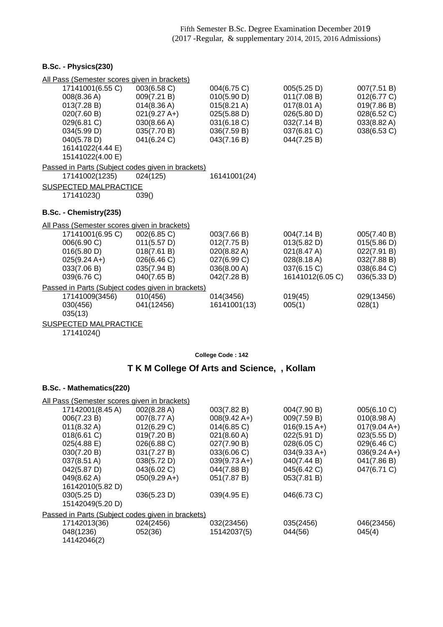### **B.Sc. - Physics(230)**

| All Pass (Semester scores given in brackets)      |                |                       |                       |             |
|---------------------------------------------------|----------------|-----------------------|-----------------------|-------------|
| 17141001(6.55 C)                                  | 003(6.58 C)    | 004(6.75 C)           | 005(5.25 D)           | 007(7.51 B) |
| 008(8.36 A)                                       | 009(7.21 B)    | 010(5.90 D)           | 011(7.08 B)           | 012(6.77 C) |
| 013(7.28 B)                                       | 014(8.36 A)    | $015(8.21 \text{ A})$ | $017(8.01 \text{ A})$ | 019(7.86 B) |
| 020(7.60 B)                                       | $021(9.27 A+)$ | 025(5.88 D)           | 026(5.80 D)           | 028(6.52 C) |
| 029(6.81 C)                                       | 030(8.66 A)    | 031(6.18 C)           | 032(7.14 B)           | 033(8.82 A) |
| 034(5.99 D)                                       | 035(7.70 B)    | 036(7.59 B)           | 037(6.81 C)           | 038(6.53 C) |
| 040(5.78 D)                                       | 041(6.24 C)    | 043(7.16 B)           | 044(7.25 B)           |             |
| 16141022(4.44 E)                                  |                |                       |                       |             |
| 15141022(4.00 E)                                  |                |                       |                       |             |
| Passed in Parts (Subject codes given in brackets) |                |                       |                       |             |
| 17141002(1235)                                    | 024(125)       | 16141001(24)          |                       |             |
| <b>SUSPECTED MALPRACTICE</b>                      |                |                       |                       |             |
| 17141023()                                        | 039()          |                       |                       |             |
| B.Sc. - Chemistry(235)                            |                |                       |                       |             |
| All Pass (Semester scores given in brackets)      |                |                       |                       |             |
| 17141001(6.95 C)                                  | 002(6.85 C)    | 003(7.66 B)           | 004(7.14 B)           | 005(7.40 B) |
| 006(6.90 C)                                       | 011(5.57 D)    | 012(7.75 B)           | 013(5.82 D)           | 015(5.86 D) |
| 016(5.80 D)                                       | 018(7.61 B)    | 020(8.82 A)           | 021(8.47 A)           | 022(7.91 B) |
| $025(9.24 A+)$                                    | 026(6.46 C)    | 027(6.99 C)           | 028(8.18 A)           | 032(7.88 B) |
| 033(7.06 B)                                       | 035(7.94 B)    | 036(8.00 A)           | 037(6.15 C)           | 038(6.84 C) |
| 039(6.76 C)                                       | 040(7.65 B)    | 042(7.28 B)           | 16141012(6.05 C)      | 036(5.33 D) |
| Passed in Parts (Subject codes given in brackets) |                |                       |                       |             |
| 17141009(3456)                                    | 010(456)       | 014(3456)             | 019(45)               | 029(13456)  |
| 030(456)                                          | 041(12456)     | 16141001(13)          | 005(1)                | 028(1)      |
| 035(13)                                           |                |                       |                       |             |
| SUSPECTED MALPRACTICE                             |                |                       |                       |             |

17141024()

**College Code : 142**

## **T K M College Of Arts and Science, , Kollam**

| All Pass (Semester scores given in brackets) |                        |                                                                 |                        |  |  |
|----------------------------------------------|------------------------|-----------------------------------------------------------------|------------------------|--|--|
| 002(8.28 A)                                  | 003(7.82 B)            | 004(7.90 B)                                                     | 005(6.10 C)            |  |  |
| 007(8.77 A)                                  | $008(9.42 \text{ A+})$ | 009(7.59 B)                                                     | 010(8.98 A)            |  |  |
| 012(6.29 C)                                  | $014(6.85)$ C)         | $016(9.15 \text{ A+})$                                          | $017(9.04 A+)$         |  |  |
| 019(7.20 B)                                  | $021(8.60 \text{ A})$  | 022(5.91 D)                                                     | 023(5.55 D)            |  |  |
| 026(6.88 C)                                  | 027(7.90 B)            | 028(6.05 C)                                                     | 029(6.46 C)            |  |  |
| 031(7.27 B)                                  | 033(6.06 C)            | $034(9.33 \text{ A+})$                                          | $036(9.24 \text{ A+})$ |  |  |
| 038(5.72 D)                                  | $039(9.73 \text{ A+})$ | 040(7.44 B)                                                     | 041(7.86 B)            |  |  |
| 043(6.02 C)                                  | 044(7.88 B)            | 045(6.42 C)                                                     | 047(6.71 C)            |  |  |
| $050(9.29 A+)$                               | 051(7.87 B)            | 053(7.81 B)                                                     |                        |  |  |
|                                              |                        |                                                                 |                        |  |  |
| 036(5.23 D)                                  | 039(4.95 E)            | 046(6.73 C)                                                     |                        |  |  |
|                                              |                        |                                                                 |                        |  |  |
|                                              |                        |                                                                 |                        |  |  |
|                                              |                        |                                                                 | 046(23456)             |  |  |
| 052(36)                                      | 15142037(5)            | 044(56)                                                         | 045(4)                 |  |  |
|                                              |                        |                                                                 |                        |  |  |
|                                              | 024(2456)              | Passed in Parts (Subject codes given in brackets)<br>032(23456) | 035(2456)              |  |  |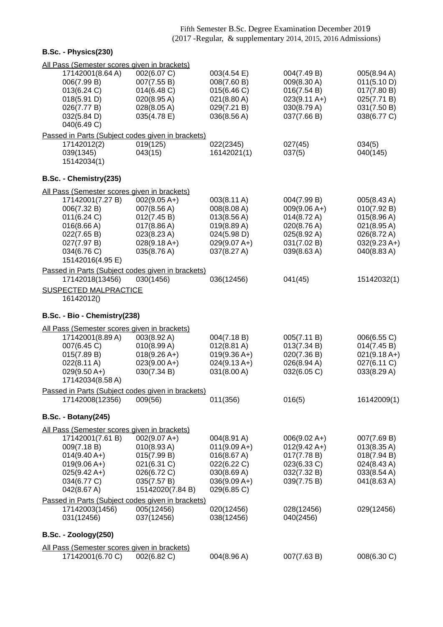| B.Sc. - Physics(230)                              |                  |                       |                        |                       |
|---------------------------------------------------|------------------|-----------------------|------------------------|-----------------------|
| All Pass (Semester scores given in brackets)      |                  |                       |                        |                       |
| 17142001(8.64 A)                                  | 002(6.07 C)      | 003(4.54 E)           | 004(7.49 B)            | 005(8.94 A)           |
| 006(7.99 B)                                       | 007(7.55 B)      | 008(7.60 B)           | 009(8.30 A)            | 011(5.10 D)           |
| 013(6.24 C)                                       | 014(6.48 C)      | 015(6.46 C)           | 016(7.54 B)            | 017(7.80 B)           |
| 018(5.91 D)                                       | 020(8.95 A)      | $021(8.80 \text{ A})$ | $023(9.11 \text{ A+})$ | 025(7.71 B)           |
| 026(7.77 B)                                       | 028(8.05 A)      | 029(7.21 B)           | 030(8.79 A)            | 031(7.50 B)           |
| 032(5.84 D)                                       | 035(4.78 E)      | 036(8.56 A)           | 037(7.66 B)            | 038(6.77 C)           |
| 040(6.49 C)                                       |                  |                       |                        |                       |
| Passed in Parts (Subject codes given in brackets) |                  |                       |                        |                       |
| 17142012(2)                                       | 019(125)         | 022(2345)             | 027(45)                | 034(5)                |
| 039(1345)                                         | 043(15)          | 16142021(1)           | 037(5)                 | 040(145)              |
| 15142034(1)                                       |                  |                       |                        |                       |
|                                                   |                  |                       |                        |                       |
| B.Sc. - Chemistry(235)                            |                  |                       |                        |                       |
| All Pass (Semester scores given in brackets)      |                  |                       |                        |                       |
| 17142001(7.27 B)                                  | $002(9.05 A+)$   | 003(8.11 A)           | 004(7.99 B)            | 005(8.43 A)           |
| 006(7.32 B)                                       | 007(8.56 A)      | 008(8.08 A)           | $009(9.06 A+)$         | 010(7.92 B)           |
| 011(6.24 C)                                       | 012(7.45 B)      | 013(8.56 A)           | 014(8.72 A)            | 015(8.96 A)           |
| 016(8.66 A)                                       | 017(8.86 A)      | 019(8.89 A)           | 020(8.76 A)            | $021(8.95 \text{ A})$ |
| 022(7.65 B)                                       | 023(8.23 A)      | 024(5.98 D)           | 025(8.92 A)            | 026(8.72 A)           |
| 027(7.97 B)                                       | $028(9.18 A+)$   | $029(9.07 A+)$        | 031(7.02 B)            | $032(9.23 A+)$        |
| 034(6.76 C)                                       | 035(8.76 A)      | 037(8.27 A)           | 039(8.63 A)            | 040(8.83A)            |
| 15142016(4.95 E)                                  |                  |                       |                        |                       |
| Passed in Parts (Subject codes given in brackets) |                  |                       |                        |                       |
| 17142018(13456)                                   | 030(1456)        | 036(12456)            | 041(45)                | 15142032(1)           |
| <b>SUSPECTED MALPRACTICE</b>                      |                  |                       |                        |                       |
| 16142012()                                        |                  |                       |                        |                       |
| B.Sc. - Bio - Chemistry(238)                      |                  |                       |                        |                       |
| All Pass (Semester scores given in brackets)      |                  |                       |                        |                       |
| 17142001(8.89 A)                                  | 003(8.92 A)      | 004(7.18 B)           | 005(7.11 B)            | 006(6.55 C)           |
| 007(6.45 C)                                       | 010(8.99 A)      | $012(8.81 \text{ A})$ | 013(7.34 B)            | 014(7.45 B)           |
| 015(7.89 B)                                       | $018(9.26 A+)$   | $019(9.36 A+)$        | 020(7.36 B)            | $021(9.18 A+)$        |
| 022(8.11 A)                                       | $023(9.00 A+)$   | $024(9.13 A+)$        | 026(8.94 A)            | 027(6.11 C)           |
| $029(9.50 A+)$                                    | 030(7.34 B)      | 031(8.00 A)           | 032(6.05 C)            | 033(8.29 A)           |
| 17142034(8.58 A)                                  |                  |                       |                        |                       |
| Passed in Parts (Subject codes given in brackets) |                  |                       |                        |                       |
| 17142008(12356)                                   | 009(56)          | 011(356)              | 016(5)                 | 16142009(1)           |
|                                                   |                  |                       |                        |                       |
| <b>B.Sc. - Botany(245)</b>                        |                  |                       |                        |                       |
| All Pass (Semester scores given in brackets)      |                  |                       |                        |                       |
| 17142001(7.61 B)                                  | $002(9.07 A+)$   | 004(8.91 A)           | $006(9.02 A+)$         | 007(7.69 B)           |
| 009(7.18 B)                                       | 010(8.93A)       | $011(9.09 A+)$        | $012(9.42 \text{ A+})$ | 013(8.35 A)           |
| $014(9.40 A+)$                                    | 015(7.99 B)      | 016(8.67 A)           | 017(7.78 B)            | 018(7.94 B)           |
| $019(9.06 A+)$                                    | 021(6.31 C)      | 022(6.22 C)           | 023(6.33 C)            | 024(8.43 A)           |
| $025(9.42 \text{ A+})$                            | 026(6.72 C)      | 030(8.69 A)           | 032(7.32 B)            | 033(8.54 A)           |
| 034(6.77 C)                                       | 035(7.57 B)      | $036(9.09 A+)$        | 039(7.75 B)            | 041(8.63 A)           |
| 042(8.67 A)                                       | 15142020(7.84 B) | 029(6.85 C)           |                        |                       |
| Passed in Parts (Subject codes given in brackets) |                  |                       |                        |                       |
| 17142003(1456)                                    | 005(12456)       | 020(12456)            | 028(12456)             | 029(12456)            |
| 031(12456)                                        | 037(12456)       | 038(12456)            | 040(2456)              |                       |
|                                                   |                  |                       |                        |                       |
| <b>B.Sc. - Zoology(250)</b>                       |                  |                       |                        |                       |
| All Pass (Semester scores given in brackets)      |                  |                       |                        |                       |
| 17142001(6.70 C)                                  | 002(6.82 C)      | 004(8.96 A)           | 007(7.63 B)            | 008(6.30 C)           |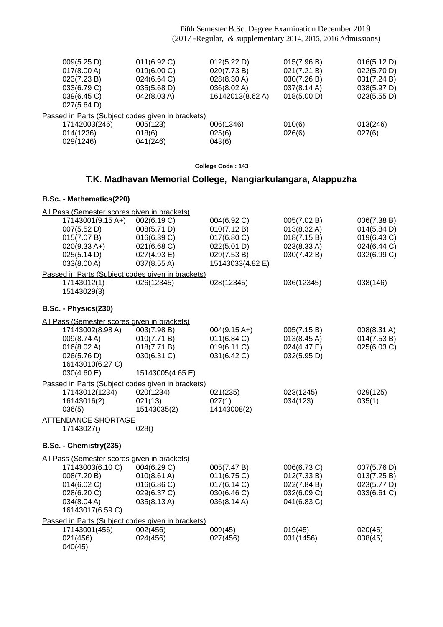| 009(5.25 D)<br>017(8.00 A)<br>023(7.23 B)<br>033(6.79 C)<br>039(6.45 C)<br>027(5.64 D)                                                           | 011(6.92 C)<br>019(6.00 C)<br>024(6.64 C)<br>035(5.68 D)<br>042(8.03 A)                | 012(5.22 D)<br>020(7.73 B)<br>028(8.30 A)<br>036(8.02 A)<br>16142013(8.62 A)                | 015(7.96 B)<br>021(7.21 B)<br>030(7.26 B)<br>037(8.14 A)<br>018(5.00 D) | 016(5.12 D)<br>022(5.70 D)<br>031(7.24 B)<br>038(5.97 D)<br>023(5.55 D) |
|--------------------------------------------------------------------------------------------------------------------------------------------------|----------------------------------------------------------------------------------------|---------------------------------------------------------------------------------------------|-------------------------------------------------------------------------|-------------------------------------------------------------------------|
| Passed in Parts (Subject codes given in brackets)<br>17142003(246)<br>014(1236)<br>029(1246)                                                     | 005(123)<br>018(6)<br>041(246)                                                         | 006(1346)<br>025(6)<br>043(6)                                                               | 010(6)<br>026(6)                                                        | 013(246)<br>027(6)                                                      |
|                                                                                                                                                  |                                                                                        | College Code: 143                                                                           |                                                                         |                                                                         |
|                                                                                                                                                  | T.K. Madhavan Memorial College, Nangiarkulangara, Alappuzha                            |                                                                                             |                                                                         |                                                                         |
| B.Sc. - Mathematics(220)                                                                                                                         |                                                                                        |                                                                                             |                                                                         |                                                                         |
| All Pass (Semester scores given in brackets)<br>17143001(9.15 A+)<br>007(5.52 D)<br>015(7.07 B)<br>$020(9.33 A+)$<br>025(5.14 D)<br>033(8.00 A)  | 002(6.19 C)<br>008(5.71 D)<br>016(6.39 C)<br>021(6.68 C)<br>027(4.93 E)<br>037(8.55 A) | 004(6.92 C)<br>010(7.12 B)<br>017(6.80 C)<br>022(5.01 D)<br>029(7.53 B)<br>15143033(4.82 E) | 005(7.02 B)<br>013(8.32 A)<br>018(7.15 B)<br>023(8.33 A)<br>030(7.42 B) | 006(7.38 B)<br>014(5.84 D)<br>019(6.43 C)<br>024(6.44 C)<br>032(6.99 C) |
| Passed in Parts (Subject codes given in brackets)<br>17143012(1)<br>15143029(3)                                                                  | 026(12345)                                                                             | 028(12345)                                                                                  | 036(12345)                                                              | 038(146)                                                                |
| B.Sc. - Physics(230)                                                                                                                             |                                                                                        |                                                                                             |                                                                         |                                                                         |
| All Pass (Semester scores given in brackets)<br>17143002(8.98 A)<br>009(8.74 A)<br>016(8.02 A)<br>026(5.76 D)<br>16143010(6.27 C)<br>030(4.60 E) | 003(7.98 B)<br>010(7.71 B)<br>018(7.71 B)<br>030(6.31 C)<br>15143005(4.65 E)           | $004(9.15 \text{ A+})$<br>011(6.84)<br>019(6.11 C)<br>031(6.42 C)                           | 005(7.15 B)<br>013(8.45 A)<br>024(4.47 E)<br>032(5.95 D)                | 008(8.31 A)<br>014(7.53 B)<br>025(6.03 C)                               |
| Passed in Parts (Subject codes given in brackets)<br>17143012(1234)<br>16143016(2)<br>036(5)<br><b>ATTENDANCE SHORTAGE</b>                       | 020(1234)<br>021(13)<br>15143035(2)                                                    | 021(235)<br>027(1)<br>14143008(2)                                                           | 023(1245)<br>034(123)                                                   | 029(125)<br>035(1)                                                      |
| 17143027()                                                                                                                                       | 028()                                                                                  |                                                                                             |                                                                         |                                                                         |
| B.Sc. - Chemistry(235)                                                                                                                           |                                                                                        |                                                                                             |                                                                         |                                                                         |
| All Pass (Semester scores given in brackets)<br>17143003(6.10 C)<br>008(7.20 B)<br>014(6.02 C)<br>028(6.20 C)<br>034(8.04 A)<br>16143017(6.59 C) | 004(6.29 C)<br>010(8.61 A)<br>016(6.86 C)<br>029(6.37 C)<br>035(8.13 A)                | 005(7.47 B)<br>011(6.75 C)<br>017(6.14 C)<br>030(6.46 C)<br>036(8.14 A)                     | 006(6.73 C)<br>012(7.33 B)<br>022(7.84 B)<br>032(6.09 C)<br>041(6.83 C) | 007(5.76 D)<br>013(7.25 B)<br>023(5.77 D)<br>033(6.61 C)                |
| Passed in Parts (Subject codes given in brackets)<br>17143001(456)<br>021(456)<br>040(45)                                                        | 002(456)<br>024(456)                                                                   | 009(45)<br>027(456)                                                                         | 019(45)<br>031(1456)                                                    | 020(45)<br>038(45)                                                      |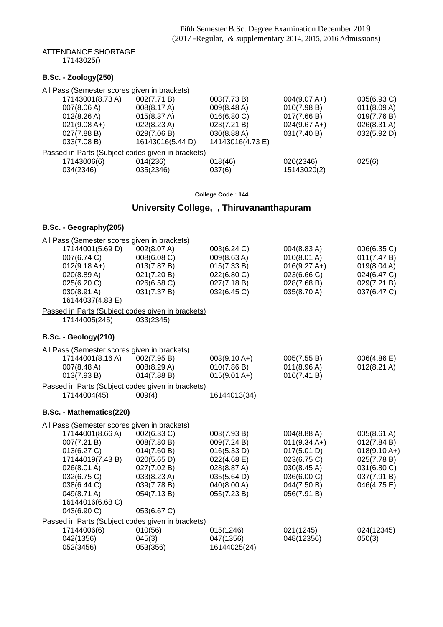### ATTENDANCE SHORTAGE

17143025()

### **B.Sc. - Zoology(250)**

| All Pass (Semester scores given in brackets) |                                                   |                  |                |             |  |  |
|----------------------------------------------|---------------------------------------------------|------------------|----------------|-------------|--|--|
| 17143001(8.73 A)                             | 002(7.71 B)                                       | 003(7.73 B)      | $004(9.07 A+)$ | 005(6.93 C) |  |  |
| 007(8.06 A)                                  | 008(8.17 A)                                       | 009(8.48 A)      | 010(7.98 B)    | 011(8.09 A) |  |  |
| $012(8.26 \text{ A})$                        | 015(8.37 A)                                       | 016(6.80 C)      | 017(7.66 B)    | 019(7.76 B) |  |  |
| $021(9.08 A+)$                               | 022(8.23 A)                                       | 023(7.21 B)      | $024(9.67 A+)$ | 026(8.31 A) |  |  |
| 027(7.88 B)                                  | 029(7.06 B)                                       | 030(8.88 A)      | 031(7.40 B)    | 032(5.92 D) |  |  |
| 033(7.08 B)                                  | 16143016(5.44 D)                                  | 14143016(4.73 E) |                |             |  |  |
|                                              | Passed in Parts (Subject codes given in brackets) |                  |                |             |  |  |
| 17143006(6)                                  | 014(236)                                          | 018(46)          | 020(2346)      | 025(6)      |  |  |
| 034(2346)                                    | 035(2346)                                         | 037(6)           | 15143020(2)    |             |  |  |
|                                              |                                                   |                  |                |             |  |  |

#### **College Code : 144**

# **University College, , Thiruvananthapuram**

### **B.Sc. - Geography(205)**

| All Pass (Semester scores given in brackets)      |             |                |                |                       |
|---------------------------------------------------|-------------|----------------|----------------|-----------------------|
| 17144001(5.69 D)                                  | 002(8.07 A) | 003(6.24 C)    | 004(8.83 A)    | 006(6.35 C)           |
| 007(6.74 C)                                       | 008(6.08 C) | 009(8.63 A)    | 010(8.01 A)    | 011(7.47 B)           |
| $012(9.18 A+)$                                    | 013(7.87 B) | 015(7.33 B)    | $016(9.27 A+)$ | 019(8.04 A)           |
| 020(8.89 A)                                       | 021(7.20 B) | 022(6.80 C)    | 023(6.66 C)    | 024(6.47 C)           |
| 025(6.20 C)                                       | 026(6.58 C) | 027(7.18 B)    | 028(7.68 B)    | 029(7.21 B)           |
| 030(8.91 A)                                       | 031(7.37 B) | 032(6.45 C)    | 035(8.70 A)    | 037(6.47 C)           |
| 16144037(4.83 E)                                  |             |                |                |                       |
| Passed in Parts (Subject codes given in brackets) |             |                |                |                       |
| 17144005(245)                                     | 033(2345)   |                |                |                       |
| B.Sc. - Geology(210)                              |             |                |                |                       |
| All Pass (Semester scores given in brackets)      |             |                |                |                       |
| 17144001(8.16 A)                                  | 002(7.95 B) | $003(9.10 A+)$ | 005(7.55 B)    | 006(4.86 E)           |
| 007(8.48 A)                                       | 008(8.29 A) | 010(7.86 B)    | 011(8.96 A)    | $012(8.21 \text{ A})$ |
| 013(7.93 B)                                       | 014(7.88 B) | $015(9.01 A+)$ | 016(7.41 B)    |                       |
| Passed in Parts (Subject codes given in brackets) |             |                |                |                       |
| 17144004(45)                                      | 009(4)      | 16144013(34)   |                |                       |
| B.Sc. - Mathematics(220)                          |             |                |                |                       |
| All Pass (Semester scores given in brackets)      |             |                |                |                       |
| 17144001(8.66 A)                                  | 002(6.33 C) | 003(7.93 B)    | 004(8.88 A)    | 005(8.61 A)           |
| 007(7.21 B)                                       | 008(7.80 B) | 009(7.24 B)    | $011(9.34 A+)$ | 012(7.84 B)           |
| 013(6.27 C)                                       | 014(7.60 B) | 016(5.33 D)    | 017(5.01 D)    | $018(9.10 A+)$        |
| 17144019(7.43 B)                                  | 020(5.65 D) | 022(4.68 E)    | 023(6.75 C)    | 025(7.78 B)           |
| 026(8.01 A)                                       | 027(7.02 B) | 028(8.87 A)    | 030(8.45 A)    | 031(6.80 C)           |
| 032(6.75 C)                                       | 033(8.23 A) | 035(5.64 D)    | 036(6.00 C)    | 037(7.91 B)           |
| 038(6.44 C)                                       | 039(7.78 B) | 040(8.00 A)    | 044(7.50 B)    | 046(4.75 E)           |
| 049(8.71 A)                                       | 054(7.13B)  | 055(7.23 B)    | 056(7.91 B)    |                       |
| 16144016(6.68 C)                                  |             |                |                |                       |
| 043(6.90 C)                                       | 053(6.67 C) |                |                |                       |
| Passed in Parts (Subject codes given in brackets) |             |                |                |                       |
| 17144006(6)                                       | 010(56)     | 015(1246)      | 021(1245)      | 024(12345)            |
| 042(1356)                                         | 045(3)      | 047(1356)      | 048(12356)     | 050(3)                |
| 052(3456)                                         | 053(356)    | 16144025(24)   |                |                       |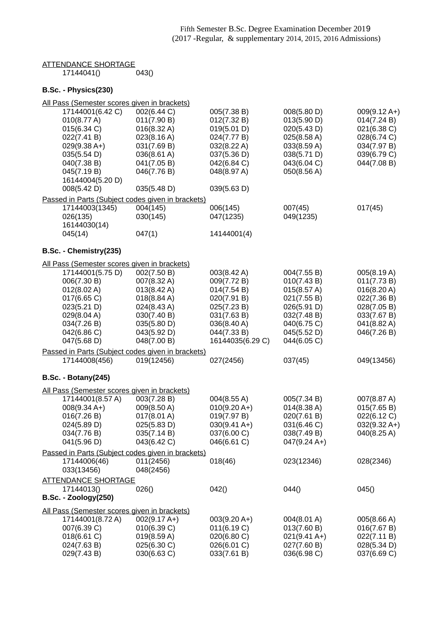#### <u>ATTENDANCE SHORTAGE</u> 17144041() 043()

### **B.Sc. - Physics(230)**

| All Pass (Semester scores given in brackets)      |                       |                        |                        |                |
|---------------------------------------------------|-----------------------|------------------------|------------------------|----------------|
| 17144001(6.42 C)                                  | 002(6.44 C)           | 005(7.38 B)            | 008(5.80 D)            | $009(9.12 A+)$ |
| 010(8.77 A)                                       | 011(7.90 B)           | 012(7.32 B)            | 013(5.90 D)            | 014(7.24 B)    |
| 015(6.34 C)                                       | $016(8.32 \text{ A})$ | 019(5.01 D)            | 020(5.43 D)            | 021(6.38 C)    |
| 022(7.41 B)                                       | 023(8.16 A)           | 024(7.77 B)            | 025(8.58 A)            | 028(6.74 C)    |
| $029(9.38 A+)$                                    | 031(7.69 B)           | 032(8.22 A)            | 033(8.59 A)            | 034(7.97 B)    |
| 035(5.54 D)                                       | 036(8.61 A)           | 037(5.36 D)            | 038(5.71 D)            | 039(6.79 C)    |
| 040(7.38 B)                                       | 041(7.05 B)           | 042(6.84 C)            | 043(6.04 C)            | 044(7.08 B)    |
| 045(7.19 B)                                       | 046(7.76 B)           | 048(8.97 A)            | 050(8.56 A)            |                |
| 16144004(5.20 D)                                  |                       |                        |                        |                |
| 008(5.42 D)                                       | 035(5.48 D)           | 039(5.63 D)            |                        |                |
| Passed in Parts (Subject codes given in brackets) |                       |                        |                        |                |
| 17144003(1345)                                    | 004(145)              | 006(145)               | 007(45)                | 017(45)        |
| 026(135)                                          | 030(145)              | 047(1235)              | 049(1235)              |                |
| 16144030(14)                                      |                       |                        |                        |                |
| 045(14)                                           | 047(1)                | 14144001(4)            |                        |                |
|                                                   |                       |                        |                        |                |
| B.Sc. - Chemistry(235)                            |                       |                        |                        |                |
| All Pass (Semester scores given in brackets)      |                       |                        |                        |                |
| 17144001(5.75 D)                                  | 002(7.50 B)           | 003(8.42 A)            | 004(7.55 B)            | 005(8.19 A)    |
| 006(7.30 B)                                       | 007(8.32 A)           | 009(7.72 B)            | 010(7.43 B)            | 011(7.73 B)    |
| 012(8.02 A)                                       | $013(8.42 \text{ A})$ | 014(7.54 B)            | 015(8.57 A)            | 016(8.20 A)    |
| 017(6.65 C)                                       | 018(8.84 A)           | 020(7.91 B)            | 021(7.55 B)            | 022(7.36 B)    |
| 023(5.21 D)                                       | 024(8.43 A)           | 025(7.23 B)            | 026(5.91 D)            | 028(7.05 B)    |
| 029(8.04 A)                                       | 030(7.40 B)           | 031(7.63 B)            | 032(7.48 B)            | 033(7.67 B)    |
| 034(7.26 B)                                       | 035(5.80 D)           | 036(8.40 A)            | 040(6.75 C)            | 041(8.82 A)    |
| 042(6.86 C)                                       | 043(5.92 D)           | 044(7.33 B)            | 045(5.52 D)            | 046(7.26 B)    |
| 047(5.68 D)                                       | 048(7.00 B)           | 16144035(6.29 C)       | 044(6.05 C)            |                |
| Passed in Parts (Subject codes given in brackets) |                       |                        |                        |                |
| 17144008(456)                                     | 019(12456)            | 027(2456)              | 037(45)                | 049(13456)     |
|                                                   |                       |                        |                        |                |
| <b>B.Sc. - Botany(245)</b>                        |                       |                        |                        |                |
| All Pass (Semester scores given in brackets)      |                       |                        |                        |                |
| 17144001(8.57 A)                                  | 003(7.28 B)           | 004(8.55 A)            | 005(7.34 B)            | 007(8.87 A)    |
| $008(9.34 A+)$                                    | 009(8.50 A)           | $010(9.20 A+)$         | $014(8.38 \text{ A})$  | 015(7.65 B)    |
| 016(7.26 B)                                       | 017(8.01 A)           | 019(7.97 B)            | 020(7.61 B)            | 022(6.12 C)    |
| 024(5.89 D)                                       | 025(5.83 D)           | $030(9.41 \text{ A+})$ | 031(6.46 C)            | 032(9.32 A+)   |
| 034(7.76 B)                                       | 035(7.14 B)           | 037(6.00 C)            | 038(7.49 B)            | 040(8.25 A)    |
| 041(5.96 D)                                       | 043(6.42 C)           | 046(6.61 C)            | $047(9.24 \text{ A+})$ |                |
|                                                   |                       |                        |                        |                |
| Passed in Parts (Subject codes given in brackets) |                       |                        |                        |                |
| 17144006(46)                                      | 011(2456)             | 018(46)                | 023(12346)             | 028(2346)      |
| 033(13456)                                        | 048(2456)             |                        |                        |                |
| <b>ATTENDANCE SHORTAGE</b>                        |                       |                        |                        |                |
| 17144013()                                        | 026()                 | 042()                  | 044()                  | 045()          |
| <b>B.Sc. - Zoology(250)</b>                       |                       |                        |                        |                |
| All Pass (Semester scores given in brackets)      |                       |                        |                        |                |
| 17144001(8.72 A)                                  | $002(9.17 A+)$        | $003(9.20 A+)$         | 004(8.01 A)            | 005(8.66 A)    |
| 007(6.39 C)                                       | 010(6.39 C)           | 011(6.19 C)            | 013(7.60 B)            | 016(7.67 B)    |
| 018(6.61 C)                                       | 019(8.59 A)           | 020(6.80 C)            | $021(9.41 \text{ A+})$ | 022(7.11 B)    |
| 024(7.63 B)                                       | 025(6.30 C)           | 026(6.01 C)            | 027(7.60 B)            | 028(5.34 D)    |
| 029(7.43 B)                                       | 030(6.63 C)           | 033(7.61 B)            | 036(6.98 C)            | 037(6.69 C)    |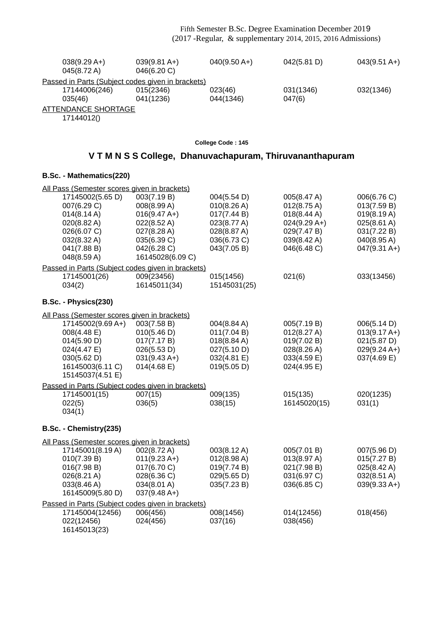| $038(9.29 A+)$<br>045(8.72 A)                     | $039(9.81 \text{ A+})$<br>046(6.20) | $040(9.50 A+)$ | 042(5.81 D) | $043(9.51 \text{ A+})$ |
|---------------------------------------------------|-------------------------------------|----------------|-------------|------------------------|
| Passed in Parts (Subject codes given in brackets) |                                     |                |             |                        |
| 17144006(246)                                     | 015(2346)                           | 023(46)        | 031(1346)   | 032(1346)              |
| 035(46)                                           | 041(1236)                           | 044(1346)      | 047(6)      |                        |
| ATTENDANCE SHORTAGE                               |                                     |                |             |                        |
|                                                   |                                     |                |             |                        |

17144012()

**College Code : 145**

## **V T M N S S College, Dhanuvachapuram, Thiruvananthapuram**

| All Pass (Semester scores given in brackets)      |                  |              |                       |                       |
|---------------------------------------------------|------------------|--------------|-----------------------|-----------------------|
| 17145002(5.65 D)                                  | 003(7.19 B)      | 004(5.54 D)  | 005(8.47 A)           | 006(6.76 C)           |
| 007(6.29 C)                                       | 008(8.99 A)      | 010(8.26 A)  | $012(8.75 \text{ A})$ | 013(7.59 B)           |
| $014(8.14 \text{ A})$                             | $016(9.47 A+)$   | 017(7.44 B)  | 018(8.44 A)           | 019(8.19 A)           |
| 020(8.82 A)                                       | 022(8.52 A)      | 023(8.77 A)  | $024(9.29 A+)$        | $025(8.61 \text{ A})$ |
| 026(6.07 C)                                       | 027(8.28 A)      | 028(8.87 A)  | 029(7.47 B)           | 031(7.22 B)           |
| 032(8.32 A)                                       | 035(6.39 C)      | 036(6.73 C)  | 039(8.42 A)           | 040(8.95 A)           |
| 041(7.88 B)                                       | 042(6.28 C)      | 043(7.05 B)  | 046(6.48 C)           | $047(9.31 A+)$        |
| 048(8.59 A)                                       | 16145028(6.09 C) |              |                       |                       |
| Passed in Parts (Subject codes given in brackets) |                  |              |                       |                       |
| 17145001(26)                                      | 009(23456)       | 015(1456)    | 021(6)                | 033(13456)            |
| 034(2)                                            | 16145011(34)     | 15145031(25) |                       |                       |
| B.Sc. - Physics(230)                              |                  |              |                       |                       |
| All Pass (Semester scores given in brackets)      |                  |              |                       |                       |
| 17145002(9.69 A+)                                 | 003(7.58 B)      | 004(8.84 A)  | 005(7.19 B)           | 006(5.14 D)           |
| 008(4.48 E)                                       | 010(5.46 D)      | 011(7.04 B)  | 012(8.27 A)           | $013(9.17 A+)$        |
| 014(5.90 D)                                       | 017(7.17 B)      | 018(8.84 A)  | 019(7.02 B)           | 021(5.87 D)           |
| 024(4.47 E)                                       | 026(5.53 D)      | 027(5.10 D)  | 028(8.26 A)           | $029(9.24 A+)$        |
| 030(5.62 D)                                       | $031(9.43 A+)$   | 032(4.81 E)  | 033(4.59 E)           | 037(4.69 E)           |
| 16145003(6.11 C)                                  | 014(4.68)        | 019(5.05 D)  | 024(4.95 E)           |                       |
| 15145037(4.51 E)                                  |                  |              |                       |                       |
| Passed in Parts (Subject codes given in brackets) |                  |              |                       |                       |
| 17145001(15)                                      | 007(15)          | 009(135)     | 015(135)              | 020(1235)             |
| 022(5)                                            | 036(5)           | 038(15)      | 16145020(15)          | 031(1)                |
| 034(1)                                            |                  |              |                       |                       |
| B.Sc. - Chemistry(235)                            |                  |              |                       |                       |
| All Pass (Semester scores given in brackets)      |                  |              |                       |                       |
| 17145001(8.19 A)                                  | 002(8.72 A)      | 003(8.12 A)  | 005(7.01 B)           | 007(5.96 D)           |
| 010(7.39 B)                                       | $011(9.23 A+)$   | 012(8.98 A)  | 013(8.97 A)           | 015(7.27 B)           |
| 016(7.98 B)                                       | 017(6.70 C)      | 019(7.74 B)  | 021(7.98 B)           | $025(8.42 \text{ A})$ |
| 026(8.21 A)                                       | 028(6.36 C)      | 029(5.65 D)  | 031(6.97 C)           | 032(8.51 A)           |
| 033(8.46 A)                                       | 034(8.01 A)      | 035(7.23 B)  | 036(6.85 C)           | $039(9.33 A+)$        |
| 16145009(5.80 D)                                  | $037(9.48 A+)$   |              |                       |                       |
| Passed in Parts (Subject codes given in brackets) |                  |              |                       |                       |
| 17145004(12456)                                   | 006(456)         | 008(1456)    | 014(12456)            | 018(456)              |
| 022(12456)                                        | 024(456)         | 037(16)      | 038(456)              |                       |
| 16145013(23)                                      |                  |              |                       |                       |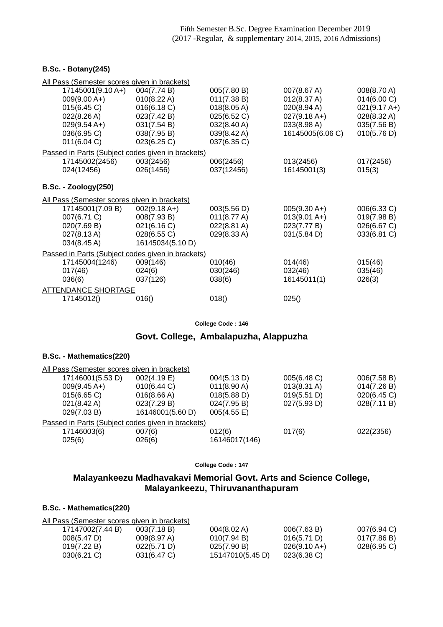### **B.Sc. - Botany(245)**

| All Pass (Semester scores given in brackets)      |                  |             |                  |                |
|---------------------------------------------------|------------------|-------------|------------------|----------------|
| 17145001(9.10 A+)                                 | 004(7.74 B)      | 005(7.80 B) | 007(8.67 A)      | 008(8.70 A)    |
| $009(9.00 A+)$                                    | 010(8.22 A)      | 011(7.38 B) | 012(8.37 A)      | 014(6.00 C)    |
| 015(6.45 C)                                       | 016(6.18 C)      | 018(8.05 A) | 020(8.94 A)      | $021(9.17 A+)$ |
| 022(8.26 A)                                       | 023(7.42 B)      | 025(6.52 C) | $027(9.18 A+)$   | 028(8.32 A)    |
| $029(9.54 A+)$                                    | 031(7.54 B)      | 032(8.40 A) | 033(8.98 A)      | 035(7.56 B)    |
| 036(6.95 C)                                       | 038(7.95 B)      | 039(8.42 A) | 16145005(6.06 C) | 010(5.76 D)    |
| 011(6.04 C)                                       | 023(6.25 C)      | 037(6.35 C) |                  |                |
| Passed in Parts (Subject codes given in brackets) |                  |             |                  |                |
| 17145002(2456)                                    | 003(2456)        | 006(2456)   | 013(2456)        | 017(2456)      |
| 024(12456)                                        | 026(1456)        | 037(12456)  | 16145001(3)      | 015(3)         |
|                                                   |                  |             |                  |                |
| <b>B.Sc. - Zoology(250)</b>                       |                  |             |                  |                |
| All Pass (Semester scores given in brackets)      |                  |             |                  |                |
| 17145001(7.09 B)                                  | $002(9.18 A+)$   | 003(5.56 D) | $005(9.30 A+)$   | 006(6.33 C)    |
| 007(6.71 C)                                       | 008(7.93 B)      | 011(8.77 A) | $013(9.01 A+)$   | 019(7.98 B)    |
| 020(7.69 B)                                       | 021(6.16 C)      | 022(8.81 A) | 023(7.77 B)      | 026(6.67 C)    |
| 027(8.13A)                                        | 028(6.55 C)      | 029(8.33 A) | 031(5.84 D)      | 033(6.81 C)    |
| 034(8.45 A)                                       | 16145034(5.10 D) |             |                  |                |
| Passed in Parts (Subject codes given in brackets) |                  |             |                  |                |
| 17145004(1246)                                    | 009(146)         | 010(46)     | 014(46)          | 015(46)        |
| 017(46)                                           | 024(6)           | 030(246)    | 032(46)          | 035(46)        |
| 036(6)                                            | 037(126)         | 038(6)      | 16145011(1)      | 026(3)         |
| <b>ATTENDANCE SHORTAGE</b>                        |                  |             |                  |                |
| 17145012()                                        | 016()            | 018()       | 025()            |                |
|                                                   |                  |             |                  |                |

**College Code : 146**

### **Govt. College, Ambalapuzha, Alappuzha**

#### **B.Sc. - Mathematics(220)**

|                       | All Pass (Semester scores given in brackets)      |                       |                       |             |
|-----------------------|---------------------------------------------------|-----------------------|-----------------------|-------------|
| 17146001(5.53 D)      | 002(4.19 E)                                       | 004(5.13 D)           | 005(6.48 C)           | 006(7.58 B) |
| $009(9.45 A+)$        | 010(6.44 C)                                       | $011(8.90 \text{ A})$ | $013(8.31 \text{ A})$ | 014(7.26 B) |
| 015(6.65)             | 016(8.66 A)                                       | 018(5.88 D)           | 019(5.51 D)           | 020(6.45)   |
| $021(8.42 \text{ A})$ | 023(7.29 B)                                       | 024(7.95 B)           | 027(5.93 D)           | 028(7.11 B) |
| 029(7.03 B)           | 16146001(5.60 D)                                  | 005(4.55 E)           |                       |             |
|                       | Passed in Parts (Subject codes given in brackets) |                       |                       |             |
| 17146003(6)           | 007(6)                                            | 012(6)                | 017(6)                | 022(2356)   |
| 025(6)                | 026(6)                                            | 16146017(146)         |                       |             |
|                       |                                                   |                       |                       |             |

**College Code : 147**

## **Malayankeezu Madhavakavi Memorial Govt. Arts and Science College, Malayankeezu, Thiruvananthapuram**

| All Pass (Semester scores given in brackets) |             |                       |                |                |
|----------------------------------------------|-------------|-----------------------|----------------|----------------|
| 17147002(7.44 B)                             | 003(7.18 B) | $004(8.02 \text{ A})$ | 006(7.63 B)    | $007(6.94)$ C) |
| 008(5.47 D)                                  | 009(8.97 A) | 010(7.94 B)           | 016(5.71 D)    | 017(7.86 B)    |
| 019(7.22 B)                                  | 022(5.71 D) | 025(7.90 B)           | $026(9.10 A+)$ | $028(6.95)$ C) |
| $030(6.21)$ C)                               | 031(6.47 C) | 15147010(5.45 D)      | $023(6.38)$ C) |                |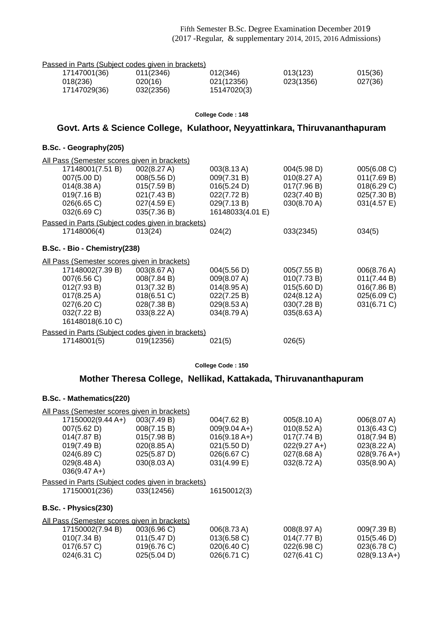| Passed in Parts (Subject codes given in brackets) |           |             |           |         |
|---------------------------------------------------|-----------|-------------|-----------|---------|
| 17147001(36)                                      | 011(2346) | 012(346)    | 013(123)  | 015(36) |
| 018(236)                                          | 020(16)   | 021(12356)  | 023(1356) | 027(36) |
| 17147029(36)                                      | 032(2356) | 15147020(3) |           |         |

#### **College Code : 148**

## **Govt. Arts & Science College, Kulathoor, Neyyattinkara, Thiruvananthapuram**

#### **B.Sc. - Geography(205)**

| All Pass (Semester scores given in brackets)      |                |                       |             |             |
|---------------------------------------------------|----------------|-----------------------|-------------|-------------|
| 17148001(7.51 B)                                  | 002(8.27 A)    | 003(8.13 A)           | 004(5.98 D) | 005(6.08 C) |
| 007(5.00 D)                                       | 008(5.56 D)    | 009(7.31 B)           | 010(8.27 A) | 011(7.69 B) |
| 014(8.38 A)                                       | 015(7.59 B)    | 016(5.24 D)           | 017(7.96 B) | 018(6.29 C) |
| 019(7.16 B)                                       | 021(7.43 B)    | 022(7.72 B)           | 023(7.40 B) | 025(7.30 B) |
| 026(6.65 C)                                       | $027(4.59)$ E) | 029(7.13 B)           | 030(8.70 A) | 031(4.57 E) |
| 032(6.69 C)                                       | 035(7.36 B)    | 16148033(4.01 E)      |             |             |
| Passed in Parts (Subject codes given in brackets) |                |                       |             |             |
| 17148006(4)                                       | 013(24)        | 024(2)                | 033(2345)   | 034(5)      |
| B.Sc. - Bio - Chemistry (238)                     |                |                       |             |             |
| All Pass (Semester scores given in brackets)      |                |                       |             |             |
| 17148002(7.39 B)                                  | 003(8.67 A)    | 004(5.56 D)           | 005(7.55 B) | 006(8.76 A) |
| 007(6.56 C)                                       | 008(7.84 B)    | 009(8.07 A)           | 010(7.73 B) | 011(7.44 B) |
| 012(7.93 B)                                       | 013(7.32 B)    | $014(8.95 \text{ A})$ | 015(5.60 D) | 016(7.86 B) |
| $017(8.25 \text{ A})$                             | 018(6.51 C)    | 022(7.25 B)           | 024(8.12 A) | 025(6.09 C) |
| 027(6.20 C)                                       | 028(7.38 B)    | 029(8.53 A)           | 030(7.28 B) | 031(6.71 C) |
| 032(7.22 B)                                       | 033(8.22 A)    | 034(8.79 A)           | 035(8.63 A) |             |
| 16148018(6.10 C)                                  |                |                       |             |             |
| Passed in Parts (Subject codes given in brackets) |                |                       |             |             |
| 17148001(5)                                       | 019(12356)     | 021(5)                | 026(5)      |             |
|                                                   |                |                       |             |             |

#### **College Code : 150**

## **Mother Theresa College, Nellikad, Kattakada, Thiruvananthapuram**

| All Pass (Semester scores given in brackets)      |                       |                |                       |                |
|---------------------------------------------------|-----------------------|----------------|-----------------------|----------------|
| 17150002(9.44 A+)                                 | 003(7.49 B)           | 004(7.62 B)    | 005(8.10 A)           | 006(8.07 A)    |
| 007(5.62 D)                                       | 008(7.15 B)           | $009(9.04 A+)$ | $010(8.52 \text{ A})$ | 013(6.43 C)    |
| 014(7.87 B)                                       | 015(7.98 B)           | $016(9.18 A+)$ | 017(7.74 B)           | 018(7.94 B)    |
| 019(7.49 B)                                       | $020(8.85 \text{ A})$ | 021(5.50 D)    | $022(9.27 A+)$        | 023(8.22 A)    |
| 024(6.89 C)                                       | 025(5.87 D)           | 026(6.67 C)    | 027(8.68 A)           | $028(9.76 A+)$ |
| 029(8.48 A)                                       | 030(8.03 A)           | 031(4.99 E)    | 032(8.72 A)           | 035(8.90 A)    |
| $036(9.47 A+)$                                    |                       |                |                       |                |
| Passed in Parts (Subject codes given in brackets) |                       |                |                       |                |
| 17150001(236)                                     | 033(12456)            | 16150012(3)    |                       |                |
| B.Sc. - Physics(230)                              |                       |                |                       |                |
| All Pass (Semester scores given in brackets)      |                       |                |                       |                |
| 17150002(7.94 B)                                  | 003(6.96)             | 006(8.73 A)    | 008(8.97 A)           | 009(7.39 B)    |
| 010(7.34 B)                                       | 011(5.47 D)           | 013(6.58)      | 014(7.77 B)           | 015(5.46 D)    |
| 017(6.57 C)                                       | 019(6.76 C)           | 020(6.40 C)    | 022(6.98 C)           | 023(6.78 C)    |
| 024(6.31 C)                                       | 025(5.04 D)           | 026(6.71 C)    | 027(6.41 C)           | $028(9.13 A+)$ |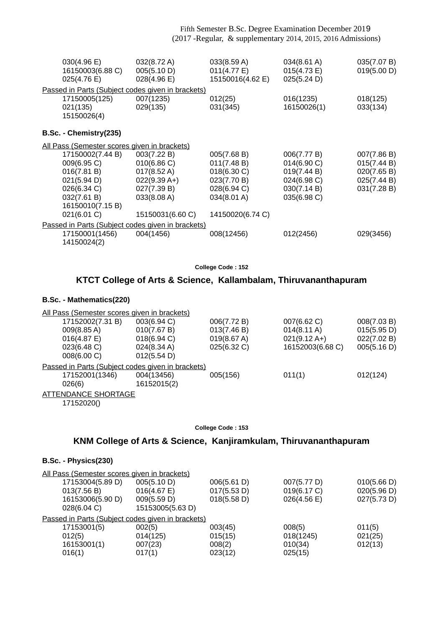| 030(4.96 E)<br>16150003(6.88 C)<br>025(4.76 E) | 032(8.72 A)<br>005(5.10 D)<br>028(4.96 E)         | 033(8.59 A)<br>011(4.77 E)<br>15150016(4.62 E) | 034(8.61 A)<br>015(4.73 E)<br>025(5.24 D) | 035(7.07 B)<br>019(5.00 D) |
|------------------------------------------------|---------------------------------------------------|------------------------------------------------|-------------------------------------------|----------------------------|
|                                                | Passed in Parts (Subject codes given in brackets) |                                                |                                           |                            |
| 17150005(125)<br>021(135)<br>15150026(4)       | 007(1235)<br>029(135)                             | 012(25)<br>031(345)                            | 016(1235)<br>16150026(1)                  | 018(125)<br>033(134)       |
| B.Sc. - Chemistry(235)                         |                                                   |                                                |                                           |                            |
| All Pass (Semester scores given in brackets)   |                                                   |                                                |                                           |                            |
| 17150002(7.44 B)                               | 003(7.22 B)                                       | 005(7.68 B)                                    | 006(7.77 B)                               | 007(7.86 B)                |
| 009(6.95 C)                                    | 010(6.86)                                         | 011(7.48 B)                                    | 014(6.90 C)                               | 015(7.44 B)                |
| 016(7.81 B)                                    | $017(8.52 \text{ A})$                             | 018(6.30 C)                                    | 019(7.44 B)                               | 020(7.65 B)                |
| 021(5.94 D)                                    | $022(9.39 A+)$                                    | 023(7.70 B)                                    | 024(6.98 C)                               | 025(7.44 B)                |
| 026(6.34 C)                                    | 027(7.39 B)                                       | 028(6.94 C)                                    | 030(7.14 B)                               | 031(7.28 B)                |
| 032(7.61 B)                                    | 033(8.08 A)                                       | 034(8.01 A)                                    | 035(6.98 C)                               |                            |
| 16150010(7.15 B)                               |                                                   |                                                |                                           |                            |
| 021(6.01 C)                                    | 15150031(6.60 C)                                  | 14150020(6.74 C)                               |                                           |                            |
|                                                | Passed in Parts (Subject codes given in brackets) |                                                |                                           |                            |
| 17150001(1456)<br>14150024(2)                  | 004(1456)                                         | 008(12456)                                     | 012(2456)                                 | 029(3456)                  |

**College Code : 152**

## **KTCT College of Arts & Science, Kallambalam, Thiruvananthapuram**

### **B.Sc. - Mathematics(220)**

| All Pass (Semester scores given in brackets)      |                |             |                        |             |
|---------------------------------------------------|----------------|-------------|------------------------|-------------|
| 17152002(7.31 B)                                  | 003(6.94 C)    | 006(7.72 B) | 007(6.62 C)            | 008(7.03 B) |
| $009(8.85 \text{ A})$                             | 010(7.67 B)    | 013(7.46 B) | $014(8.11 \text{ A})$  | 015(5.95 D) |
| $016(4.87)$ E)                                    | $018(6.94)$ C) | 019(8.67 A) | $021(9.12 \text{ A+})$ | 022(7.02 B) |
| 023(6.48 C)                                       | 024(8.34 A)    | 025(6.32 C) | 16152003(6.68 C)       | 005(5.16 D) |
| 008(6.00 C)                                       | 012(5.54 D)    |             |                        |             |
| Passed in Parts (Subject codes given in brackets) |                |             |                        |             |
| 17152001(1346)                                    | 004(13456)     | 005(156)    | 011(1)                 | 012(124)    |
| 026(6)                                            | 16152015(2)    |             |                        |             |
| <b>ATTENDANCE SHORTAGE</b>                        |                |             |                        |             |
| 17152020()                                        |                |             |                        |             |

**College Code : 153**

## **KNM College of Arts & Science, Kanjiramkulam, Thiruvananthapuram**

### **B.Sc. - Physics(230)**

| All Pass (Semester scores given in brackets)      |                  |             |             |             |
|---------------------------------------------------|------------------|-------------|-------------|-------------|
| 17153004(5.89 D)                                  | 005(5.10 D)      | 006(5.61 D) | 007(5.77 D) | 010(5.66 D) |
| 013(7.56 B)                                       | 016(4.67)        | 017(5.53 D) | 019(6.17 C) | 020(5.96 D) |
| 16153006(5.90 D)                                  | 009(5.59 D)      | 018(5.58 D) | 026(4.56)   | 027(5.73 D) |
| 028(6.04 C)                                       | 15153005(5.63 D) |             |             |             |
| Passed in Parts (Subject codes given in brackets) |                  |             |             |             |
| 17153001(5)                                       | 002(5)           | 003(45)     | 008(5)      | 011(5)      |
| 012(5)                                            | 014(125)         | 015(15)     | 018(1245)   | 021(25)     |
| 16153001(1)                                       | 007(23)          | 008(2)      | 010(34)     | 012(13)     |
| 016(1)                                            | 017(1)           | 023(12)     | 025(15)     |             |
|                                                   |                  |             |             |             |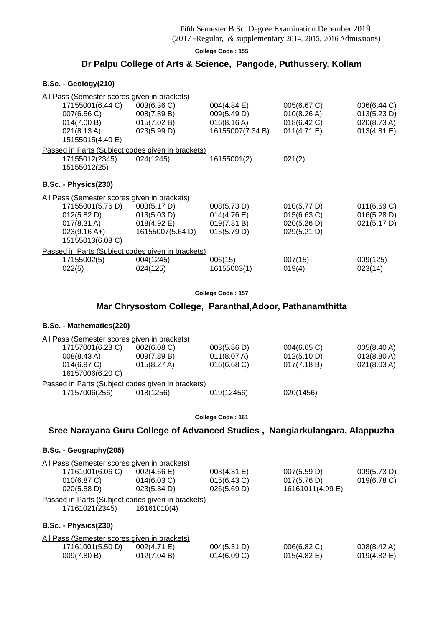## (2017 -Regular, & supplementary 2014, 2015, 2016 Admissions)

**College Code : 155**

## **Dr Palpu College of Arts & Science, Pangode, Puthussery, Kollam**

#### **B.Sc. - Geology(210)**

| All Pass (Semester scores given in brackets)                                                |                                                                         |                                                                         |                                                          |                                                          |
|---------------------------------------------------------------------------------------------|-------------------------------------------------------------------------|-------------------------------------------------------------------------|----------------------------------------------------------|----------------------------------------------------------|
| 17155001(6.44 C)<br>007(6.56 C)<br>014(7.00 B)<br>$021(8.13 \text{ A})$<br>15155015(4.40 E) | 003(6.36 C)<br>008(7.89 B)<br>015(7.02 B)<br>023(5.99 D)                | $004(4.84 \text{ E})$<br>009(5.49 D)<br>016(8.16 A)<br>16155007(7.34 B) | 005(6.67 C)<br>010(8.26 A)<br>018(6.42 C)<br>011(4.71 E) | 006(6.44 C)<br>013(5.23 D)<br>020(8.73 A)<br>013(4.81 E) |
| 17155012(2345)<br>15155012(25)                                                              | Passed in Parts (Subject codes given in brackets)<br>024(1245)          | 16155001(2)                                                             | 021(2)                                                   |                                                          |
| B.Sc. - Physics(230)                                                                        |                                                                         |                                                                         |                                                          |                                                          |
| All Pass (Semester scores given in brackets)                                                |                                                                         |                                                                         |                                                          |                                                          |
| 17155001(5.76 D)<br>012(5.82 D)<br>017(8.31 A)<br>$023(9.16 A+)$<br>15155013(6.08 C)        | 003(5.17 D)<br>013(5.03 D)<br>$018(4.92 \text{ E})$<br>16155007(5.64 D) | 008(5.73 D)<br>$014(4.76 \text{ E})$<br>019(7.81 B)<br>015(5.79 D)      | 010(5.77 D)<br>015(6.63 C)<br>020(5.26 D)<br>029(5.21 D) | 011(6.59 C)<br>016(5.28 D)<br>021(5.17 D)                |
|                                                                                             | Passed in Parts (Subject codes given in brackets)                       |                                                                         |                                                          |                                                          |
| 17155002(5)<br>022(5)                                                                       | 004(1245)<br>024(125)                                                   | 006(15)<br>16155003(1)                                                  | 007(15)<br>019(4)                                        | 009(125)<br>023(14)                                      |

**College Code : 157**

## **Mar Chrysostom College, Paranthal,Adoor, Pathanamthitta**

### **B.Sc. - Mathematics(220)**

| All Pass (Semester scores given in brackets)      |             |                |                |                       |
|---------------------------------------------------|-------------|----------------|----------------|-----------------------|
| 17157001(6.23 C)                                  | 002(6.08)   | 003(5.86 D)    | $004(6.65)$ C) | 005(8.40 A)           |
| 008(8.43 A)                                       | 009(7.89 B) | 011(8.07 A)    | 012(5.10 D)    | $013(8.80 \text{ A})$ |
| 014(6.97 C)<br>16157006(6.20 C)                   | 015(8.27 A) | $016(6.68)$ C) | 017(7.18 B)    | 021(8.03 A)           |
| Passed in Parts (Subject codes given in brackets) |             |                |                |                       |
| 17157006(256)                                     | 018(1256)   | 019(12456)     | 020(1456)      |                       |

**College Code : 161**

### **Sree Narayana Guru College of Advanced Studies , Nangiarkulangara, Alappuzha**

#### **B.Sc. - Geography(205)**

| All Pass (Semester scores given in brackets)      |                       |             |                  |                       |  |
|---------------------------------------------------|-----------------------|-------------|------------------|-----------------------|--|
| 17161001(6.06 C)                                  | $002(4.66 \text{ E})$ | 003(4.31 E) | 007(5.59 D)      | 009(5.73 D)           |  |
| 010(6.87 C)                                       | 014(6.03 C)           | 015(6.43 C) | 017(5.76 D)      | 019(6.78 C)           |  |
| 020(5.58 D)                                       | 023(5.34 D)           | 026(5.69 D) | 16161011(4.99 E) |                       |  |
| Passed in Parts (Subject codes given in brackets) |                       |             |                  |                       |  |
| 17161021(2345)                                    | 16161010(4)           |             |                  |                       |  |
| B.Sc. - Physics(230)                              |                       |             |                  |                       |  |
| All Pass (Semester scores given in brackets)      |                       |             |                  |                       |  |
| 17161001(5.50 D)                                  | 002(4.71 E)           | 004(5.31 D) | 006(6.82 C)      | 008(8.42 A)           |  |
| 009(7.80 B)                                       | 012(7.04 B)           | 014(6.09 C) | 015(4.82)        | $019(4.82 \text{ E})$ |  |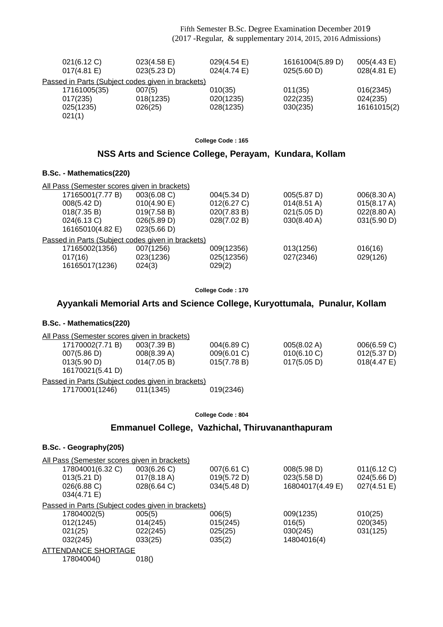| 021(6.12 C)<br>$017(4.81 \text{ E})$              | 023(4.58)<br>023(5.23 D) | $029(4.54 \text{ E})$<br>024(4.74 E) | 16161004(5.89 D)<br>025(5.60 D) | 005(4.43 E)<br>028(4.81 E) |
|---------------------------------------------------|--------------------------|--------------------------------------|---------------------------------|----------------------------|
| Passed in Parts (Subject codes given in brackets) |                          |                                      |                                 |                            |
| 17161005(35)                                      | 007(5)                   | 010(35)                              | 011(35)                         | 016(2345)                  |
| 017(235)                                          | 018(1235)                | 020(1235)                            | 022(235)                        | 024(235)                   |
| 025(1235)                                         | 026(25)                  | 028(1235)                            | 030(235)                        | 16161015(2)                |
| 021(1)                                            |                          |                                      |                                 |                            |

**College Code : 165**

## **NSS Arts and Science College, Perayam, Kundara, Kollam**

#### **B.Sc. - Mathematics(220)**

| All Pass (Semester scores given in brackets) |                                                   |             |                       |                       |
|----------------------------------------------|---------------------------------------------------|-------------|-----------------------|-----------------------|
| 17165001(7.77 B)                             | 003(6.08 C)                                       | 004(5.34 D) | 005(5.87 D)           | 006(8.30 A)           |
| 008(5.42 D)                                  | 010(4.90 E)                                       | 012(6.27 C) | $014(8.51 \text{ A})$ | 015(8.17 A)           |
| 018(7.35 B)                                  | 019(7.58 B)                                       | 020(7.83 B) | 021(5.05 D)           | $022(8.80 \text{ A})$ |
| 024(6.13 C)                                  | 026(5.89 D)                                       | 028(7.02 B) | $030(8.40 \text{ A})$ | 031(5.90 D)           |
| 16165010(4.82 E)                             | 023(5.66 D)                                       |             |                       |                       |
|                                              | Passed in Parts (Subject codes given in brackets) |             |                       |                       |
| 17165002(1356)                               | 007(1256)                                         | 009(12356)  | 013(1256)             | 016(16)               |
| 017(16)                                      | 023(1236)                                         | 025(12356)  | 027(2346)             | 029(126)              |
| 16165017(1236)                               | 024(3)                                            | 029(2)      |                       |                       |

**College Code : 170**

### **Ayyankali Memorial Arts and Science College, Kuryottumala, Punalur, Kollam**

#### **B.Sc. - Mathematics(220)**

| All Pass (Semester scores given in brackets)      |             |             |             |                |
|---------------------------------------------------|-------------|-------------|-------------|----------------|
| 17170002(7.71 B)                                  | 003(7.39 B) | 004(6.89 C) | 005(8.02 A) | 006(6.59 C)    |
| 007(5.86 D)                                       | 008(8.39 A) | 009(6.01 C) | 010(6.10 C) | 012(5.37 D)    |
| 013(5.90 D)                                       | 014(7.05 B) | 015(7.78 B) | 017(5.05 D) | $018(4.47)$ E) |
| 16170021(5.41 D)                                  |             |             |             |                |
| Passed in Parts (Subject codes given in brackets) |             |             |             |                |
| 17170001(1246)                                    | 011(1345)   | 019(2346)   |             |                |

**College Code : 804**

## **Emmanuel College, Vazhichal, Thiruvananthapuram**

#### **B.Sc. - Geography(205)**

| <u>All Pass (Semester scores given in brackets)</u>      |                       |             |                  |             |
|----------------------------------------------------------|-----------------------|-------------|------------------|-------------|
| 17804001(6.32 C)                                         | 003(6.26 C)           | 007(6.61 C) | 008(5.98 D)      | 011(6.12 C) |
| 013(5.21 D)                                              | $017(8.18 \text{ A})$ | 019(5.72 D) | 023(5.58 D)      | 024(5.66 D) |
| 026(6.88 C)                                              | 028(6.64 C)           | 034(5.48 D) | 16804017(4.49 E) | 027(4.51 E) |
| 034(4.71 E)                                              |                       |             |                  |             |
| <u>Passed in Parts (Subject codes given in brackets)</u> |                       |             |                  |             |
| 17804002(5)                                              | 005(5)                | 006(5)      | 009(1235)        | 010(25)     |
| 012(1245)                                                | 014(245)              | 015(245)    | 016(5)           | 020(345)    |
| 021(25)                                                  | 022(245)              | 025(25)     | 030(245)         | 031(125)    |
| 032(245)                                                 | 033(25)               | 035(2)      | 14804016(4)      |             |
| ATTENDANCE SHORTAGE                                      |                       |             |                  |             |
| 17804004()                                               | 018()                 |             |                  |             |
|                                                          |                       |             |                  |             |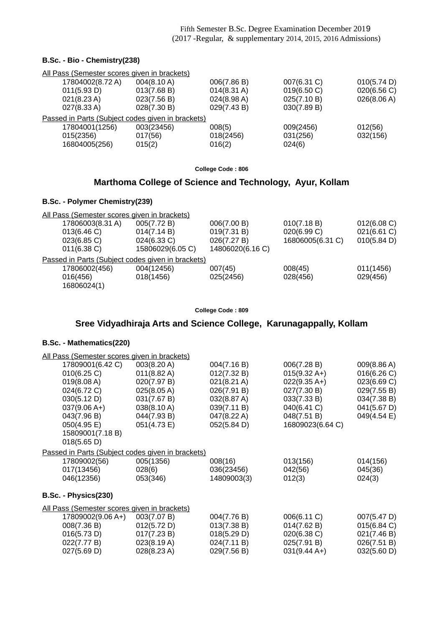#### **B.Sc. - Bio - Chemistry(238)**

| All Pass (Semester scores given in brackets)      |             |                       |             |             |
|---------------------------------------------------|-------------|-----------------------|-------------|-------------|
| 17804002(8.72 A)                                  | 004(8.10 A) | 006(7.86 B)           | 007(6.31 C) | 010(5.74 D) |
| 011(5.93 D)                                       | 013(7.68 B) | $014(8.31 \text{ A})$ | 019(6.50 C) | 020(6.56 C) |
| $021(8.23 \text{ A})$                             | 023(7.56 B) | $024(8.98 \text{ A})$ | 025(7.10 B) | 026(8.06 A) |
| $027(8.33 \text{ A})$                             | 028(7.30 B) | 029(7.43 B)           | 030(7.89 B) |             |
| Passed in Parts (Subject codes given in brackets) |             |                       |             |             |
| 17804001(1256)                                    | 003(23456)  | 008(5)                | 009(2456)   | 012(56)     |
| 015(2356)                                         | 017(56)     | 018(2456)             | 031(256)    | 032(156)    |
| 16804005(256)                                     | 015(2)      | 016(2)                | 024(6)      |             |
|                                                   |             |                       |             |             |

**College Code : 806**

## **Marthoma College of Science and Technology, Ayur, Kollam**

#### **B.Sc. - Polymer Chemistry(239)**

| 17806003(8.31 A) | 005(7.72 B)      | 006(7.00 B)                                  | 010(7.18 B)                                       | 012(6.08)   |
|------------------|------------------|----------------------------------------------|---------------------------------------------------|-------------|
| 013(6.46)        | 014(7.14 B)      | 019(7.31 B)                                  | 020(6.99 C)                                       | 021(6.61 C) |
| $023(6.85)$ C)   | 024(6.33 C)      | 026(7.27 B)                                  | 16806005(6.31 C)                                  | 010(5.84 D) |
| $011(6.38)$ C)   | 15806029(6.05 C) | 14806020(6.16 C)                             |                                                   |             |
|                  |                  |                                              |                                                   |             |
| 17806002(456)    | 004(12456)       | 007(45)                                      | 008(45)                                           | 011(1456)   |
| 016(456)         | 018(1456)        | 025(2456)                                    | 028(456)                                          | 029(456)    |
| 16806024(1)      |                  |                                              |                                                   |             |
|                  |                  | All Pass (Semester scores given in brackets) | Passed in Parts (Subject codes given in brackets) |             |

#### **College Code : 809**

## **Sree Vidyadhiraja Arts and Science College, Karunagappally, Kollam**

| All Pass (Semester scores given in brackets)      |                       |             |                        |             |
|---------------------------------------------------|-----------------------|-------------|------------------------|-------------|
| 17809001(6.42 C)                                  | 003(8.20 A)           | 004(7.16 B) | 006(7.28 B)            | 009(8.86 A) |
| 010(6.25 C)                                       | $011(8.82 \text{ A})$ | 012(7.32 B) | $015(9.32 \text{ A+})$ | 016(6.26)   |
| 019(8.08 A)                                       | 020(7.97 B)           | 021(8.21 A) | $022(9.35 \text{ A+})$ | 023(6.69 C) |
| 024(6.72 C)                                       | 025(8.05 A)           | 026(7.91 B) | 027(7.30 B)            | 029(7.55 B) |
| 030(5.12 D)                                       | 031(7.67 B)           | 032(8.87 A) | 033(7.33 B)            | 034(7.38 B) |
| $037(9.06 A+)$                                    | 038(8.10 A)           | 039(7.11 B) | 040(6.41 C)            | 041(5.67 D) |
| 043(7.96 B)                                       | 044(7.93 B)           | 047(8.22 A) | 048(7.51 B)            | 049(4.54 E) |
| 050(4.95 E)                                       | 051(4.73 E)           | 052(5.84 D) | 16809023(6.64 C)       |             |
| 15809001(7.18 B)                                  |                       |             |                        |             |
| 018(5.65 D)                                       |                       |             |                        |             |
| Passed in Parts (Subject codes given in brackets) |                       |             |                        |             |
| 17809002(56)                                      | 005(1356)             | 008(16)     | 013(156)               | 014(156)    |
| 017(13456)                                        | 028(6)                | 036(23456)  | 042(56)                | 045(36)     |
| 046(12356)                                        | 053(346)              | 14809003(3) | 012(3)                 | 024(3)      |
| B.Sc. - Physics(230)                              |                       |             |                        |             |
| All Pass (Semester scores given in brackets)      |                       |             |                        |             |
| 17809002(9.06 A+)                                 | 003(7.07 B)           | 004(7.76 B) | 006(6.11 C)            | 007(5.47 D) |
| 008(7.36 B)                                       | 012(5.72 D)           | 013(7.38 B) | 014(7.62 B)            | 015(6.84 C) |
| 016(5.73 D)                                       | 017(7.23 B)           | 018(5.29 D) | 020(6.38 C)            | 021(7.46 B) |
| 022(7.77 B)                                       | 023(8.19 A)           | 024(7.11 B) | 025(7.91 B)            | 026(7.51 B) |
| 027(5.69 D)                                       | 028(8.23 A)           | 029(7.56 B) | $031(9.44 A+)$         | 032(5.60 D) |
|                                                   |                       |             |                        |             |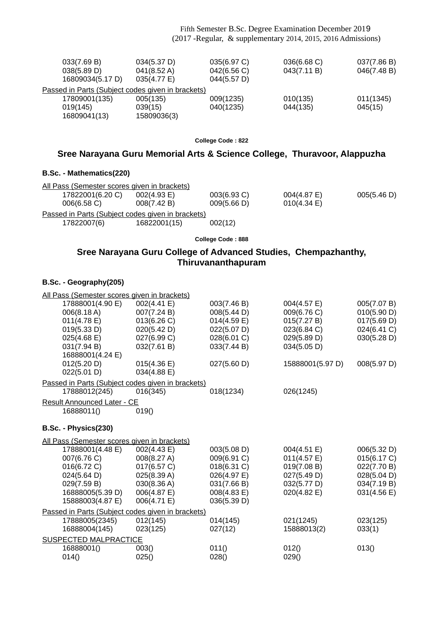| 033(7.69 B)<br>038(5.89 D)<br>16809034(5.17 D)    | 034(5.37 D)<br>041(8.52 A)<br>035(4.77 E) | 035(6.97 C)<br>042(6.56 C)<br>044(5.57 D) | 036(6.68 C)<br>043(7.11 B) | 037(7.86 B)<br>046(7.48 B) |
|---------------------------------------------------|-------------------------------------------|-------------------------------------------|----------------------------|----------------------------|
| Passed in Parts (Subject codes given in brackets) |                                           |                                           |                            |                            |
| 17809001(135)                                     | 005(135)                                  | 009(1235)                                 | 010(135)                   | 011(1345)                  |
| 019(145)                                          | 039(15)                                   | 040(1235)                                 | 044(135)                   | 045(15)                    |
| 16809041(13)                                      | 15809036(3)                               |                                           |                            |                            |

**College Code : 822**

### **Sree Narayana Guru Memorial Arts & Science College, Thuravoor, Alappuzha**

#### **B.Sc. - Mathematics(220)**

| All Pass (Semester scores given in brackets)      |                |                |                       |             |
|---------------------------------------------------|----------------|----------------|-----------------------|-------------|
| 17822001(6.20 C)                                  | $002(4.93)$ E) | $003(6.93)$ C) | $004(4.87 \text{ E})$ | 005(5.46 D) |
| $006(6.58)$ C)                                    | 008(7.42 B)    | 009(5.66 D)    | $010(4.34)$ E)        |             |
| Passed in Parts (Subject codes given in brackets) |                |                |                       |             |
| 17822007(6)                                       | 16822001(15)   | 002(12)        |                       |             |
|                                                   |                |                |                       |             |

**College Code : 888**

## **Sree Narayana Guru College of Advanced Studies, Chempazhanthy, Thiruvananthapuram**

#### **B.Sc. - Geography(205)**

| All Pass (Semester scores given in brackets)      |             |                |                  |             |
|---------------------------------------------------|-------------|----------------|------------------|-------------|
| 17888001(4.90 E)                                  | 002(4.41 E) | 003(7.46 B)    | 004(4.57 E)      | 005(7.07 B) |
| 006(8.18 A)                                       | 007(7.24 B) | 008(5.44 D)    | 009(6.76 C)      | 010(5.90 D) |
| 011(4.78 E)                                       | 013(6.26 C) | $014(4.59)$ E) | 015(7.27 B)      | 017(5.69 D) |
| 019(5.33 D)                                       | 020(5.42 D) | 022(5.07 D)    | 023(6.84 C)      | 024(6.41 C) |
| 025(4.68)                                         | 027(6.99 C) | 028(6.01 C)    | 029(5.89 D)      | 030(5.28 D) |
| 031(7.94 B)                                       | 032(7.61 B) | 033(7.44 B)    | 034(5.05 D)      |             |
| 16888001(4.24 E)                                  |             |                |                  |             |
| 012(5.20 D)                                       | 015(4.36)   | 027(5.60 D)    | 15888001(5.97 D) | 008(5.97 D) |
| 022(5.01 D)                                       | 034(4.88 E) |                |                  |             |
| Passed in Parts (Subject codes given in brackets) |             |                |                  |             |
| 17888012(245)                                     | 016(345)    | 018(1234)      | 026(1245)        |             |
| <b>Result Announced Later - CE</b>                |             |                |                  |             |
| 16888011()                                        | 019()       |                |                  |             |
|                                                   |             |                |                  |             |
| B.Sc. - Physics(230)                              |             |                |                  |             |
| All Pass (Semester scores given in brackets)      |             |                |                  |             |
| 17888001(4.48 E)                                  | 002(4.43 E) | 003(5.08 D)    | 004(4.51 E)      | 006(5.32 D) |
| 007(6.76 C)                                       | 008(8.27 A) | 009(6.91 C)    | 011(4.57 E)      | 015(6.17 C) |
| 016(6.72 C)                                       | 017(6.57 C) | 018(6.31 C)    | 019(7.08 B)      | 022(7.70 B) |
| 024(5.64 D)                                       | 025(8.39 A) | 026(4.97 E)    | 027(5.49 D)      | 028(5.04 D) |
| 029(7.59 B)                                       | 030(8.36 A) | 031(7.66 B)    | 032(5.77 D)      | 034(7.19 B) |
| 16888005(5.39 D)                                  | 006(4.87 E) | 008(4.83 E)    | 020(4.82 E)      | 031(4.56 E) |
| 15888003(4.87 E)                                  | 006(4.71 E) | 036(5.39 D)    |                  |             |
| Passed in Parts (Subject codes given in brackets) |             |                |                  |             |
| 17888005(2345)                                    | 012(145)    | 014(145)       | 021(1245)        | 023(125)    |
| 16888004(145)                                     | 023(125)    | 027(12)        | 15888013(2)      | 033(1)      |
| SUSPECTED MALPRACTICE                             |             |                |                  |             |
| 16888001()                                        | 003()       | 011()          | 012()            | 013()       |
| 014()                                             | 025()       | 028()          | 029()            |             |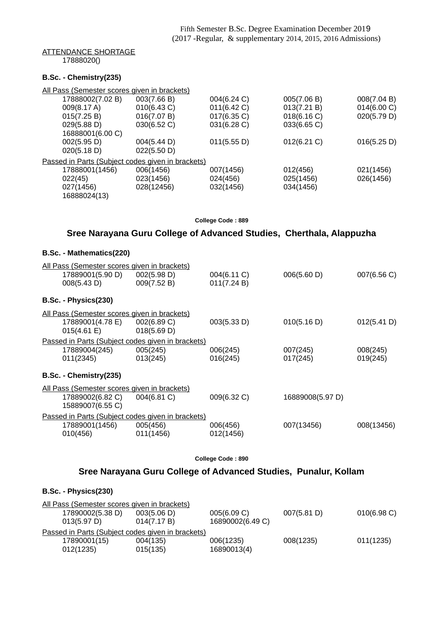#### ATTENDANCE SHORTAGE

17888020()

### **B.Sc. - Chemistry(235)**

| All Pass (Semester scores given in brackets)      |             |             |                |             |
|---------------------------------------------------|-------------|-------------|----------------|-------------|
| 17888002(7.02 B)                                  | 003(7.66 B) | 004(6.24 C) | 005(7.06 B)    | 008(7.04 B) |
| 009(8.17 A)                                       | 010(6.43 C) | 011(6.42 C) | 013(7.21 B)    | 014(6.00 C) |
| 015(7.25 B)                                       | 016(7.07 B) | 017(6.35 C) | 018(6.16)      | 020(5.79 D) |
| 029(5.88 D)                                       | 030(6.52 C) | 031(6.28 C) | 033(6.65 C)    |             |
| 16888001(6.00 C)                                  |             |             |                |             |
| 002(5.95 D)                                       | 004(5.44 D) | 011(5.55 D) | $012(6.21)$ C) | 016(5.25 D) |
| 020(5.18 D)                                       | 022(5.50 D) |             |                |             |
| Passed in Parts (Subject codes given in brackets) |             |             |                |             |
| 17888001(1456)                                    | 006(1456)   | 007(1456)   | 012(456)       | 021(1456)   |
| 022(45)                                           | 023(1456)   | 024(456)    | 025(1456)      | 026(1456)   |
| 027(1456)                                         | 028(12456)  | 032(1456)   | 034(1456)      |             |
| 16888024(13)                                      |             |             |                |             |

#### **College Code : 889**

## **Sree Narayana Guru College of Advanced Studies, Cherthala, Alappuzha**

| B.Sc. - Mathematics(220)                                                               |                                                                            |                            |                      |                      |
|----------------------------------------------------------------------------------------|----------------------------------------------------------------------------|----------------------------|----------------------|----------------------|
| All Pass (Semester scores given in brackets)<br>17889001(5.90 D)<br>008(5.43 D)        | 002(5.98 D)<br>009(7.52 B)                                                 | 004(6.11 C)<br>011(7.24 B) | 006(5.60 D)          | 007(6.56 C)          |
| B.Sc. - Physics(230)                                                                   |                                                                            |                            |                      |                      |
| <u>All Pass (Semester scores given in brackets)</u><br>17889001(4.78 E)<br>015(4.61 E) | 002(6.89 C)<br>018(5.69 D)                                                 | 003(5.33 D)                | 010(5.16 D)          | 012(5.41 D)          |
| 17889004(245)<br>011(2345)                                                             | Passed in Parts (Subject codes given in brackets)<br>005(245)<br>013(245)  | 006(245)<br>016(245)       | 007(245)<br>017(245) | 008(245)<br>019(245) |
| B.Sc. - Chemistry(235)                                                                 |                                                                            |                            |                      |                      |
| All Pass (Semester scores given in brackets)<br>17889002(6.82 C)<br>15889007(6.55 C)   | $004(6.81)$ C)                                                             | 009(6.32 C)                | 16889008(5.97 D)     |                      |
| 17889001(1456)<br>010(456)                                                             | Passed in Parts (Subject codes given in brackets)<br>005(456)<br>011(1456) | 006(456)<br>012(1456)      | 007(13456)           | 008(13456)           |

**College Code : 890**

## **Sree Narayana Guru College of Advanced Studies, Punalur, Kollam**

| B.Sc. - Physics(230)                         |                                                   |                  |             |                |
|----------------------------------------------|---------------------------------------------------|------------------|-------------|----------------|
| All Pass (Semester scores given in brackets) |                                                   |                  |             |                |
| 17890002(5.38 D)                             | 003(5.06 D)                                       | 005(6.09 C)      | 007(5.81 D) | $010(6.98)$ C) |
| 013(5.97 D)                                  | 014(7.17 B)                                       | 16890002(6.49 C) |             |                |
|                                              | Passed in Parts (Subject codes given in brackets) |                  |             |                |
| 17890001(15)                                 | 004(135)                                          | 006(1235)        | 008(1235)   | 011(1235)      |
| 012(1235)                                    | 015(135)                                          | 16890013(4)      |             |                |